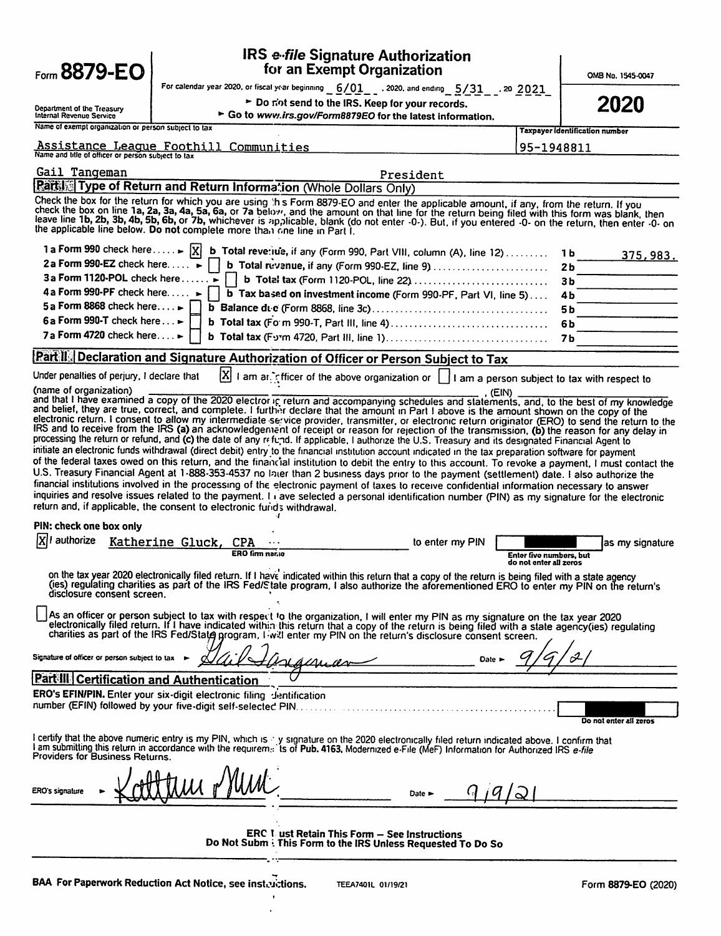| Form 8879-EO                                                                                                                                                                                                                                                                                                                                                                                                                                                                                                                                                                                                                                                                                                                                                                                                                                                                                                                                                                                                                                                                                                                                                                                                                                                                                                                                                                                                                                                                                                                                                                                                                                                                                                                                        |                                                                          | <b>IRS e-file Signature Authorization</b><br>for an Exempt Organization                                                                                                                                                                                                                                                                                                                                                                                                                                                                                                                                                                                                                                      |                                                                                                              |                                                   | OMB No. 1545-0047      |  |  |  |  |
|-----------------------------------------------------------------------------------------------------------------------------------------------------------------------------------------------------------------------------------------------------------------------------------------------------------------------------------------------------------------------------------------------------------------------------------------------------------------------------------------------------------------------------------------------------------------------------------------------------------------------------------------------------------------------------------------------------------------------------------------------------------------------------------------------------------------------------------------------------------------------------------------------------------------------------------------------------------------------------------------------------------------------------------------------------------------------------------------------------------------------------------------------------------------------------------------------------------------------------------------------------------------------------------------------------------------------------------------------------------------------------------------------------------------------------------------------------------------------------------------------------------------------------------------------------------------------------------------------------------------------------------------------------------------------------------------------------------------------------------------------------|--------------------------------------------------------------------------|--------------------------------------------------------------------------------------------------------------------------------------------------------------------------------------------------------------------------------------------------------------------------------------------------------------------------------------------------------------------------------------------------------------------------------------------------------------------------------------------------------------------------------------------------------------------------------------------------------------------------------------------------------------------------------------------------------------|--------------------------------------------------------------------------------------------------------------|---------------------------------------------------|------------------------|--|--|--|--|
|                                                                                                                                                                                                                                                                                                                                                                                                                                                                                                                                                                                                                                                                                                                                                                                                                                                                                                                                                                                                                                                                                                                                                                                                                                                                                                                                                                                                                                                                                                                                                                                                                                                                                                                                                     |                                                                          | For calendar year 2020, or fiscal year beginning $6/01$ , 2020, and ending $5/31$ , 20 2021                                                                                                                                                                                                                                                                                                                                                                                                                                                                                                                                                                                                                  |                                                                                                              |                                                   |                        |  |  |  |  |
| Department of the Treasury<br>Internal Revenue Service                                                                                                                                                                                                                                                                                                                                                                                                                                                                                                                                                                                                                                                                                                                                                                                                                                                                                                                                                                                                                                                                                                                                                                                                                                                                                                                                                                                                                                                                                                                                                                                                                                                                                              |                                                                          |                                                                                                                                                                                                                                                                                                                                                                                                                                                                                                                                                                                                                                                                                                              | > Do not send to the IRS. Keep for your records.<br>Go to www.irs.gov/Form8879EO for the latest information. |                                                   |                        |  |  |  |  |
| Name of exempt organization or person subject to tax                                                                                                                                                                                                                                                                                                                                                                                                                                                                                                                                                                                                                                                                                                                                                                                                                                                                                                                                                                                                                                                                                                                                                                                                                                                                                                                                                                                                                                                                                                                                                                                                                                                                                                |                                                                          |                                                                                                                                                                                                                                                                                                                                                                                                                                                                                                                                                                                                                                                                                                              |                                                                                                              | <b>Taxpayer identification number</b>             |                        |  |  |  |  |
| Name and title of officer or person subject to tax                                                                                                                                                                                                                                                                                                                                                                                                                                                                                                                                                                                                                                                                                                                                                                                                                                                                                                                                                                                                                                                                                                                                                                                                                                                                                                                                                                                                                                                                                                                                                                                                                                                                                                  | Assistance League Foothill Communities                                   |                                                                                                                                                                                                                                                                                                                                                                                                                                                                                                                                                                                                                                                                                                              |                                                                                                              | 95-1948811                                        |                        |  |  |  |  |
| Gail Tangeman                                                                                                                                                                                                                                                                                                                                                                                                                                                                                                                                                                                                                                                                                                                                                                                                                                                                                                                                                                                                                                                                                                                                                                                                                                                                                                                                                                                                                                                                                                                                                                                                                                                                                                                                       |                                                                          | President                                                                                                                                                                                                                                                                                                                                                                                                                                                                                                                                                                                                                                                                                                    |                                                                                                              |                                                   |                        |  |  |  |  |
|                                                                                                                                                                                                                                                                                                                                                                                                                                                                                                                                                                                                                                                                                                                                                                                                                                                                                                                                                                                                                                                                                                                                                                                                                                                                                                                                                                                                                                                                                                                                                                                                                                                                                                                                                     |                                                                          | Part Type of Return and Return Information (Whole Dollars Only)                                                                                                                                                                                                                                                                                                                                                                                                                                                                                                                                                                                                                                              |                                                                                                              |                                                   |                        |  |  |  |  |
|                                                                                                                                                                                                                                                                                                                                                                                                                                                                                                                                                                                                                                                                                                                                                                                                                                                                                                                                                                                                                                                                                                                                                                                                                                                                                                                                                                                                                                                                                                                                                                                                                                                                                                                                                     | the applicable line below. Do not complete more than one line in Part I. | Check the box for the return for which you are using this Form 8879-EO and enter the applicable amount, if any, from the return. If you<br>check the box on line 1a, 2a, 3a, 4a, 5a, 6a, or 7a below, and the amount on that line for the return being filed with this form was blank, then<br>leave line 1b, 2b, 3b, 4b, 5b, 6b, or 7b, whichever is applicable, blank (do not enter -0-). But, if you entered -0- on the return, then enter -0- on                                                                                                                                                                                                                                                         |                                                                                                              |                                                   |                        |  |  |  |  |
|                                                                                                                                                                                                                                                                                                                                                                                                                                                                                                                                                                                                                                                                                                                                                                                                                                                                                                                                                                                                                                                                                                                                                                                                                                                                                                                                                                                                                                                                                                                                                                                                                                                                                                                                                     |                                                                          | 1 a Form 990 check here  >  X  b Total reve: use, if any (Form 990, Part VIII, column (A), line 12)                                                                                                                                                                                                                                                                                                                                                                                                                                                                                                                                                                                                          |                                                                                                              | 1Ь.                                               | 375,983.               |  |  |  |  |
| 2a Form 990-EZ check here $\blacktriangleright$                                                                                                                                                                                                                                                                                                                                                                                                                                                                                                                                                                                                                                                                                                                                                                                                                                                                                                                                                                                                                                                                                                                                                                                                                                                                                                                                                                                                                                                                                                                                                                                                                                                                                                     |                                                                          | b Total revenue, if any (Form 990-EZ, line 9)                                                                                                                                                                                                                                                                                                                                                                                                                                                                                                                                                                                                                                                                |                                                                                                              | 2b                                                |                        |  |  |  |  |
| 3a Form 1120-POL check here ►                                                                                                                                                                                                                                                                                                                                                                                                                                                                                                                                                                                                                                                                                                                                                                                                                                                                                                                                                                                                                                                                                                                                                                                                                                                                                                                                                                                                                                                                                                                                                                                                                                                                                                                       |                                                                          | b Total tax (Form 1120-POL, line 22)                                                                                                                                                                                                                                                                                                                                                                                                                                                                                                                                                                                                                                                                         |                                                                                                              | Зb                                                |                        |  |  |  |  |
| 4 a Form 990-PF check here                                                                                                                                                                                                                                                                                                                                                                                                                                                                                                                                                                                                                                                                                                                                                                                                                                                                                                                                                                                                                                                                                                                                                                                                                                                                                                                                                                                                                                                                                                                                                                                                                                                                                                                          |                                                                          | b Tax based on investment income (Form 990-PF, Part VI, line 5)                                                                                                                                                                                                                                                                                                                                                                                                                                                                                                                                                                                                                                              |                                                                                                              | 4Ь                                                |                        |  |  |  |  |
| 5a Form 8868 check here                                                                                                                                                                                                                                                                                                                                                                                                                                                                                                                                                                                                                                                                                                                                                                                                                                                                                                                                                                                                                                                                                                                                                                                                                                                                                                                                                                                                                                                                                                                                                                                                                                                                                                                             |                                                                          |                                                                                                                                                                                                                                                                                                                                                                                                                                                                                                                                                                                                                                                                                                              |                                                                                                              | 5 b                                               |                        |  |  |  |  |
| 6a Form 990-T check here ►                                                                                                                                                                                                                                                                                                                                                                                                                                                                                                                                                                                                                                                                                                                                                                                                                                                                                                                                                                                                                                                                                                                                                                                                                                                                                                                                                                                                                                                                                                                                                                                                                                                                                                                          |                                                                          |                                                                                                                                                                                                                                                                                                                                                                                                                                                                                                                                                                                                                                                                                                              |                                                                                                              | 6 b                                               |                        |  |  |  |  |
| 7a Form 4720 check here►                                                                                                                                                                                                                                                                                                                                                                                                                                                                                                                                                                                                                                                                                                                                                                                                                                                                                                                                                                                                                                                                                                                                                                                                                                                                                                                                                                                                                                                                                                                                                                                                                                                                                                                            |                                                                          |                                                                                                                                                                                                                                                                                                                                                                                                                                                                                                                                                                                                                                                                                                              |                                                                                                              | 7 b                                               |                        |  |  |  |  |
|                                                                                                                                                                                                                                                                                                                                                                                                                                                                                                                                                                                                                                                                                                                                                                                                                                                                                                                                                                                                                                                                                                                                                                                                                                                                                                                                                                                                                                                                                                                                                                                                                                                                                                                                                     |                                                                          | <u>Part II   Declaration and Signature Authorization of Officer or Person Subject to Tax</u>                                                                                                                                                                                                                                                                                                                                                                                                                                                                                                                                                                                                                 |                                                                                                              |                                                   |                        |  |  |  |  |
| Under penalties of perjury, I declare that                                                                                                                                                                                                                                                                                                                                                                                                                                                                                                                                                                                                                                                                                                                                                                                                                                                                                                                                                                                                                                                                                                                                                                                                                                                                                                                                                                                                                                                                                                                                                                                                                                                                                                          | ΙXΙ                                                                      |                                                                                                                                                                                                                                                                                                                                                                                                                                                                                                                                                                                                                                                                                                              |                                                                                                              |                                                   |                        |  |  |  |  |
| I am an infinite of the above organization or $\vert \_$ I am a person subject to tax with respect to<br>(name of organization)<br>. (EIN)<br>and that I have examined a copy of the 2020 electror in return and accompanying schedules and statements, and, to the best of my knowledge<br>and belief, they are true, correct, and complete. I further declare that the amount in Part I above is the amount shown on the copy of the<br>electronic return. I consent to allow my intermediate service provider, transmitter, or electronic return originator (ERO) to send the return to the<br>IRS and to receive from the IRS (a) an acknowledgement of receipt or reason for rejection of the transmission, (b) the reason for any delay in<br>processing the return or refund, and (c) the date of any refund. If applicable, I authorize the U.S. Treasury and its designated Financial Agent to<br>initiate an electronic funds withdrawal (direct debit) entry to the financial institution account indicated in the tax preparation software for payment<br>of the federal taxes owed on this return, and the financial institution to debit the entry to this account. To revoke a payment, I must contact the<br>U.S. Treasury Financial Agent at 1-888-353-4537 no later than 2 business days prior to the payment (settlement) date. I also authorize the<br>financial institutions involved in the processing of the electronic payment of taxes to receive confidential information necessary to answer<br>inquiries and resolve issues related to the payment. I ave selected a personal identification number (PIN) as my signature for the electronic<br>return and, if applicable, the consent to electronic furids withdrawal. |                                                                          |                                                                                                                                                                                                                                                                                                                                                                                                                                                                                                                                                                                                                                                                                                              |                                                                                                              |                                                   |                        |  |  |  |  |
| PIN: check one box only                                                                                                                                                                                                                                                                                                                                                                                                                                                                                                                                                                                                                                                                                                                                                                                                                                                                                                                                                                                                                                                                                                                                                                                                                                                                                                                                                                                                                                                                                                                                                                                                                                                                                                                             |                                                                          |                                                                                                                                                                                                                                                                                                                                                                                                                                                                                                                                                                                                                                                                                                              |                                                                                                              |                                                   |                        |  |  |  |  |
| XII authorize                                                                                                                                                                                                                                                                                                                                                                                                                                                                                                                                                                                                                                                                                                                                                                                                                                                                                                                                                                                                                                                                                                                                                                                                                                                                                                                                                                                                                                                                                                                                                                                                                                                                                                                                       | Katherine Gluck, CPA                                                     |                                                                                                                                                                                                                                                                                                                                                                                                                                                                                                                                                                                                                                                                                                              | to enter my PIN                                                                                              |                                                   | as my signature        |  |  |  |  |
|                                                                                                                                                                                                                                                                                                                                                                                                                                                                                                                                                                                                                                                                                                                                                                                                                                                                                                                                                                                                                                                                                                                                                                                                                                                                                                                                                                                                                                                                                                                                                                                                                                                                                                                                                     | <b>ERO firm nar.10</b>                                                   |                                                                                                                                                                                                                                                                                                                                                                                                                                                                                                                                                                                                                                                                                                              |                                                                                                              | Enter five numbers, but<br>do not enter all zeros |                        |  |  |  |  |
| disclosure consent screen.                                                                                                                                                                                                                                                                                                                                                                                                                                                                                                                                                                                                                                                                                                                                                                                                                                                                                                                                                                                                                                                                                                                                                                                                                                                                                                                                                                                                                                                                                                                                                                                                                                                                                                                          |                                                                          | on the tax year 2020 electronically filed return. If I have indicated within this return that a copy of the return is being filed with a state agency<br>(ies) regulating charities as part of the IRS Fed/State program, I also authorize the aforementioned ERO to enter my PIN on the return's<br>As an officer or person subject to tax with respect to the organization, I will enter my PIN as my signature on the tax year 2020<br>electronically filed return. If I have indicated within this return that a copy of the return is being filed with a state agency(ies) regulating<br>charities as part of the IRS Fed/State program, I will enter my PIN on the return's disclosure consent screen. |                                                                                                              |                                                   |                        |  |  |  |  |
| Signature of officer or person subject to tax >                                                                                                                                                                                                                                                                                                                                                                                                                                                                                                                                                                                                                                                                                                                                                                                                                                                                                                                                                                                                                                                                                                                                                                                                                                                                                                                                                                                                                                                                                                                                                                                                                                                                                                     |                                                                          | amar                                                                                                                                                                                                                                                                                                                                                                                                                                                                                                                                                                                                                                                                                                         | $Date \succ$                                                                                                 |                                                   |                        |  |  |  |  |
| Part III Certification and Authentication                                                                                                                                                                                                                                                                                                                                                                                                                                                                                                                                                                                                                                                                                                                                                                                                                                                                                                                                                                                                                                                                                                                                                                                                                                                                                                                                                                                                                                                                                                                                                                                                                                                                                                           |                                                                          |                                                                                                                                                                                                                                                                                                                                                                                                                                                                                                                                                                                                                                                                                                              |                                                                                                              |                                                   |                        |  |  |  |  |
|                                                                                                                                                                                                                                                                                                                                                                                                                                                                                                                                                                                                                                                                                                                                                                                                                                                                                                                                                                                                                                                                                                                                                                                                                                                                                                                                                                                                                                                                                                                                                                                                                                                                                                                                                     | ERO's EFIN/PIN. Enter your six-digit electronic filing dentification     |                                                                                                                                                                                                                                                                                                                                                                                                                                                                                                                                                                                                                                                                                                              |                                                                                                              |                                                   |                        |  |  |  |  |
| Providers for Business Returns.                                                                                                                                                                                                                                                                                                                                                                                                                                                                                                                                                                                                                                                                                                                                                                                                                                                                                                                                                                                                                                                                                                                                                                                                                                                                                                                                                                                                                                                                                                                                                                                                                                                                                                                     |                                                                          | I certify that the above numeric entry is my PIN, which is y signature on the 2020 electronically filed return indicated above. I confirm that<br>I am submitting this return in accordance with the requirem. Is of Pub. 4163, Modernized e-File (MeF) Information for Authorized IRS e-file                                                                                                                                                                                                                                                                                                                                                                                                                |                                                                                                              |                                                   | Do not enter all zeros |  |  |  |  |
| ERO's signature                                                                                                                                                                                                                                                                                                                                                                                                                                                                                                                                                                                                                                                                                                                                                                                                                                                                                                                                                                                                                                                                                                                                                                                                                                                                                                                                                                                                                                                                                                                                                                                                                                                                                                                                     |                                                                          | Date $\blacktriangleright$                                                                                                                                                                                                                                                                                                                                                                                                                                                                                                                                                                                                                                                                                   |                                                                                                              |                                                   |                        |  |  |  |  |
|                                                                                                                                                                                                                                                                                                                                                                                                                                                                                                                                                                                                                                                                                                                                                                                                                                                                                                                                                                                                                                                                                                                                                                                                                                                                                                                                                                                                                                                                                                                                                                                                                                                                                                                                                     |                                                                          | ERC L ust Retain This Form - See Instructions<br>Do Not Subm : This Form to the IRS Unless Requested To Do So                                                                                                                                                                                                                                                                                                                                                                                                                                                                                                                                                                                                |                                                                                                              |                                                   |                        |  |  |  |  |
|                                                                                                                                                                                                                                                                                                                                                                                                                                                                                                                                                                                                                                                                                                                                                                                                                                                                                                                                                                                                                                                                                                                                                                                                                                                                                                                                                                                                                                                                                                                                                                                                                                                                                                                                                     |                                                                          |                                                                                                                                                                                                                                                                                                                                                                                                                                                                                                                                                                                                                                                                                                              |                                                                                                              |                                                   |                        |  |  |  |  |

 $\langle \cdot \rangle$  $\ddot{\phantom{a}}$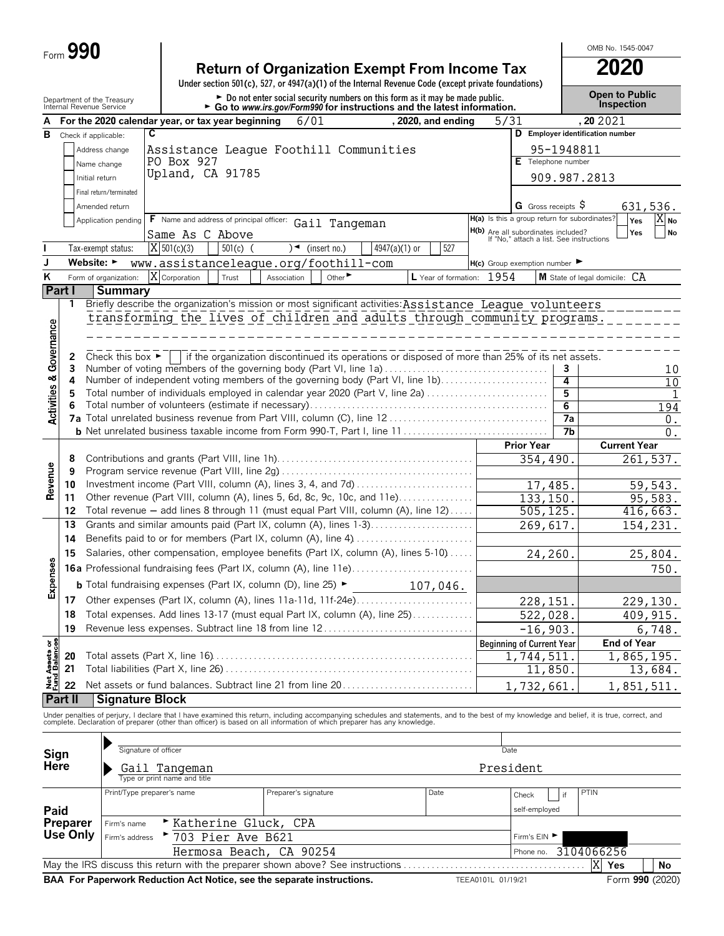| Form $\boldsymbol{J}$ | <b>90</b> |
|-----------------------|-----------|
|                       |           |

| <b>Return of Organization Exempt From Income Tax</b>                                               | 2020 |
|----------------------------------------------------------------------------------------------------|------|
| Under section 501(c), 527, or 4947(a)(1) of the Internal Revenue Code (except private foundations) |      |
|                                                                                                    |      |

Open to Public<br> **Do not enter social security numbers on this form as it may be made public.** 

OMB No. 1545-0047

|                           | Department of the Treasury<br>Internal Revenue Service              |                                                                                   |                                                                                                                                                                                                                                   | • Go to www.irs.gov/Form990 for instructions and the latest information. |                             |                           |      |                                                                                 |                       | Inspection                       |                   |
|---------------------------|---------------------------------------------------------------------|-----------------------------------------------------------------------------------|-----------------------------------------------------------------------------------------------------------------------------------------------------------------------------------------------------------------------------------|--------------------------------------------------------------------------|-----------------------------|---------------------------|------|---------------------------------------------------------------------------------|-----------------------|----------------------------------|-------------------|
|                           |                                                                     |                                                                                   | For the 2020 calendar year, or tax year beginning                                                                                                                                                                                 | 6/01                                                                     |                             | $, 2020,$ and ending      | 5/31 |                                                                                 |                       | ,20 20 21                        |                   |
| в                         | Check if applicable:                                                | C                                                                                 |                                                                                                                                                                                                                                   |                                                                          |                             |                           |      |                                                                                 |                       | D Employer identification number |                   |
|                           |                                                                     | Address change                                                                    | Assistance League Foothill Communities                                                                                                                                                                                            |                                                                          |                             |                           |      |                                                                                 | 95-1948811            |                                  |                   |
|                           |                                                                     | Name change                                                                       | PO Box 927                                                                                                                                                                                                                        |                                                                          |                             |                           |      | E Telephone number                                                              |                       |                                  |                   |
|                           | Initial return                                                      |                                                                                   | Upland, CA 91785                                                                                                                                                                                                                  |                                                                          |                             |                           |      |                                                                                 |                       | 909.987.2813                     |                   |
|                           |                                                                     | Final return/terminated                                                           |                                                                                                                                                                                                                                   |                                                                          |                             |                           |      |                                                                                 |                       |                                  |                   |
|                           |                                                                     | Amended return                                                                    |                                                                                                                                                                                                                                   |                                                                          |                             |                           |      | G Gross receipts $\$$                                                           |                       |                                  | 631,536.          |
|                           |                                                                     | Application pending                                                               | F Name and address of principal officer: Gail Tangeman                                                                                                                                                                            |                                                                          |                             |                           |      | H(a) Is this a group return for subordinates?                                   |                       | Yes                              | $X_{\mathsf{No}}$ |
|                           |                                                                     |                                                                                   | Same As C Above                                                                                                                                                                                                                   |                                                                          |                             |                           |      | H(b) Are all subordinates included?<br>If "No," attach a list. See instructions |                       | Yes                              | No                |
|                           |                                                                     | Tax-exempt status:                                                                | $X$ 501(c)(3)<br>$501(c)$ (                                                                                                                                                                                                       | $\sqrt{ }$ (insert no.)                                                  | $4947(a)(1)$ or             | 527                       |      |                                                                                 |                       |                                  |                   |
| J                         | Website: ►                                                          |                                                                                   | www.assistanceleague.org/foothill-com                                                                                                                                                                                             |                                                                          |                             |                           |      | $H(c)$ Group exemption number $\blacktriangleright$                             |                       |                                  |                   |
| ĸ                         |                                                                     | Form of organization:                                                             | X Corporation<br>Trust                                                                                                                                                                                                            | Association                                                              | Other $\blacktriangleright$ | L Year of formation: 1954 |      |                                                                                 |                       | M State of legal domicile: CA    |                   |
|                           | Part I                                                              | Summary                                                                           |                                                                                                                                                                                                                                   |                                                                          |                             |                           |      |                                                                                 |                       |                                  |                   |
|                           | 1                                                                   |                                                                                   | Briefly describe the organization's mission or most significant activities: Assistance League volunteers                                                                                                                          |                                                                          |                             |                           |      |                                                                                 |                       |                                  |                   |
|                           |                                                                     |                                                                                   | transforming the lives of children and adults through community programs.                                                                                                                                                         |                                                                          |                             |                           |      |                                                                                 |                       |                                  |                   |
|                           |                                                                     |                                                                                   |                                                                                                                                                                                                                                   |                                                                          |                             |                           |      |                                                                                 |                       |                                  |                   |
|                           |                                                                     |                                                                                   |                                                                                                                                                                                                                                   |                                                                          |                             |                           |      |                                                                                 |                       |                                  |                   |
| Governance                | 2                                                                   | Check this box $\blacktriangleright$                                              | if the organization discontinued its operations or disposed of more than 25% of its net assets.                                                                                                                                   |                                                                          |                             |                           |      |                                                                                 |                       |                                  |                   |
|                           | 3                                                                   |                                                                                   | Number of voting members of the governing body (Part VI, line 1a)                                                                                                                                                                 |                                                                          |                             |                           |      |                                                                                 | 3                     |                                  | 10                |
|                           | 4                                                                   |                                                                                   | Number of independent voting members of the governing body (Part VI, line 1b)                                                                                                                                                     |                                                                          |                             |                           |      |                                                                                 | 4                     |                                  | 10                |
| <b>Activities &amp;</b>   | 5                                                                   |                                                                                   | Total number of individuals employed in calendar year 2020 (Part V, line 2a)                                                                                                                                                      |                                                                          |                             |                           |      |                                                                                 | 5                     |                                  |                   |
|                           | 6                                                                   |                                                                                   |                                                                                                                                                                                                                                   |                                                                          |                             |                           |      |                                                                                 | 6                     |                                  | 194               |
|                           |                                                                     |                                                                                   |                                                                                                                                                                                                                                   |                                                                          |                             |                           |      |                                                                                 | $\overline{7a}$<br>7b |                                  | $0$ .             |
|                           |                                                                     |                                                                                   |                                                                                                                                                                                                                                   |                                                                          |                             |                           |      | <b>Prior Year</b>                                                               |                       | <b>Current Year</b>              | 0.                |
|                           | 8                                                                   |                                                                                   |                                                                                                                                                                                                                                   |                                                                          |                             |                           |      |                                                                                 |                       |                                  |                   |
|                           | 9                                                                   |                                                                                   |                                                                                                                                                                                                                                   |                                                                          | 354,490.                    |                           |      | 261,537.                                                                        |                       |                                  |                   |
| Revenue                   | Investment income (Part VIII, column (A), lines 3, 4, and 7d)<br>10 |                                                                                   |                                                                                                                                                                                                                                   |                                                                          |                             |                           |      | 17,485.                                                                         |                       |                                  | 59,543.           |
|                           | 11                                                                  |                                                                                   | Other revenue (Part VIII, column (A), lines 5, 6d, 8c, 9c, 10c, and 11e)                                                                                                                                                          |                                                                          | 133, 150.                   |                           |      | 95,583.                                                                         |                       |                                  |                   |
|                           | 12                                                                  |                                                                                   | Total revenue - add lines 8 through 11 (must equal Part VIII, column (A), line 12)                                                                                                                                                |                                                                          |                             |                           |      | 505, 125.                                                                       |                       |                                  | 416,663.          |
|                           | 13                                                                  |                                                                                   | Grants and similar amounts paid (Part IX, column (A), lines 1-3)                                                                                                                                                                  |                                                                          |                             |                           |      | 269,617.                                                                        |                       |                                  | 154,231.          |
|                           | 14                                                                  |                                                                                   | Benefits paid to or for members (Part IX, column (A), line 4)                                                                                                                                                                     |                                                                          |                             |                           |      |                                                                                 |                       |                                  |                   |
|                           | 15                                                                  | Salaries, other compensation, employee benefits (Part IX, column (A), lines 5-10) |                                                                                                                                                                                                                                   |                                                                          |                             |                           |      |                                                                                 | 24,260.               |                                  | 25,804.           |
|                           |                                                                     | <b>16a</b> Professional fundraising fees (Part IX, column (A), line 11e)          |                                                                                                                                                                                                                                   |                                                                          |                             |                           |      |                                                                                 |                       |                                  | 750.              |
| Expenses                  |                                                                     |                                                                                   | <b>b</b> Total fundraising expenses (Part IX, column (D), line 25) $\blacktriangleright$                                                                                                                                          |                                                                          |                             | 107,046.                  |      |                                                                                 |                       |                                  |                   |
|                           |                                                                     |                                                                                   | Other expenses (Part IX, column (A), lines 11a-11d, 11f-24e)                                                                                                                                                                      |                                                                          |                             |                           |      |                                                                                 |                       |                                  |                   |
|                           | 17                                                                  |                                                                                   | Total expenses. Add lines 13-17 (must equal Part IX, column (A), line 25)                                                                                                                                                         |                                                                          |                             |                           |      | 228, 151.                                                                       |                       |                                  | 229,130.          |
|                           | 18<br>19                                                            |                                                                                   | Revenue less expenses. Subtract line 18 from line 12                                                                                                                                                                              |                                                                          |                             |                           |      | 522,028.                                                                        |                       |                                  | 409, 915.         |
|                           |                                                                     |                                                                                   |                                                                                                                                                                                                                                   |                                                                          |                             |                           |      | $-16,903.$                                                                      |                       |                                  | 6,748.            |
| ਨ 8ੂ                      | 20                                                                  |                                                                                   |                                                                                                                                                                                                                                   |                                                                          |                             |                           |      | <b>Beginning of Current Year</b><br>1,744,511                                   |                       | <b>End of Year</b>               | 1,865,195.        |
|                           | 21                                                                  |                                                                                   |                                                                                                                                                                                                                                   |                                                                          |                             |                           |      | 11,850.                                                                         |                       |                                  | 13,684.           |
| Net Assets<br>Fund Balanc | 22                                                                  |                                                                                   | Net assets or fund balances. Subtract line 21 from line 20                                                                                                                                                                        |                                                                          |                             |                           |      |                                                                                 |                       |                                  |                   |
|                           | Part II                                                             | <b>Signature Block</b>                                                            |                                                                                                                                                                                                                                   |                                                                          |                             |                           |      | 1,732,661                                                                       |                       |                                  | 1,851,511.        |
|                           |                                                                     |                                                                                   |                                                                                                                                                                                                                                   |                                                                          |                             |                           |      |                                                                                 |                       |                                  |                   |
|                           |                                                                     |                                                                                   | Under penalties of perjury, I declare that I have examined this return, including accompanying schedules and statements, and to the best of my knowledge and belief, it is true, correct, and<br>complete. Declaration of prepare |                                                                          |                             |                           |      |                                                                                 |                       |                                  |                   |
|                           |                                                                     |                                                                                   |                                                                                                                                                                                                                                   |                                                                          |                             |                           |      |                                                                                 |                       |                                  |                   |
| Sign                      |                                                                     | Signature of officer                                                              |                                                                                                                                                                                                                                   |                                                                          |                             |                           |      | Date                                                                            |                       |                                  |                   |
| Here                      |                                                                     |                                                                                   | Gail Tangeman                                                                                                                                                                                                                     |                                                                          |                             |                           |      | President                                                                       |                       |                                  |                   |
|                           |                                                                     |                                                                                   | Type or print name and title                                                                                                                                                                                                      |                                                                          |                             |                           |      |                                                                                 |                       |                                  |                   |
|                           |                                                                     | Print/Type preparer's name                                                        |                                                                                                                                                                                                                                   | Preparer's signature                                                     |                             | Date                      |      | Check                                                                           | if                    | PTIN                             |                   |
| Paid                      |                                                                     |                                                                                   |                                                                                                                                                                                                                                   |                                                                          |                             |                           |      | self-employed                                                                   |                       |                                  |                   |
|                           | Preparer                                                            | Firm's name                                                                       | Katherine Gluck, CPA                                                                                                                                                                                                              |                                                                          |                             |                           |      |                                                                                 |                       |                                  |                   |
|                           | Use Only                                                            | Firm's address                                                                    | 703 Pier Ave B621                                                                                                                                                                                                                 |                                                                          |                             |                           |      | Firm's EIN                                                                      |                       |                                  |                   |
|                           |                                                                     |                                                                                   | Hermosa Beach, CA 90254                                                                                                                                                                                                           |                                                                          |                             |                           |      | Phone no.                                                                       |                       | 3104066256                       |                   |
|                           |                                                                     |                                                                                   | May the IRS discuss this return with the preparer shown above? See instructions                                                                                                                                                   |                                                                          |                             |                           |      |                                                                                 |                       | X Yes                            | No                |

**BAA For Paperwork Reduction Act Notice, see the separate instructions.** TEEA0101L 01/19/21 Form 990 (2020)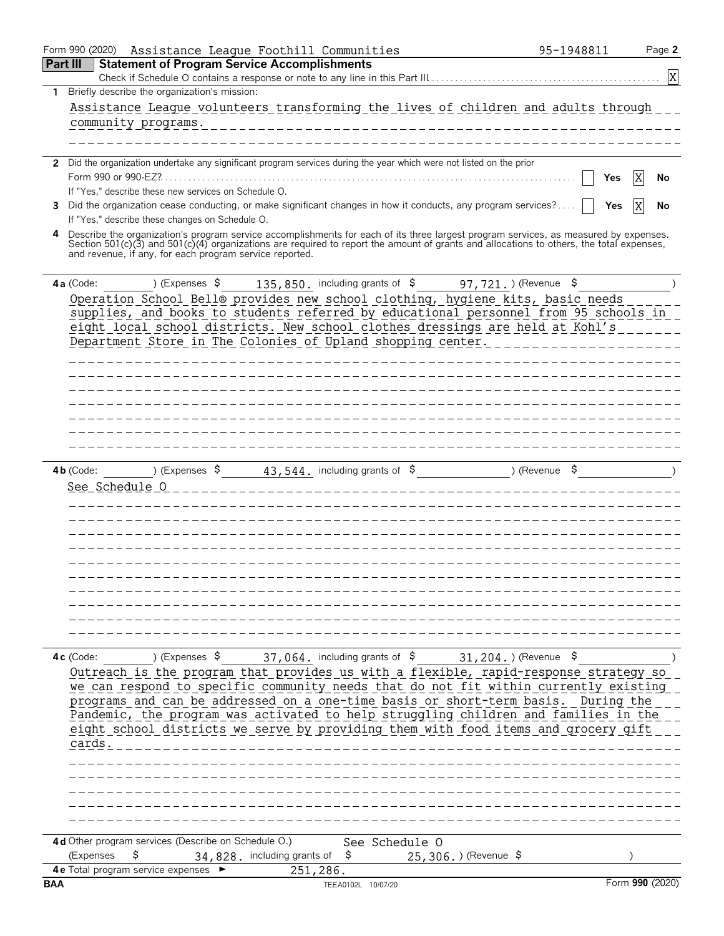|            | Form 990 (2020)<br>Assistance League Foothill Communities                                                                                                                                           | 95-1948811    | Page 2          |
|------------|-----------------------------------------------------------------------------------------------------------------------------------------------------------------------------------------------------|---------------|-----------------|
|            | <b>Part III</b><br><b>Statement of Program Service Accomplishments</b>                                                                                                                              |               |                 |
|            |                                                                                                                                                                                                     |               | X               |
| 1.         | Briefly describe the organization's mission:<br>Assistance League volunteers transforming the lives of children and adults through                                                                  |               |                 |
|            | community programs.                                                                                                                                                                                 |               |                 |
|            |                                                                                                                                                                                                     |               |                 |
|            |                                                                                                                                                                                                     |               |                 |
|            | 2 Did the organization undertake any significant program services during the year which were not listed on the prior                                                                                |               |                 |
|            | If "Yes," describe these new services on Schedule O.                                                                                                                                                | Yes           | ΙX<br>No        |
| 3          | Did the organization cease conducting, or make significant changes in how it conducts, any program services?                                                                                        | Yes           | No              |
|            | If "Yes," describe these changes on Schedule O.                                                                                                                                                     |               |                 |
| 4          | Describe the organization's program service accomplishments for each of its three largest program services, as measured by expenses.                                                                |               |                 |
|            | Section 501(c)(3) and 501(c)(4) organizations are required to report the amount of grants and allocations to others, the total expenses,<br>and revenue, if any, for each program service reported. |               |                 |
|            |                                                                                                                                                                                                     |               |                 |
|            | 135,850, including grants of \$97,721, ) (Revenue \$<br>) (Expenses \$<br>$4a$ (Code:                                                                                                               |               |                 |
|            | Operation School Bell® provides new school clothing, hygiene kits, basic needs                                                                                                                      |               |                 |
|            | supplies, and books to students referred by educational personnel from 95 schools in                                                                                                                |               |                 |
|            | eight local school districts. New school clothes dressings are held at Kohl's                                                                                                                       |               |                 |
|            | Department Store in The Colonies of Upland shopping center.                                                                                                                                         |               |                 |
|            |                                                                                                                                                                                                     |               |                 |
|            |                                                                                                                                                                                                     |               |                 |
|            |                                                                                                                                                                                                     |               |                 |
|            |                                                                                                                                                                                                     |               |                 |
|            |                                                                                                                                                                                                     |               |                 |
|            |                                                                                                                                                                                                     |               |                 |
|            |                                                                                                                                                                                                     |               |                 |
|            | ) (Expenses $\sim$ 43, 544, including grants of $\sim$<br>$4b$ (Code:                                                                                                                               | ) (Revenue \$ |                 |
|            | See Schedule 0                                                                                                                                                                                      |               |                 |
|            |                                                                                                                                                                                                     |               |                 |
|            |                                                                                                                                                                                                     |               |                 |
|            |                                                                                                                                                                                                     |               |                 |
|            |                                                                                                                                                                                                     |               |                 |
|            |                                                                                                                                                                                                     |               |                 |
|            |                                                                                                                                                                                                     |               |                 |
|            |                                                                                                                                                                                                     |               |                 |
|            |                                                                                                                                                                                                     |               |                 |
|            |                                                                                                                                                                                                     |               |                 |
|            | $37,064$ . including grants of $$$<br>) (Expenses $\frac{1}{2}$<br>$31, 204.$ (Revenue \$<br>$4c$ (Code:                                                                                            |               |                 |
|            | Outreach is the program that provides us with a flexible, rapid-response strategy so                                                                                                                |               |                 |
|            | we can respond to specific community needs that do not fit within currently existing                                                                                                                |               |                 |
|            | programs and can be addressed on a one-time basis or short-term basis. During the                                                                                                                   |               |                 |
|            | Pandemic, the program was activated to help struggling children and families in the                                                                                                                 |               |                 |
|            | eight school districts we serve by providing them with food items and grocery gift                                                                                                                  |               |                 |
|            | cards.                                                                                                                                                                                              |               |                 |
|            |                                                                                                                                                                                                     |               |                 |
|            |                                                                                                                                                                                                     |               |                 |
|            |                                                                                                                                                                                                     |               |                 |
|            |                                                                                                                                                                                                     |               |                 |
|            |                                                                                                                                                                                                     |               |                 |
|            | 4d Other program services (Describe on Schedule O.)<br>See Schedule O<br>\$<br>(Expenses<br>-\$<br>34,828. including grants of<br>25,306.) (Revenue \$                                              |               |                 |
|            | 4e Total program service expenses<br>251,286.                                                                                                                                                       |               |                 |
| <b>BAA</b> | TEEA0102L 10/07/20                                                                                                                                                                                  |               | Form 990 (2020) |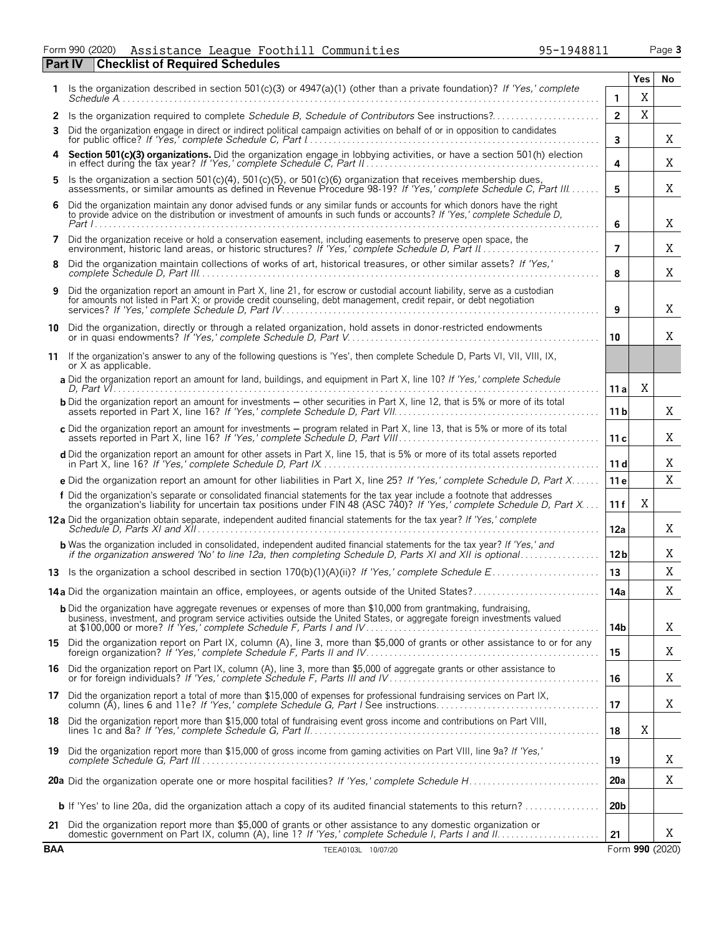Form 990 (2020) Assistance League Foothill Communities 95-1948811 Page **3** Assistance League Foothill Communities 95-1948811

| <b>Checklist of Required Schedules</b><br><b>Part IV</b> |                                                                                                                                                                                                                                                     |                 |             |                 |  |  |  |  |
|----------------------------------------------------------|-----------------------------------------------------------------------------------------------------------------------------------------------------------------------------------------------------------------------------------------------------|-----------------|-------------|-----------------|--|--|--|--|
|                                                          | Is the organization described in section 501(c)(3) or 4947(a)(1) (other than a private foundation)? If 'Yes,' complete                                                                                                                              |                 | Yes         | No              |  |  |  |  |
|                                                          |                                                                                                                                                                                                                                                     | $\mathbf{1}$    | X           |                 |  |  |  |  |
| 2                                                        | Is the organization required to complete Schedule B, Schedule of Contributors See instructions?                                                                                                                                                     | $\overline{2}$  | $\mathbf X$ |                 |  |  |  |  |
| 3                                                        | Did the organization engage in direct or indirect political campaign activities on behalf of or in opposition to candidates                                                                                                                         | 3               |             | Χ               |  |  |  |  |
|                                                          | Section 501(c)(3) organizations. Did the organization engage in lobbying activities, or have a section 501(h) election in effect during the tax year? If 'Yes,' complete Schedule C, Part II                                                        | 4               |             | Χ               |  |  |  |  |
| 5                                                        | Is the organization a section 501(c)(4), 501(c)(5), or 501(c)(6) organization that receives membership dues, assessments, or similar amounts as defined in Revenue Procedure 98-19? If 'Yes,' complete Schedule C, Part III                         | 5               |             | Χ               |  |  |  |  |
| 6                                                        | Did the organization maintain any donor advised funds or any similar funds or accounts for which donors have the right<br>to provide advice on the distribution or investment of amounts in such funds or accounts? If 'Yes,' complete Schedule D,  | 6               |             | Χ               |  |  |  |  |
| 7                                                        | Did the organization receive or hold a conservation easement, including easements to preserve open space, the                                                                                                                                       | $\overline{7}$  |             | Χ               |  |  |  |  |
| 8                                                        | Did the organization maintain collections of works of art, historical treasures, or other similar assets? If 'Yes,'                                                                                                                                 | 8               |             | X               |  |  |  |  |
| 9                                                        | Did the organization report an amount in Part X, line 21, for escrow or custodial account liability, serve as a custodian<br>for amounts not listed in Part X; or provide credit counseling, debt management, credit repair, or debt negotiation    | 9               |             | Χ               |  |  |  |  |
| 10                                                       | Did the organization, directly or through a related organization, hold assets in donor-restricted endowments<br>or in quasi endowments? If 'Yes,' complete Schedule D, Part V.                                                                      | 10              |             | Χ               |  |  |  |  |
| 11                                                       | If the organization's answer to any of the following questions is 'Yes', then complete Schedule D, Parts VI, VII, VIII, IX,<br>or X as applicable.                                                                                                  |                 |             |                 |  |  |  |  |
|                                                          | a Did the organization report an amount for land, buildings, and equipment in Part X, line 10? If 'Yes,' complete Schedule                                                                                                                          | 11 a            | X           |                 |  |  |  |  |
|                                                          | <b>b</b> Did the organization report an amount for investments – other securities in Part X, line 12, that is 5% or more of its total                                                                                                               | 11 <sub>b</sub> |             | Χ               |  |  |  |  |
|                                                          | c Did the organization report an amount for investments - program related in Part X, line 13, that is 5% or more of its total                                                                                                                       | 11c             |             | Χ               |  |  |  |  |
|                                                          | d Did the organization report an amount for other assets in Part X, line 15, that is 5% or more of its total assets reported                                                                                                                        | 11 d            |             | X               |  |  |  |  |
|                                                          | e Did the organization report an amount for other liabilities in Part X, line 25? If 'Yes,' complete Schedule D, Part X                                                                                                                             | 11 e            |             | X               |  |  |  |  |
|                                                          | f Did the organization's separate or consolidated financial statements for the tax year include a footnote that addresses<br>the organization's liability for uncertain tax positions under FIN 48 (ASC 740)? If 'Yes,' complete Schedule D, Part X | 11 f            | Χ           |                 |  |  |  |  |
|                                                          | 12a Did the organization obtain separate, independent audited financial statements for the tax year? If 'Yes,' complete                                                                                                                             | 12a             |             | Χ               |  |  |  |  |
|                                                          | <b>b</b> Was the organization included in consolidated, independent audited financial statements for the tax year? If 'Yes,' and                                                                                                                    | 12 <sub>b</sub> |             | X               |  |  |  |  |
|                                                          |                                                                                                                                                                                                                                                     | 13              |             | X               |  |  |  |  |
|                                                          | 14a Did the organization maintain an office, employees, or agents outside of the United States?                                                                                                                                                     | 14a             |             | X               |  |  |  |  |
|                                                          | <b>b</b> Did the organization have aggregate revenues or expenses of more than \$10,000 from grantmaking, fundraising,<br>business, investment, and program service activities outside the United States, or aggregate foreign investments valued   | 14b             |             | Χ               |  |  |  |  |
|                                                          | 15 Did the organization report on Part IX, column (A), line 3, more than \$5,000 of grants or other assistance to or for any foreign organization? If 'Yes,' complete Schedule F, Parts II and IV                                                   | 15              |             | Χ               |  |  |  |  |
|                                                          | 16 Did the organization report on Part IX, column (A), line 3, more than \$5,000 of aggregate grants or other assistance to<br>or for foreign individuals? If 'Yes,' complete Schedule F, Parts III and IV                                          | 16              |             | X               |  |  |  |  |
|                                                          | 17 Did the organization report a total of more than \$15,000 of expenses for professional fundraising services on Part IX,<br>column (A), lines 6 and 11e? If 'Yes,' complete Schedule G, Part I See instructions                                   | 17              |             | X               |  |  |  |  |
|                                                          | 18 Did the organization report more than \$15,000 total of fundraising event gross income and contributions on Part VIII,                                                                                                                           | 18              | X           |                 |  |  |  |  |
|                                                          | 19 Did the organization report more than \$15,000 of gross income from gaming activities on Part VIII, line 9a? If 'Yes,'                                                                                                                           | 19              |             | X               |  |  |  |  |
|                                                          |                                                                                                                                                                                                                                                     | 20a             |             | X               |  |  |  |  |
|                                                          | <b>b</b> If 'Yes' to line 20a, did the organization attach a copy of its audited financial statements to this return?                                                                                                                               | 20 <sub>b</sub> |             |                 |  |  |  |  |
|                                                          | 21 Did the organization report more than \$5,000 of grants or other assistance to any domestic organization or                                                                                                                                      | 21              |             | Χ               |  |  |  |  |
| <b>BAA</b>                                               | TEEA0103L 10/07/20                                                                                                                                                                                                                                  |                 |             | Form 990 (2020) |  |  |  |  |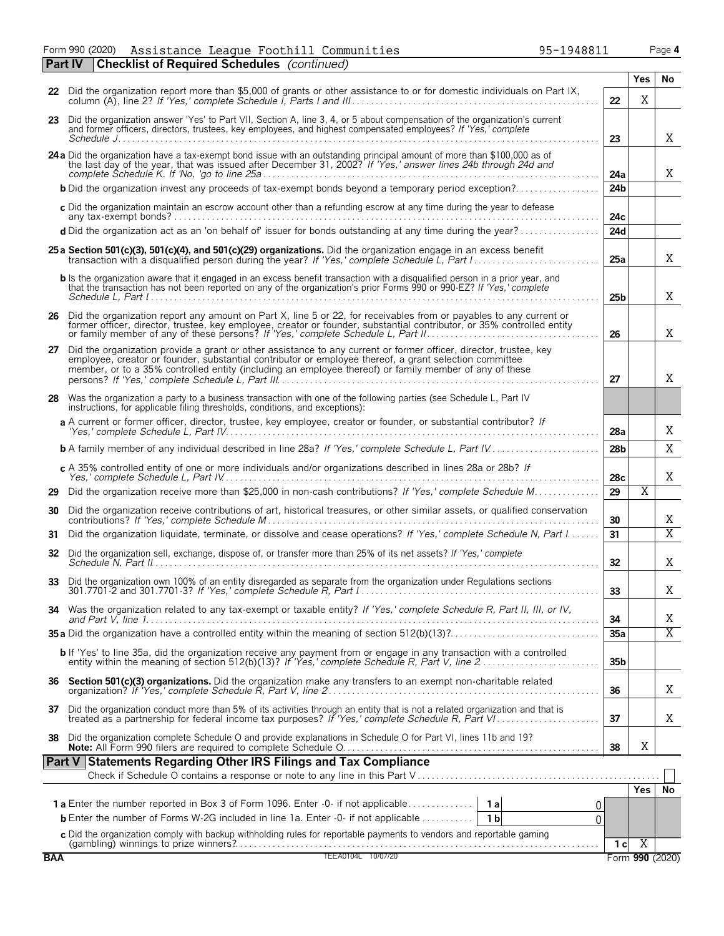Form 990 (2020) Page **4** Assistance League Foothill Communities 95-1948811

**Part IV Checklist of Required Schedules** *(continued)*

|            | 22 Did the organization report more than \$5,000 of grants or other assistance to or for domestic individuals on Part IX,<br>22                                                                                                                                                                                                          |                 |     |                 |  |  |  |  |
|------------|------------------------------------------------------------------------------------------------------------------------------------------------------------------------------------------------------------------------------------------------------------------------------------------------------------------------------------------|-----------------|-----|-----------------|--|--|--|--|
|            | 23 Did the organization answer 'Yes' to Part VII, Section A, line 3, 4, or 5 about compensation of the organization's current<br>and former officers, directors, trustees, key employees, and highest compensated employees? If 'Yes,' complete<br>23                                                                                    |                 |     |                 |  |  |  |  |
|            | 24 a Did the organization have a tax-exempt bond issue with an outstanding principal amount of more than \$100,000 as of<br>the last day of the year, that was issued after December 31, 2002? If 'Yes,' answer lines 24b through 24d and                                                                                                | 24a             |     | X               |  |  |  |  |
|            | <b>b</b> Did the organization invest any proceeds of tax-exempt bonds beyond a temporary period exception?                                                                                                                                                                                                                               | 24b             |     |                 |  |  |  |  |
|            | c Did the organization maintain an escrow account other than a refunding escrow at any time during the year to defease                                                                                                                                                                                                                   | 24c             |     |                 |  |  |  |  |
|            | d Did the organization act as an 'on behalf of' issuer for bonds outstanding at any time during the year?                                                                                                                                                                                                                                | 24d             |     |                 |  |  |  |  |
|            | 25 a Section 501(c)(3), 501(c)(4), and 501(c)(29) organizations. Did the organization engage in an excess benefit                                                                                                                                                                                                                        | 25a             |     | X               |  |  |  |  |
|            | <b>b</b> Is the organization aware that it engaged in an excess benefit transaction with a disqualified person in a prior year, and<br>that the transaction has not been reported on any of the organization's prior Forms 990 or 990-EZ? If 'Yes,' complete                                                                             | 25 <sub>b</sub> |     | X               |  |  |  |  |
|            | 26 Did the organization report any amount on Part X, line 5 or 22, for receivables from or payables to any current or former officer, director, trustee, key employee, creator or founder, substantial contributor, or 35% con<br>or family member of any of these persons? If 'Yes,' complete Schedule L, Part II.                      | 26              |     | X               |  |  |  |  |
|            | 27 Did the organization provide a grant or other assistance to any current or former officer, director, trustee, key<br>employee, creator or founder, substantial contributor or employee thereof, a grant selection committee<br>member, or to a 35% controlled entity (including an employee thereof) or family member of any of these | 27              |     | X               |  |  |  |  |
| 28         | Was the organization a party to a business transaction with one of the following parties (see Schedule L, Part IV<br>instructions, for applicable filing thresholds, conditions, and exceptions):                                                                                                                                        |                 |     |                 |  |  |  |  |
|            | a A current or former officer, director, trustee, key employee, creator or founder, or substantial contributor? If                                                                                                                                                                                                                       | 28a             |     | X               |  |  |  |  |
|            |                                                                                                                                                                                                                                                                                                                                          | 28 <sub>b</sub> |     | X               |  |  |  |  |
|            | c A 35% controlled entity of one or more individuals and/or organizations described in lines 28a or 28b? If                                                                                                                                                                                                                              | 28c             |     | Χ               |  |  |  |  |
| 29         | Did the organization receive more than \$25,000 in non-cash contributions? If 'Yes,' complete Schedule M                                                                                                                                                                                                                                 | 29              | Χ   |                 |  |  |  |  |
| 30         | Did the organization receive contributions of art, historical treasures, or other similar assets, or qualified conservation                                                                                                                                                                                                              | 30              |     | X               |  |  |  |  |
| 31         | Did the organization liquidate, terminate, or dissolve and cease operations? If 'Yes,' complete Schedule N, Part I                                                                                                                                                                                                                       | 31              |     | $\overline{X}$  |  |  |  |  |
| 32         | Did the organization sell, exchange, dispose of, or transfer more than 25% of its net assets? If 'Yes,' complete                                                                                                                                                                                                                         | 32              |     | X               |  |  |  |  |
| 33         | Did the organization own 100% of an entity disregarded as separate from the organization under Regulations sections                                                                                                                                                                                                                      | 33              |     | X               |  |  |  |  |
|            | 34 Was the organization related to any tax-exempt or taxable entity? If 'Yes,' complete Schedule R, Part II, III, or IV,                                                                                                                                                                                                                 | 34              |     | X               |  |  |  |  |
|            |                                                                                                                                                                                                                                                                                                                                          | 35a             |     | $\overline{X}$  |  |  |  |  |
|            | b If 'Yes' to line 35a, did the organization receive any payment from or engage in any transaction with a controlled<br>entity within the meaning of section 512(b)(13)? If 'Yes,' complete Schedule R, Part V, line 2                                                                                                                   | 35 <sub>b</sub> |     |                 |  |  |  |  |
|            | 36 Section 501(c)(3) organizations. Did the organization make any transfers to an exempt non-charitable related                                                                                                                                                                                                                          | 36              |     | X               |  |  |  |  |
| 37         | Did the organization conduct more than 5% of its activities through an entity that is not a related organization and that is treated as a partnership for federal income tax purposes? If 'Yes,' complete Schedule R, Part VI.                                                                                                           | 37              |     | X               |  |  |  |  |
| 38         | Did the organization complete Schedule O and provide explanations in Schedule O for Part VI, lines 11b and 19?                                                                                                                                                                                                                           | 38              | X   |                 |  |  |  |  |
|            | Part V Statements Regarding Other IRS Filings and Tax Compliance                                                                                                                                                                                                                                                                         |                 |     |                 |  |  |  |  |
|            |                                                                                                                                                                                                                                                                                                                                          |                 | Yes | <b>No</b>       |  |  |  |  |
|            |                                                                                                                                                                                                                                                                                                                                          |                 |     |                 |  |  |  |  |
|            | <b>b</b> Enter the number of Forms W-2G included in line 1a. Enter $-0$ - if not applicable<br>1 b<br>0                                                                                                                                                                                                                                  |                 |     |                 |  |  |  |  |
|            |                                                                                                                                                                                                                                                                                                                                          |                 |     |                 |  |  |  |  |
| <b>BAA</b> | TEEA0104L 10/07/20                                                                                                                                                                                                                                                                                                                       | 1 <sub>c</sub>  | X   | Form 990 (2020) |  |  |  |  |
|            |                                                                                                                                                                                                                                                                                                                                          |                 |     |                 |  |  |  |  |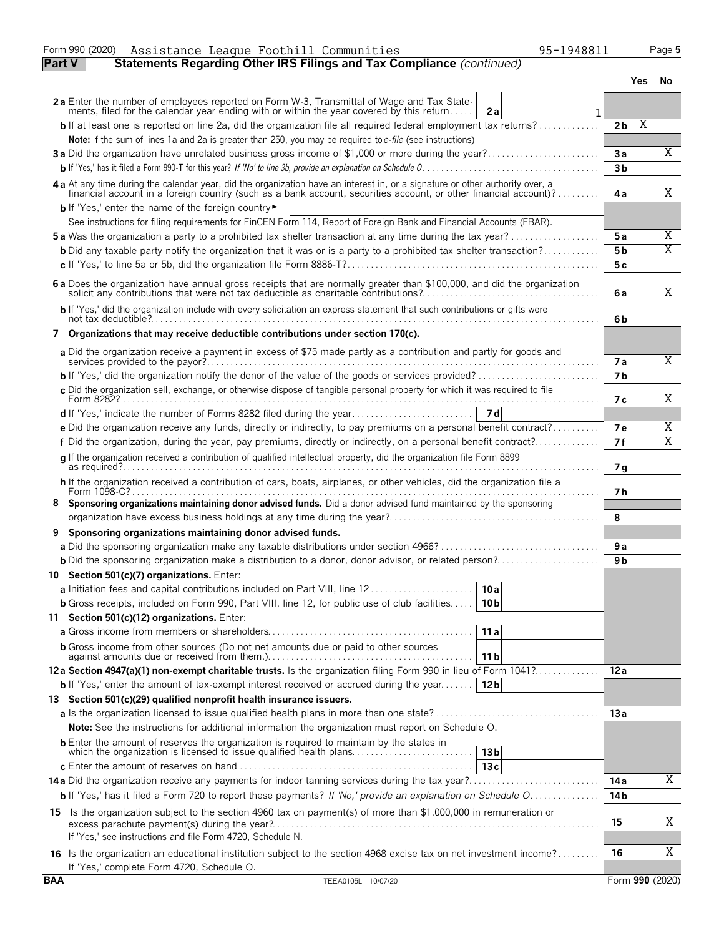|               | 95-1948811<br>Form 990 (2020)<br>Assistance League Foothill Communities                                                                                                                                                                          |                |     | Page 5          |
|---------------|--------------------------------------------------------------------------------------------------------------------------------------------------------------------------------------------------------------------------------------------------|----------------|-----|-----------------|
| <b>Part V</b> | Statements Regarding Other IRS Filings and Tax Compliance (continued)                                                                                                                                                                            |                |     |                 |
|               |                                                                                                                                                                                                                                                  |                | Yes | No              |
|               | 2a Enter the number of employees reported on Form W-3, Transmittal of Wage and Tax State-                                                                                                                                                        |                |     |                 |
|               | ments, filed for the calendar year ending with or within the year covered by this return<br>2a                                                                                                                                                   |                |     |                 |
|               | <b>b</b> If at least one is reported on line 2a, did the organization file all required federal employment tax returns?                                                                                                                          | 2 <sub>b</sub> | Χ   |                 |
|               | Note: If the sum of lines 1a and 2a is greater than 250, you may be required to e-file (see instructions)                                                                                                                                        |                |     |                 |
|               | 3a Did the organization have unrelated business gross income of \$1,000 or more during the year?                                                                                                                                                 | 3a             |     | $\overline{X}$  |
|               |                                                                                                                                                                                                                                                  | 3 <sub>b</sub> |     |                 |
|               | 4a At any time during the calendar year, did the organization have an interest in, or a signature or other authority over, a<br>financial account in a foreign country (such as a bank account, securities account, or other financial account)? | 4a             |     | Χ               |
|               | <b>b</b> If 'Yes,' enter the name of the foreign country                                                                                                                                                                                         |                |     |                 |
|               | See instructions for filing requirements for FinCEN Form 114, Report of Foreign Bank and Financial Accounts (FBAR).                                                                                                                              |                |     |                 |
|               | <b>5a</b> Was the organization a party to a prohibited tax shelter transaction at any time during the tax year?                                                                                                                                  | 5a             |     | Χ               |
|               | <b>b</b> Did any taxable party notify the organization that it was or is a party to a prohibited tax shelter transaction?                                                                                                                        | 5 <sub>b</sub> |     | Χ               |
|               |                                                                                                                                                                                                                                                  | 5с             |     |                 |
|               | 6 a Does the organization have annual gross receipts that are normally greater than \$100,000, and did the organization solicit any contributions that were not tax deductible as charitable contributions?                                      | 6a             |     | Χ               |
|               | b If 'Yes,' did the organization include with every solicitation an express statement that such contributions or gifts were                                                                                                                      | 6b             |     |                 |
|               | 7 Organizations that may receive deductible contributions under section 170(c).                                                                                                                                                                  |                |     |                 |
|               |                                                                                                                                                                                                                                                  |                |     |                 |
|               | a Did the organization receive a payment in excess of \$75 made partly as a contribution and partly for goods and                                                                                                                                | <b>7a</b>      |     | Χ               |
|               |                                                                                                                                                                                                                                                  | 7 <sub>b</sub> |     |                 |
|               | c Did the organization sell, exchange, or otherwise dispose of tangible personal property for which it was required to file                                                                                                                      | 7 с            |     | Χ               |
|               |                                                                                                                                                                                                                                                  |                |     |                 |
|               | e Did the organization receive any funds, directly or indirectly, to pay premiums on a personal benefit contract?                                                                                                                                | <b>7e</b>      |     | Χ               |
|               | f Did the organization, during the year, pay premiums, directly or indirectly, on a personal benefit contract?                                                                                                                                   | 7f             |     | Χ               |
|               | g If the organization received a contribution of qualified intellectual property, did the organization file Form 8899                                                                                                                            |                |     |                 |
|               |                                                                                                                                                                                                                                                  | 7 <sub>q</sub> |     |                 |
|               | h If the organization received a contribution of cars, boats, airplanes, or other vehicles, did the organization file a                                                                                                                          | 7 h            |     |                 |
| 8             | Sponsoring organizations maintaining donor advised funds. Did a donor advised fund maintained by the sponsoring                                                                                                                                  |                |     |                 |
|               |                                                                                                                                                                                                                                                  | 8              |     |                 |
| 9             | Sponsoring organizations maintaining donor advised funds.                                                                                                                                                                                        |                |     |                 |
|               |                                                                                                                                                                                                                                                  | 9 a            |     |                 |
|               |                                                                                                                                                                                                                                                  | 9 <sub>b</sub> |     |                 |
|               | 10 Section 501(c)(7) organizations. Enter:                                                                                                                                                                                                       |                |     |                 |
|               | 10 a                                                                                                                                                                                                                                             |                |     |                 |
|               | <b>b</b> Gross receipts, included on Form 990, Part VIII, line 12, for public use of club facilities<br>10 <sub>b</sub>                                                                                                                          |                |     |                 |
|               | 11 Section 501(c)(12) organizations. Enter:                                                                                                                                                                                                      |                |     |                 |
|               | 11a                                                                                                                                                                                                                                              |                |     |                 |
|               | <b>b</b> Gross income from other sources (Do not net amounts due or paid to other sources                                                                                                                                                        |                |     |                 |
|               | 11 b                                                                                                                                                                                                                                             |                |     |                 |
|               | 12a Section 4947(a)(1) non-exempt charitable trusts. Is the organization filing Form 990 in lieu of Form 1041?                                                                                                                                   | 12a            |     |                 |
|               | <b>b</b> If 'Yes,' enter the amount of tax-exempt interest received or accrued during the year<br>12 <sub>b</sub>                                                                                                                                |                |     |                 |
|               | 13 Section 501(c)(29) qualified nonprofit health insurance issuers.                                                                                                                                                                              |                |     |                 |
|               |                                                                                                                                                                                                                                                  | 13a            |     |                 |
|               | <b>Note:</b> See the instructions for additional information the organization must report on Schedule O.                                                                                                                                         |                |     |                 |
|               | <b>b</b> Enter the amount of reserves the organization is required to maintain by the states in<br>which the organization is licensed to issue qualified health plans<br>13 <sub>b</sub>                                                         |                |     |                 |
|               | 13c                                                                                                                                                                                                                                              |                |     |                 |
|               | 14a Did the organization receive any payments for indoor tanning services during the tax year?                                                                                                                                                   | 14 a           |     | Χ               |
|               | b If 'Yes,' has it filed a Form 720 to report these payments? If 'No,' provide an explanation on Schedule O                                                                                                                                      | 14 b           |     |                 |
|               | 15 Is the organization subject to the section 4960 tax on payment(s) of more than \$1,000,000 in remuneration or                                                                                                                                 |                |     |                 |
|               |                                                                                                                                                                                                                                                  | 15             |     | Χ               |
|               | If 'Yes,' see instructions and file Form 4720, Schedule N.                                                                                                                                                                                       |                |     |                 |
|               | 16 Is the organization an educational institution subject to the section 4968 excise tax on net investment income?                                                                                                                               | 16             |     | Χ               |
|               | If 'Yes,' complete Form 4720, Schedule O.                                                                                                                                                                                                        |                |     |                 |
| <b>BAA</b>    | TEEA0105L 10/07/20                                                                                                                                                                                                                               |                |     | Form 990 (2020) |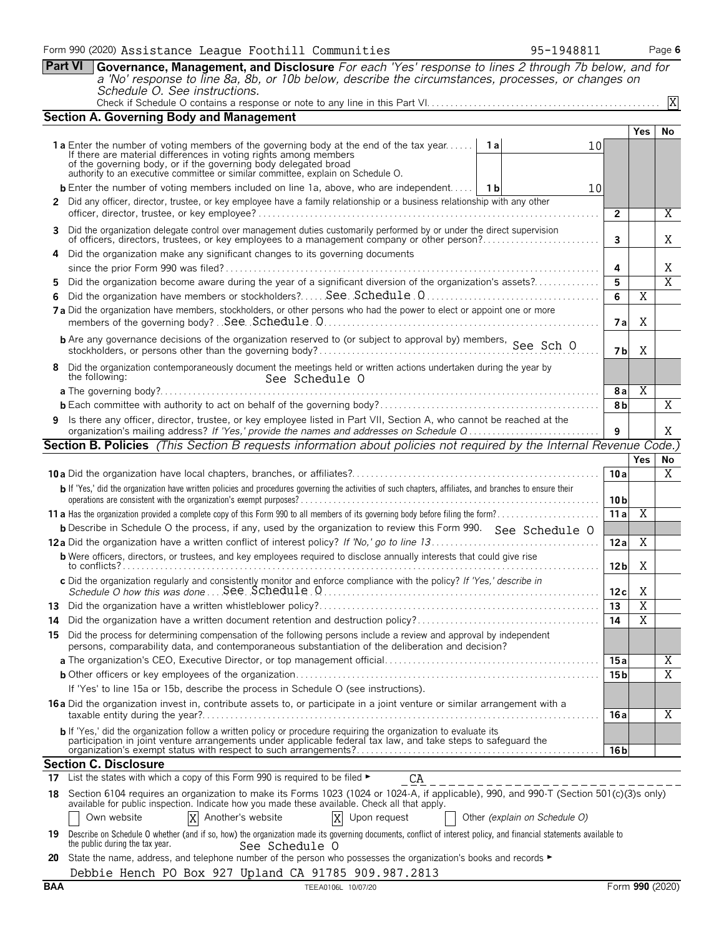|         | Part VI<br>Governance, Management, and Disclosure For each 'Yes' response to lines 2 through 7b below, and for<br>a 'No' response to line 8a, 8b, or 10b below, describe the circumstances, processes, or changes on                                                                                                                      |                 |                         |                       |  |  |  |  |
|---------|-------------------------------------------------------------------------------------------------------------------------------------------------------------------------------------------------------------------------------------------------------------------------------------------------------------------------------------------|-----------------|-------------------------|-----------------------|--|--|--|--|
|         | Schedule O. See instructions.                                                                                                                                                                                                                                                                                                             |                 |                         |                       |  |  |  |  |
|         |                                                                                                                                                                                                                                                                                                                                           |                 |                         | X                     |  |  |  |  |
|         | <b>Section A. Governing Body and Management</b>                                                                                                                                                                                                                                                                                           |                 |                         |                       |  |  |  |  |
|         | <b>1a</b> Enter the number of voting members of the governing body at the end of the tax year<br>1 a<br>If there are material differences in voting rights among members<br>of the governing body, or if the governing body delegated broad authority to an executive committee or similar committee, explain on Schedule O.              | 10              | <b>Yes</b>              | No                    |  |  |  |  |
|         | <b>b</b> Enter the number of voting members included on line 1a, above, who are independent   1b                                                                                                                                                                                                                                          |                 |                         |                       |  |  |  |  |
|         | 10<br>2 Did any officer, director, trustee, or key employee have a family relationship or a business relationship with any other                                                                                                                                                                                                          |                 |                         |                       |  |  |  |  |
|         |                                                                                                                                                                                                                                                                                                                                           |                 |                         |                       |  |  |  |  |
|         | Did the organization delegate control over management duties customarily performed by or under the direct supervision<br>3<br>of officers, directors, trustees, or key employees to a management company or other person?                                                                                                                 |                 |                         |                       |  |  |  |  |
|         | Did the organization make any significant changes to its governing documents                                                                                                                                                                                                                                                              |                 |                         |                       |  |  |  |  |
|         | Did the organization become aware during the year of a significant diversion of the organization's assets?                                                                                                                                                                                                                                | 4<br>5          |                         | X<br>$\overline{X}$   |  |  |  |  |
| 5.<br>6 |                                                                                                                                                                                                                                                                                                                                           | 6               | $\overline{\text{X}}$   |                       |  |  |  |  |
|         | 7 a Did the organization have members, stockholders, or other persons who had the power to elect or appoint one or more                                                                                                                                                                                                                   | 7 a             | X                       |                       |  |  |  |  |
|         |                                                                                                                                                                                                                                                                                                                                           | 7 b             | X                       |                       |  |  |  |  |
| 8       | Did the organization contemporaneously document the meetings held or written actions undertaken during the year by<br>the following:<br>See Schedule O                                                                                                                                                                                    |                 |                         |                       |  |  |  |  |
|         |                                                                                                                                                                                                                                                                                                                                           | 8 a             | $\overline{X}$          |                       |  |  |  |  |
|         |                                                                                                                                                                                                                                                                                                                                           | 8b              |                         | $\overline{X}$        |  |  |  |  |
|         | 9 Is there any officer, director, trustee, or key employee listed in Part VII, Section A, who cannot be reached at the<br>organization's mailing address? If 'Yes,' provide the names and addresses on Schedule Q                                                                                                                         | 9               |                         | X                     |  |  |  |  |
|         | Section B. Policies (This Section B requests information about policies not required by the Internal Revenue Code.)                                                                                                                                                                                                                       |                 |                         |                       |  |  |  |  |
|         |                                                                                                                                                                                                                                                                                                                                           |                 | Yes                     | No                    |  |  |  |  |
|         |                                                                                                                                                                                                                                                                                                                                           | 10a             |                         | X                     |  |  |  |  |
|         | b If 'Yes,' did the organization have written policies and procedures governing the activities of such chapters, affiliates, and branches to ensure their                                                                                                                                                                                 | 10 <sub>b</sub> |                         |                       |  |  |  |  |
|         |                                                                                                                                                                                                                                                                                                                                           | 11a             | Χ                       |                       |  |  |  |  |
|         | <b>b</b> Describe in Schedule O the process, if any, used by the organization to review this Form 990. See Schedule O                                                                                                                                                                                                                     |                 |                         |                       |  |  |  |  |
|         |                                                                                                                                                                                                                                                                                                                                           | 12a             | Χ                       |                       |  |  |  |  |
|         | <b>b</b> Were officers, directors, or trustees, and key employees required to disclose annually interests that could give rise                                                                                                                                                                                                            | 12 <sub>b</sub> | Χ                       |                       |  |  |  |  |
|         | c Did the organization regularly and consistently monitor and enforce compliance with the policy? If 'Yes,' describe in                                                                                                                                                                                                                   | 12 c            | Χ                       |                       |  |  |  |  |
| 13      |                                                                                                                                                                                                                                                                                                                                           | 13              | X                       |                       |  |  |  |  |
| 14      | Did the organization have a written document retention and destruction policy?                                                                                                                                                                                                                                                            | 14              | $\overline{\mathrm{X}}$ |                       |  |  |  |  |
| 15      | Did the process for determining compensation of the following persons include a review and approval by independent<br>persons, comparability data, and contemporaneous substantiation of the deliberation and decision?                                                                                                                   |                 |                         |                       |  |  |  |  |
|         |                                                                                                                                                                                                                                                                                                                                           | 15a             |                         | Χ                     |  |  |  |  |
|         | If 'Yes' to line 15a or 15b, describe the process in Schedule O (see instructions).                                                                                                                                                                                                                                                       | 15 <sub>b</sub> |                         | $\overline{\text{X}}$ |  |  |  |  |
|         | <b>16a</b> Did the organization invest in, contribute assets to, or participate in a joint venture or similar arrangement with a                                                                                                                                                                                                          |                 |                         |                       |  |  |  |  |
|         |                                                                                                                                                                                                                                                                                                                                           | 16 a            |                         | X                     |  |  |  |  |
|         | b If 'Yes,' did the organization follow a written policy or procedure requiring the organization to evaluate its<br>participation in joint venture arrangements under applicable federal tax law, and take steps to safeguard the                                                                                                         | 16 b            |                         |                       |  |  |  |  |
|         | <b>Section C. Disclosure</b>                                                                                                                                                                                                                                                                                                              |                 |                         |                       |  |  |  |  |
| 17      | List the states with which a copy of this Form 990 is required to be filed ►<br>CA                                                                                                                                                                                                                                                        |                 |                         |                       |  |  |  |  |
|         | 18 Section 6104 requires an organization to make its Forms 1023 (1024 or 1024-A, if applicable), 990, and 990-T (Section 501(c)(3)s only)<br>available for public inspection. Indicate how you made these available. Check all that apply.<br>X<br>Another's website<br>Upon request<br>Own website<br>X<br>Other (explain on Schedule O) |                 |                         |                       |  |  |  |  |
| 19.     | Describe on Schedule O whether (and if so, how) the organization made its governing documents, conflict of interest policy, and financial statements available to<br>the public during the tax year.<br>See Schedule O                                                                                                                    |                 |                         |                       |  |  |  |  |
| 20      | State the name, address, and telephone number of the person who possesses the organization's books and records ►                                                                                                                                                                                                                          |                 |                         |                       |  |  |  |  |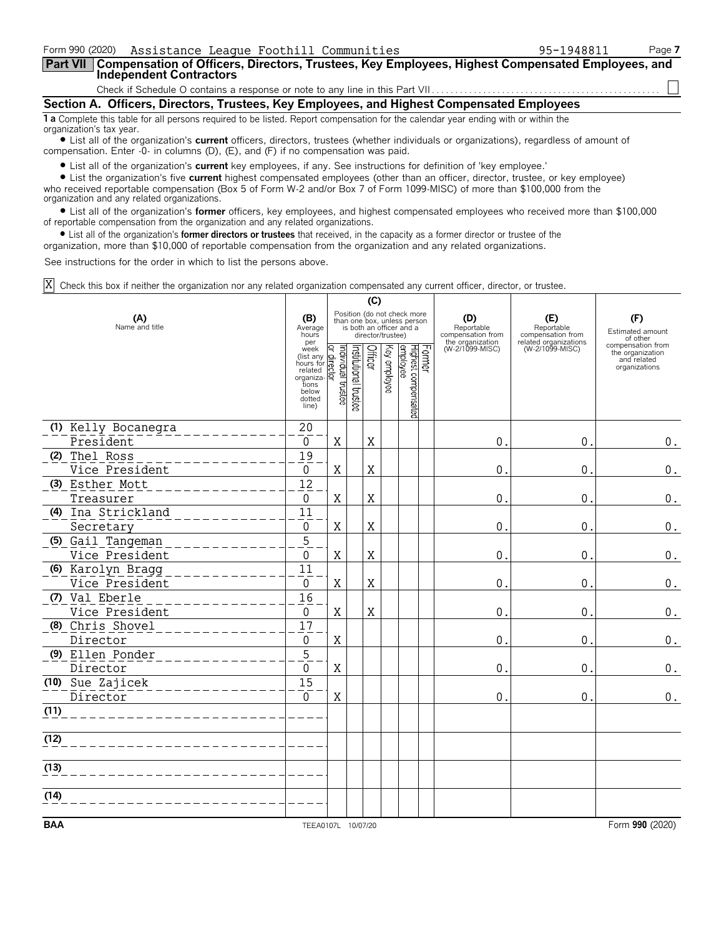| Form 990 (2020) Assistance League Foothill Communities                                                                                                         | 95-1948811 | Page 7 |  |  |  |  |  |
|----------------------------------------------------------------------------------------------------------------------------------------------------------------|------------|--------|--|--|--|--|--|
| Part VII   Compensation of Officers, Directors, Trustees, Key Employees, Highest Compensated Employees, and<br><b>Independent Contractors</b>                  |            |        |  |  |  |  |  |
|                                                                                                                                                                |            |        |  |  |  |  |  |
| Section A. Officers, Directors, Trustees, Key Employees, and Highest Compensated Employees                                                                     |            |        |  |  |  |  |  |
| 1 a Complete this table for all persons required to be listed. Report compensation for the calendar year ending with or within the<br>organization's tax year. |            |        |  |  |  |  |  |

? List all of the organization's **current** officers, directors, trustees (whether individuals or organizations), regardless of amount of compensation. Enter -0- in columns (D), (E), and (F) if no compensation was paid.

? List all of the organization's **current** key employees, if any. See instructions for definition of 'key employee.'

? List the organization's five **current** highest compensated employees (other than an officer, director, trustee, or key employee) who received reportable compensation (Box 5 of Form W-2 and/or Box 7 of Form 1099-MISC) of more than \$100,000 from the organization and any related organizations.

? List all of the organization's **former** officers, key employees, and highest compensated employees who received more than \$100,000 of reportable compensation from the organization and any related organizations.

? List all of the organization's **former directors or trustees** that received, in the capacity as a former director or trustee of the

organization, more than \$10,000 of reportable compensation from the organization and any related organizations.

See instructions for the order in which to list the persons above.

Check this box if neither the organization nor any related organization compensated any current officer, director, or trustee. X

|                              |                                                                                                                                     |                                                                                                             |                       | (C)     |              |                                            |                                                            |                                          |                                                                       |
|------------------------------|-------------------------------------------------------------------------------------------------------------------------------------|-------------------------------------------------------------------------------------------------------------|-----------------------|---------|--------------|--------------------------------------------|------------------------------------------------------------|------------------------------------------|-----------------------------------------------------------------------|
| (A)<br>Name and title        |                                                                                                                                     | Position (do not check more<br>than one box, unless person<br>is both an officer and a<br>director/trustee) |                       |         |              |                                            | (D)<br>Reportable<br>compensation from<br>the organization | (E)<br>Reportable<br>compensation from   | (F)<br>Estimated amount<br>of other                                   |
|                              | per<br>per<br>(list any great<br>(list any greated by<br>hours for related<br>related<br>tions<br>below<br>dotted<br>line)<br>line) |                                                                                                             | Institutional trustee | Officer | Key employee | Former<br>Highest compensated<br> employee | (W-2/1099-MISC)                                            | related organizations<br>(W-2/1099-MISC) | compensation from<br>the organization<br>and related<br>organizations |
| (1) Kelly Bocanegra          | $20$                                                                                                                                |                                                                                                             |                       |         |              |                                            |                                                            |                                          |                                                                       |
| President                    | 0                                                                                                                                   | X                                                                                                           |                       | X       |              |                                            | 0                                                          | 0.                                       | $0$ .                                                                 |
| (2) Thel Ross                | 19                                                                                                                                  |                                                                                                             |                       |         |              |                                            |                                                            |                                          |                                                                       |
| Vice President               | 0<br>$\overline{12}$                                                                                                                | X                                                                                                           |                       | X       |              |                                            | 0                                                          | 0.                                       | 0.                                                                    |
| (3) Esther Mott<br>Treasurer | $\overline{0}$                                                                                                                      | $\mathbf X$                                                                                                 |                       | X       |              |                                            | 0                                                          | 0.                                       | $\boldsymbol{0}$ .                                                    |
| (4) Ina Strickland           | 11                                                                                                                                  |                                                                                                             |                       |         |              |                                            |                                                            |                                          |                                                                       |
| Secretary                    | $\Omega$                                                                                                                            | $\rm X$                                                                                                     |                       | X       |              |                                            | 0                                                          | 0.                                       | 0.                                                                    |
| (5) Gail Tangeman            | $\overline{5}$                                                                                                                      |                                                                                                             |                       |         |              |                                            |                                                            |                                          |                                                                       |
| Vice President               | $\Omega$                                                                                                                            | $\mathbf X$                                                                                                 |                       | X       |              |                                            | $\Omega$                                                   | 0.                                       | $\boldsymbol{0}$ .                                                    |
| (6) Karolyn Bragg            | $\overline{11}$                                                                                                                     |                                                                                                             |                       |         |              |                                            |                                                            |                                          |                                                                       |
| Vice President               | $\mathbf{0}$                                                                                                                        | X                                                                                                           |                       | X       |              |                                            | 0                                                          | 0.                                       | 0.                                                                    |
| (7) Val Eberle               | 16                                                                                                                                  |                                                                                                             |                       |         |              |                                            |                                                            |                                          |                                                                       |
| Vice President               | $\mathbf 0$                                                                                                                         | X                                                                                                           |                       | X       |              |                                            | 0                                                          | 0.                                       | $0$ .                                                                 |
| (8) Chris Shovel             | $\overline{17}$                                                                                                                     |                                                                                                             |                       |         |              |                                            |                                                            |                                          |                                                                       |
| Director                     | 0                                                                                                                                   | Χ                                                                                                           |                       |         |              |                                            | 0                                                          | $\mathbf 0$ .                            | $\boldsymbol{0}$ .                                                    |
| (9) Ellen Ponder             | 5                                                                                                                                   |                                                                                                             |                       |         |              |                                            |                                                            |                                          |                                                                       |
| Director                     | $\Omega$<br>15                                                                                                                      | X                                                                                                           |                       |         |              |                                            | 0                                                          | 0.                                       | 0.                                                                    |
| (10) Sue Zajicek             | $\overline{0}$                                                                                                                      | $\mathbf X$                                                                                                 |                       |         |              |                                            | 0                                                          | 0.                                       |                                                                       |
| Director<br>(11)             |                                                                                                                                     |                                                                                                             |                       |         |              |                                            |                                                            |                                          | $\boldsymbol{0}$ .                                                    |
|                              |                                                                                                                                     |                                                                                                             |                       |         |              |                                            |                                                            |                                          |                                                                       |
| (12)                         |                                                                                                                                     |                                                                                                             |                       |         |              |                                            |                                                            |                                          |                                                                       |
| (13)                         |                                                                                                                                     |                                                                                                             |                       |         |              |                                            |                                                            |                                          |                                                                       |
| (14)                         |                                                                                                                                     |                                                                                                             |                       |         |              |                                            |                                                            |                                          |                                                                       |
|                              |                                                                                                                                     |                                                                                                             |                       |         |              |                                            |                                                            |                                          |                                                                       |
| <b>BAA</b>                   | TEEA0107L 10/07/20                                                                                                                  |                                                                                                             |                       |         |              |                                            |                                                            |                                          | Form 990 (2020)                                                       |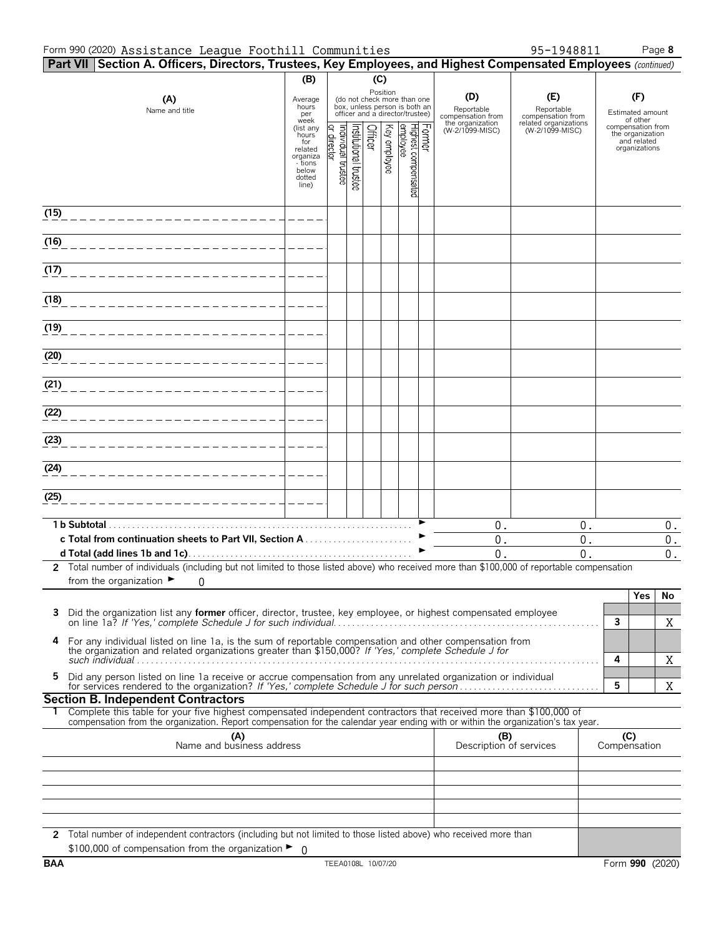#### Form 990 (2020) Page **8** Assistance League Foothill Communities 95-1948811

| 95-1948811 |  |  |
|------------|--|--|
|            |  |  |
|            |  |  |

|      | Part VII Section A. Officers, Directors, Trustees, Key Employees, and Highest Compensated Employees (continued)                                                                                                 |                                                                                         |                                     |                      |         |              |                                                                                                 |                                |                                        |                                          |                                                                       |       |
|------|-----------------------------------------------------------------------------------------------------------------------------------------------------------------------------------------------------------------|-----------------------------------------------------------------------------------------|-------------------------------------|----------------------|---------|--------------|-------------------------------------------------------------------------------------------------|--------------------------------|----------------------------------------|------------------------------------------|-----------------------------------------------------------------------|-------|
|      |                                                                                                                                                                                                                 | (B)                                                                                     |                                     |                      | (C)     |              |                                                                                                 |                                |                                        |                                          |                                                                       |       |
|      | (A)<br>Name and title                                                                                                                                                                                           | Average<br>hours<br>per<br>week                                                         |                                     |                      |         | Position     | (do not check more than one<br>box, unless person is both an<br>officer and a director/trustee) |                                | (D)<br>Reportable<br>compensation from | (E)<br>Reportable<br>compensation from   | (F)<br>Estimated amount<br>of other                                   |       |
|      |                                                                                                                                                                                                                 | (list any<br>hours<br>for<br>related<br>organiza<br>- tions<br>below<br>dotted<br>line) | Individual trustee<br>Q,<br>irector | hstitutional trustee | Officer | Key employee | Former<br> Highest compensated<br> employee                                                     |                                | the organization<br>(W-2/1099-MISC)    | related organizations<br>(W-2/1099-MISC) | compensation from<br>the organization<br>and related<br>organizations |       |
| (15) |                                                                                                                                                                                                                 |                                                                                         |                                     |                      |         |              |                                                                                                 |                                |                                        |                                          |                                                                       |       |
| (16) |                                                                                                                                                                                                                 |                                                                                         |                                     |                      |         |              |                                                                                                 |                                |                                        |                                          |                                                                       |       |
| (17) |                                                                                                                                                                                                                 |                                                                                         |                                     |                      |         |              |                                                                                                 |                                |                                        |                                          |                                                                       |       |
| (18) |                                                                                                                                                                                                                 |                                                                                         |                                     |                      |         |              |                                                                                                 |                                |                                        |                                          |                                                                       |       |
| (19) |                                                                                                                                                                                                                 |                                                                                         |                                     |                      |         |              |                                                                                                 |                                |                                        |                                          |                                                                       |       |
| (20) |                                                                                                                                                                                                                 |                                                                                         |                                     |                      |         |              |                                                                                                 |                                |                                        |                                          |                                                                       |       |
| (21) |                                                                                                                                                                                                                 |                                                                                         |                                     |                      |         |              |                                                                                                 |                                |                                        |                                          |                                                                       |       |
| (22) |                                                                                                                                                                                                                 |                                                                                         |                                     |                      |         |              |                                                                                                 |                                |                                        |                                          |                                                                       |       |
| (23) |                                                                                                                                                                                                                 |                                                                                         |                                     |                      |         |              |                                                                                                 |                                |                                        |                                          |                                                                       |       |
| (24) |                                                                                                                                                                                                                 |                                                                                         |                                     |                      |         |              |                                                                                                 |                                |                                        |                                          |                                                                       |       |
| (25) |                                                                                                                                                                                                                 |                                                                                         |                                     |                      |         |              |                                                                                                 |                                |                                        |                                          |                                                                       |       |
|      | 1 b Subtotal.                                                                                                                                                                                                   |                                                                                         |                                     |                      |         |              |                                                                                                 |                                | $0$ .                                  | 0.                                       |                                                                       | $0$ . |
|      |                                                                                                                                                                                                                 |                                                                                         |                                     |                      |         |              |                                                                                                 |                                | 0.<br>$\overline{0}$ .                 | $0$ .<br>0.                              | $0$ .<br>$\mathbf 0$ .                                                |       |
|      | 2 Total number of individuals (including but not limited to those listed above) who received more than \$100,000 of reportable compensation                                                                     |                                                                                         |                                     |                      |         |              |                                                                                                 |                                |                                        |                                          |                                                                       |       |
|      | from the organization $\blacktriangleright$<br>0                                                                                                                                                                |                                                                                         |                                     |                      |         |              |                                                                                                 |                                |                                        |                                          |                                                                       |       |
|      |                                                                                                                                                                                                                 |                                                                                         |                                     |                      |         |              |                                                                                                 |                                |                                        |                                          | Yes<br>No                                                             |       |
| 3    | Did the organization list any <b>former</b> officer, director, trustee, key employee, or highest compensated employee                                                                                           |                                                                                         |                                     |                      |         |              |                                                                                                 |                                |                                        |                                          | $\mathbf{3}$<br>X                                                     |       |
| 4    | For any individual listed on line 1a, is the sum of reportable compensation and other compensation from<br>the organization and related organizations greater than \$150,000? If 'Yes,' complete Schedule J for |                                                                                         |                                     |                      |         |              |                                                                                                 |                                |                                        |                                          | 4<br>X                                                                |       |
| 5    | Did any person listed on line 1a receive or accrue compensation from any unrelated organization or individual                                                                                                   |                                                                                         |                                     |                      |         |              |                                                                                                 |                                |                                        |                                          | 5<br>X                                                                |       |
|      | <b>Section B. Independent Contractors</b><br>Complete this table for your five highest compensated independent contractors that received more than \$100,000 of                                                 |                                                                                         |                                     |                      |         |              |                                                                                                 |                                |                                        |                                          |                                                                       |       |
|      | compensation from the organization. Report compensation for the calendar year ending with or within the organization's tax year.                                                                                |                                                                                         |                                     |                      |         |              |                                                                                                 |                                |                                        |                                          |                                                                       |       |
|      | (A)<br>Name and business address                                                                                                                                                                                |                                                                                         |                                     |                      |         |              |                                                                                                 | (B)<br>Description of services |                                        | (C)<br>Compensation                      |                                                                       |       |
|      |                                                                                                                                                                                                                 |                                                                                         |                                     |                      |         |              |                                                                                                 |                                |                                        |                                          |                                                                       |       |
|      |                                                                                                                                                                                                                 |                                                                                         |                                     |                      |         |              |                                                                                                 |                                |                                        |                                          |                                                                       |       |
|      | 2 Total number of independent contractors (including but not limited to those listed above) who received more than<br>\$100,000 of compensation from the organization $\blacktriangleright$ 0                   |                                                                                         |                                     |                      |         |              |                                                                                                 |                                |                                        |                                          |                                                                       |       |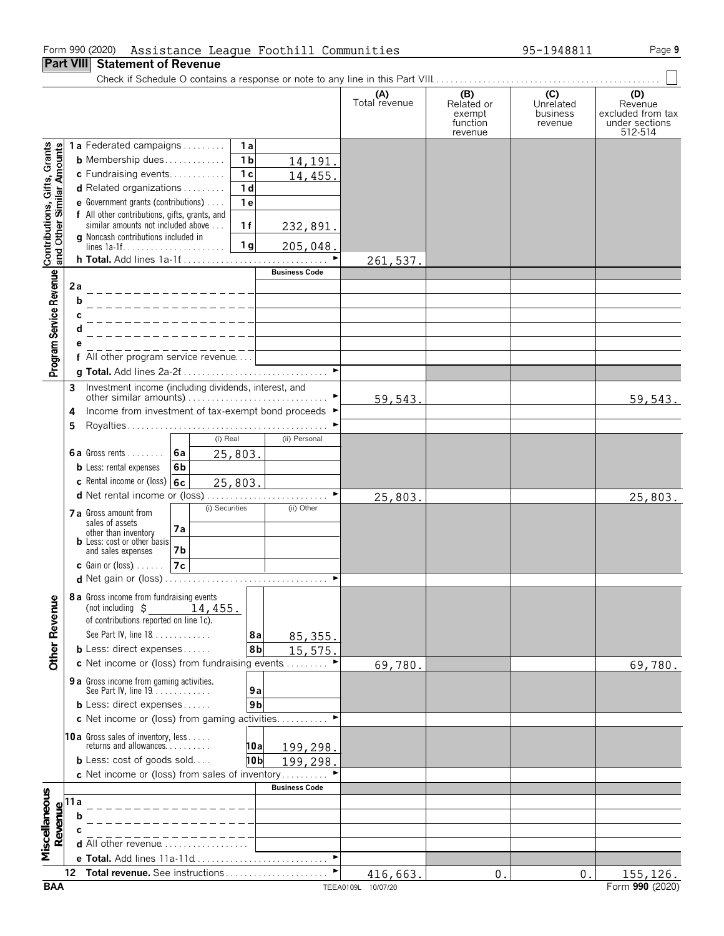#### Form 990 (2020) Assistance League Foothill Communities 95-1948811 Page 9

**Part VIII Statement of Revenue**

Check if Schedule O contains a response or note to any line in this Part VIII. . . . . . . . . . . . . . . . . . . . . . . . . . . . . . . . . . . . . . . . . . . . . . . . .

|                                                           |                                        |                                                                              |                                      | (A)<br>Total revenue             | (B)<br>Related or             | (C)<br>Unrelated    | (D)<br>Revenue                                 |
|-----------------------------------------------------------|----------------------------------------|------------------------------------------------------------------------------|--------------------------------------|----------------------------------|-------------------------------|---------------------|------------------------------------------------|
|                                                           |                                        |                                                                              |                                      |                                  | exempt<br>function<br>revenue | business<br>revenue | excluded from tax<br>under sections<br>512-514 |
|                                                           |                                        | 1a Federated campaigns                                                       | 1a                                   |                                  |                               |                     |                                                |
|                                                           |                                        | <b>b</b> Membership dues                                                     | 1 <sub>b</sub><br>14,191.            |                                  |                               |                     |                                                |
|                                                           |                                        | c Fundraising events                                                         | 1 <sub>c</sub><br>14,455.            |                                  |                               |                     |                                                |
|                                                           |                                        | <b>d</b> Related organizations $\ldots$                                      | 1 <sub>d</sub>                       |                                  |                               |                     |                                                |
|                                                           |                                        | <b>e</b> Government grants (contributions) $\ldots$                          | 1 <sub>e</sub>                       |                                  |                               |                     |                                                |
|                                                           |                                        | f All other contributions, gifts, grants, and                                |                                      |                                  |                               |                     |                                                |
|                                                           |                                        | similar amounts not included above<br>g Noncash contributions included in    | 1f<br>232,891.                       |                                  |                               |                     |                                                |
| Contributions, Gifts, Grants<br>and Other Similar Amounts |                                        |                                                                              | 1 <sub>g</sub><br>205,048.           |                                  |                               |                     |                                                |
|                                                           |                                        | h Total. Add lines 1a-1f                                                     |                                      | ►<br>261,537.                    |                               |                     |                                                |
| Program Service Revenue                                   |                                        |                                                                              | <b>Business Code</b>                 |                                  |                               |                     |                                                |
|                                                           | 2a                                     |                                                                              |                                      |                                  |                               |                     |                                                |
|                                                           | h                                      |                                                                              |                                      |                                  |                               |                     |                                                |
|                                                           |                                        |                                                                              |                                      |                                  |                               |                     |                                                |
|                                                           |                                        |                                                                              |                                      |                                  |                               |                     |                                                |
|                                                           |                                        |                                                                              |                                      |                                  |                               |                     |                                                |
|                                                           |                                        | f All other program service revenue                                          |                                      | $\blacktriangleright$            |                               |                     |                                                |
|                                                           |                                        |                                                                              |                                      |                                  |                               |                     |                                                |
|                                                           | 3                                      | Investment income (including dividends, interest, and                        |                                      | 59,543.                          |                               |                     | 59,543.                                        |
|                                                           | 4                                      | Income from investment of tax-exempt bond proceeds ▶                         |                                      |                                  |                               |                     |                                                |
|                                                           | 5                                      |                                                                              |                                      |                                  |                               |                     |                                                |
|                                                           |                                        | $(i)$ Real                                                                   | (ii) Personal                        |                                  |                               |                     |                                                |
|                                                           |                                        | <b>6a</b> Gross rents $\ldots$<br><b>6a</b>                                  | 25,803.                              |                                  |                               |                     |                                                |
|                                                           |                                        | <b>b</b> Less: rental expenses<br>6b                                         |                                      |                                  |                               |                     |                                                |
|                                                           |                                        | c Rental income or (loss) $ 6c $                                             | 25,803.                              |                                  |                               |                     |                                                |
|                                                           |                                        |                                                                              |                                      | $\blacktriangleright$<br>25,803. |                               |                     | 25,803.                                        |
|                                                           |                                        | (i) Securities<br><b>7 a</b> Gross amount from                               | (ii) Other                           |                                  |                               |                     |                                                |
|                                                           |                                        | sales of assets<br>7а                                                        |                                      |                                  |                               |                     |                                                |
|                                                           |                                        | other than inventory<br><b>b</b> Less: cost or other basis                   |                                      |                                  |                               |                     |                                                |
|                                                           |                                        | and sales expenses<br>7b                                                     |                                      |                                  |                               |                     |                                                |
|                                                           |                                        | 7c<br>$c$ Gain or (loss) $\ldots$ .                                          |                                      |                                  |                               |                     |                                                |
|                                                           |                                        | <b>d</b> Net gain or (loss).                                                 |                                      | $\blacktriangleright$            |                               |                     |                                                |
| nue                                                       |                                        | 8 a Gross income from fundraising events                                     |                                      |                                  |                               |                     |                                                |
|                                                           |                                        | (not including $\sharp$<br>14,455.<br>of contributions reported on line 1c). |                                      |                                  |                               |                     |                                                |
|                                                           |                                        | See Part IV, line 18                                                         | 8a                                   |                                  |                               |                     |                                                |
|                                                           |                                        | <b>b</b> Less: direct expenses                                               | 85, 355.<br>8 <sub>b</sub><br>15,575 |                                  |                               |                     |                                                |
| Other Reve                                                |                                        | c Net income or (loss) from fundraising events                               |                                      | 69,780.                          |                               |                     | 69,780.                                        |
|                                                           |                                        | 9 a Gross income from gaming activities.                                     |                                      |                                  |                               |                     |                                                |
|                                                           |                                        | See Part IV, line 19.                                                        | 9a                                   |                                  |                               |                     |                                                |
|                                                           |                                        | <b>b</b> Less: direct expenses                                               | 9 <sub>b</sub>                       |                                  |                               |                     |                                                |
|                                                           |                                        | c Net income or (loss) from gaming activities                                |                                      |                                  |                               |                     |                                                |
|                                                           |                                        |                                                                              |                                      |                                  |                               |                     |                                                |
|                                                           |                                        | <b>10a</b> Gross sales of inventory, less<br>returns and allowances.         | 10al<br>199,298.                     |                                  |                               |                     |                                                |
|                                                           |                                        | <b>b</b> Less: cost of goods sold                                            | 10b<br>199,298.                      |                                  |                               |                     |                                                |
|                                                           |                                        | c Net income or (loss) from sales of inventory                               |                                      |                                  |                               |                     |                                                |
|                                                           |                                        |                                                                              | <b>Business Code</b>                 |                                  |                               |                     |                                                |
| Miscellaneous                                             | Revenue<br>$\alpha$ b<br>$\alpha$<br>d |                                                                              |                                      |                                  |                               |                     |                                                |
|                                                           |                                        |                                                                              |                                      |                                  |                               |                     |                                                |
|                                                           |                                        | <b>d</b> All other revenue $\ldots \ldots \ldots \ldots$                     |                                      |                                  |                               |                     |                                                |
|                                                           |                                        | e Total. Add lines 11a-11d                                                   |                                      | ►                                |                               |                     |                                                |
|                                                           | 12                                     | Total revenue. See instructions                                              |                                      | ►<br>416,663.                    | 0                             | 0.                  | 155, 126.                                      |
|                                                           |                                        |                                                                              |                                      |                                  |                               |                     |                                                |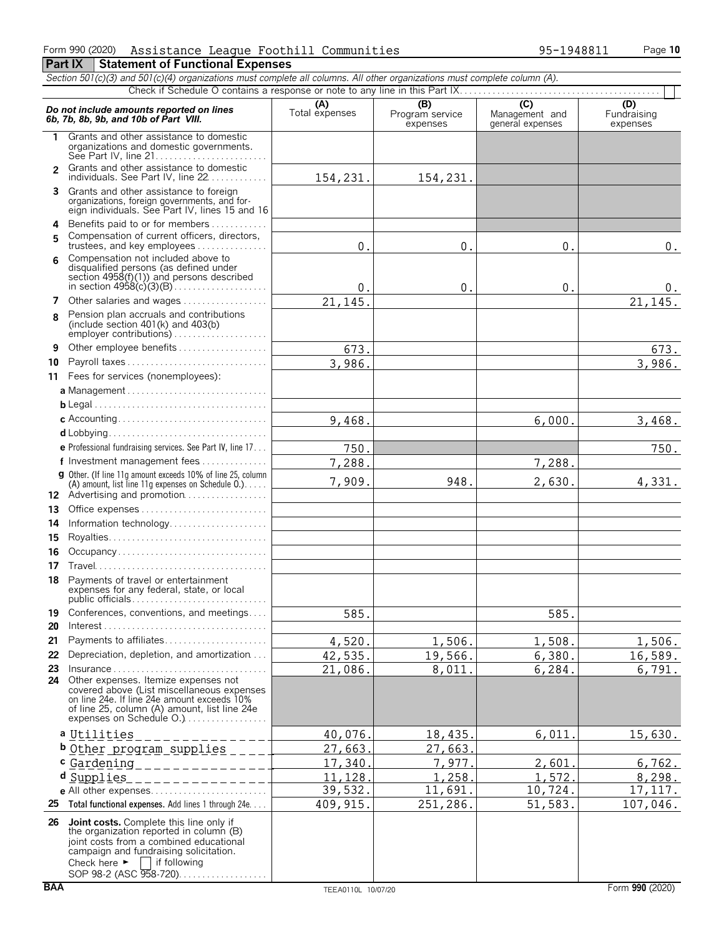|                | Section 501(c)(3) and 501(c)(4) organizations must complete all columns. All other organizations must complete column (A).                                                                                                                            |                       |                                    |                                           |                                |  |  |  |  |  |  |  |
|----------------|-------------------------------------------------------------------------------------------------------------------------------------------------------------------------------------------------------------------------------------------------------|-----------------------|------------------------------------|-------------------------------------------|--------------------------------|--|--|--|--|--|--|--|
|                |                                                                                                                                                                                                                                                       |                       |                                    |                                           |                                |  |  |  |  |  |  |  |
|                | Do not include amounts reported on lines<br>6b, 7b, 8b, 9b, and 10b of Part VIII.                                                                                                                                                                     | (A)<br>Total expenses | (B)<br>Program service<br>expenses | (C)<br>Management and<br>general expenses | (D)<br>Fundraising<br>expenses |  |  |  |  |  |  |  |
| 1.             | Grants and other assistance to domestic<br>organizations and domestic governments.                                                                                                                                                                    |                       |                                    |                                           |                                |  |  |  |  |  |  |  |
| $\mathfrak{p}$ | Grants and other assistance to domestic<br>individuals. See Part IV, line 22                                                                                                                                                                          | 154,231.              | 154,231.                           |                                           |                                |  |  |  |  |  |  |  |
|                | 3 Grants and other assistance to foreign<br>organizations, foreign governments, and for-<br>eign individuals. See Part IV, lines 15 and 16                                                                                                            |                       |                                    |                                           |                                |  |  |  |  |  |  |  |
| 5              | 4 Benefits paid to or for members<br>Compensation of current officers, directors,<br>trustees, and key employees                                                                                                                                      | 0.                    | 0.                                 | 0.                                        | $0$ .                          |  |  |  |  |  |  |  |
| 6              | Compensation not included above to<br>disqualified persons (as defined under<br>section $4958(f)(1)$ ) and persons described                                                                                                                          | 0.                    | $0$ .                              | 0.                                        | 0.                             |  |  |  |  |  |  |  |
|                | 7 Other salaries and wages                                                                                                                                                                                                                            | 21,145                |                                    |                                           | 21,145.                        |  |  |  |  |  |  |  |
| 8              | Pension plan accruals and contributions<br>(include section $401(k)$ and $403(b)$                                                                                                                                                                     |                       |                                    |                                           |                                |  |  |  |  |  |  |  |
| 9              | Other employee benefits                                                                                                                                                                                                                               | 673.                  |                                    |                                           | 673.                           |  |  |  |  |  |  |  |
| 10             | Payroll taxes                                                                                                                                                                                                                                         | 3,986.                |                                    |                                           | 3,986.                         |  |  |  |  |  |  |  |
|                | 11 Fees for services (nonemployees):                                                                                                                                                                                                                  |                       |                                    |                                           |                                |  |  |  |  |  |  |  |
|                |                                                                                                                                                                                                                                                       |                       |                                    |                                           |                                |  |  |  |  |  |  |  |
|                |                                                                                                                                                                                                                                                       |                       |                                    |                                           |                                |  |  |  |  |  |  |  |
|                |                                                                                                                                                                                                                                                       | 9,468.                |                                    | 6,000.                                    | 3,468.                         |  |  |  |  |  |  |  |
|                |                                                                                                                                                                                                                                                       |                       |                                    |                                           |                                |  |  |  |  |  |  |  |
|                | e Professional fundraising services. See Part IV, line 17                                                                                                                                                                                             | 750.                  |                                    |                                           | 750.                           |  |  |  |  |  |  |  |
|                | f Investment management fees<br>g Other. (If line 11g amount exceeds 10% of line 25, column                                                                                                                                                           | 7,288.                |                                    | 7,288.                                    |                                |  |  |  |  |  |  |  |
|                | (A) amount, list line 11g expenses on Schedule $0.$ )<br>12 Advertising and promotion                                                                                                                                                                 | 7,909.                | 948.                               | 2,630.                                    | 4,331.                         |  |  |  |  |  |  |  |
| 13.            |                                                                                                                                                                                                                                                       |                       |                                    |                                           |                                |  |  |  |  |  |  |  |
| 14             | Information technology                                                                                                                                                                                                                                |                       |                                    |                                           |                                |  |  |  |  |  |  |  |
| 15             |                                                                                                                                                                                                                                                       |                       |                                    |                                           |                                |  |  |  |  |  |  |  |
| 16             | Occupancy                                                                                                                                                                                                                                             |                       |                                    |                                           |                                |  |  |  |  |  |  |  |
| 17             |                                                                                                                                                                                                                                                       |                       |                                    |                                           |                                |  |  |  |  |  |  |  |
|                | 18 Payments of travel or entertainment<br>expenses for any federal, state, or local                                                                                                                                                                   |                       |                                    |                                           |                                |  |  |  |  |  |  |  |
| 19             | Conferences, conventions, and meetings                                                                                                                                                                                                                | 585.                  |                                    | 585.                                      |                                |  |  |  |  |  |  |  |
| 20             | Payments to affiliates                                                                                                                                                                                                                                |                       |                                    |                                           |                                |  |  |  |  |  |  |  |
| 21<br>22       | Depreciation, depletion, and amortization                                                                                                                                                                                                             | 4,520.                | 1,506.                             | 1,508.                                    | 1,506.                         |  |  |  |  |  |  |  |
| 23             | $Insurface$                                                                                                                                                                                                                                           | 42,535.<br>21,086.    | 19,566.<br>8,011.                  | 6,380.<br>6,284.                          | 16,589.<br>6,791.              |  |  |  |  |  |  |  |
| 24             | Other expenses. Itemize expenses not<br>covered above (List miscellaneous expenses<br>on line 24e. If line 24e amount exceeds 10%<br>of line 25, column (A) amount, list line 24e                                                                     |                       |                                    |                                           |                                |  |  |  |  |  |  |  |
|                | a Utilities                                                                                                                                                                                                                                           | 40,076.               | 18,435.                            | 6,011                                     | 15,630.                        |  |  |  |  |  |  |  |
|                | b Other program supplies                                                                                                                                                                                                                              | 27,663.               | 27,663.                            |                                           |                                |  |  |  |  |  |  |  |
|                | c Gardening_______________                                                                                                                                                                                                                            | 17,340.               | 7,977.                             | 2,601                                     | 6, 762.                        |  |  |  |  |  |  |  |
|                | d Supplies<br>____________                                                                                                                                                                                                                            | 11,128.               | 1,258.                             | 1,572                                     | 8, 298.                        |  |  |  |  |  |  |  |
|                |                                                                                                                                                                                                                                                       | 39,532.               | 11,691.                            | 10,724.                                   | 17, 117.                       |  |  |  |  |  |  |  |
|                | 25 Total functional expenses. Add lines 1 through 24e                                                                                                                                                                                                 | 409, 915.             | 251,286.                           | 51,583.                                   | 107,046.                       |  |  |  |  |  |  |  |
|                | 26 Joint costs. Complete this line only if<br>the organization reported in column (B)<br>joint costs from a combined educational<br>campaign and fundraising solicitation.<br>Check here $\blacktriangleright$ if following<br>SOP 98-2 (ASC 958-720) |                       |                                    |                                           |                                |  |  |  |  |  |  |  |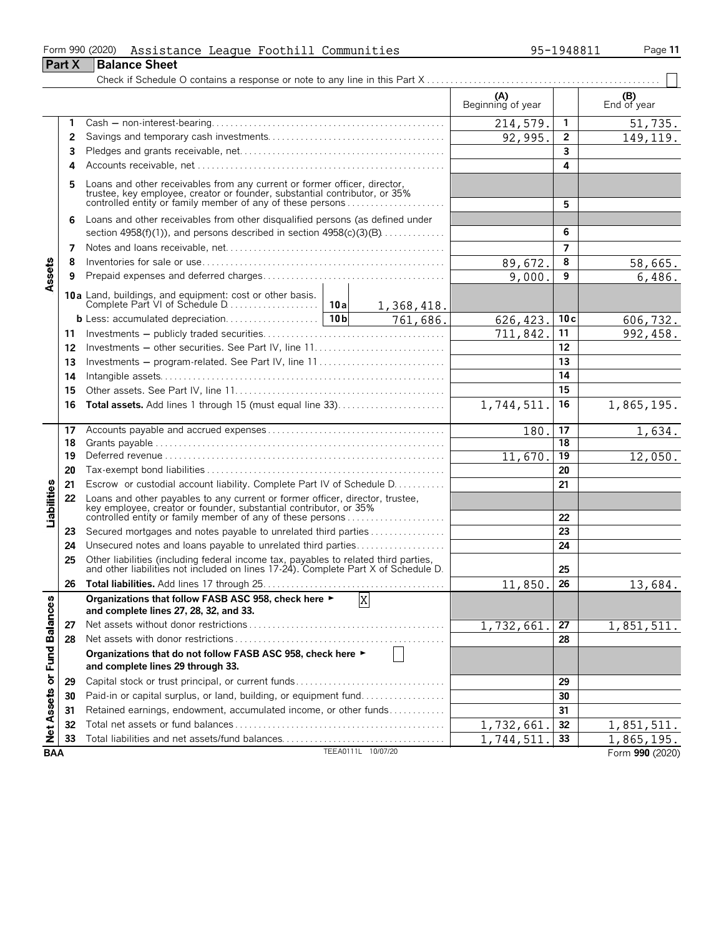|                             |               | Form 990 (2020)<br>Assistance League Foothill Communities                                                                                                                                                        |  |                        |                          | 95-1948811      | Page 11            |
|-----------------------------|---------------|------------------------------------------------------------------------------------------------------------------------------------------------------------------------------------------------------------------|--|------------------------|--------------------------|-----------------|--------------------|
|                             | <b>Part X</b> | <b>Balance Sheet</b>                                                                                                                                                                                             |  |                        |                          |                 |                    |
|                             |               |                                                                                                                                                                                                                  |  |                        |                          |                 |                    |
|                             |               |                                                                                                                                                                                                                  |  |                        | (A)<br>Beginning of year |                 | (B)<br>End of year |
|                             | 1             |                                                                                                                                                                                                                  |  |                        | 214,579.                 | 1               | 51,735.            |
|                             | 2             |                                                                                                                                                                                                                  |  |                        | 92,995.                  | $\overline{2}$  | 149, 119.          |
|                             | 3             |                                                                                                                                                                                                                  |  |                        |                          | 3               |                    |
|                             | 4             |                                                                                                                                                                                                                  |  |                        |                          | 4               |                    |
|                             |               | Loans and other receivables from any current or former officer, director, trustee, key employee, creator or founder, substantial contributor, or 35% controlled entity or family member of any of these persons  |  |                        |                          | 5               |                    |
|                             | 6             | Loans and other receivables from other disqualified persons (as defined under                                                                                                                                    |  |                        |                          |                 |                    |
|                             |               | section $4958(f)(1)$ , and persons described in section $4958(c)(3)(B)$                                                                                                                                          |  | 6                      |                          |                 |                    |
|                             | 7             |                                                                                                                                                                                                                  |  |                        |                          | 7               |                    |
|                             | 8             |                                                                                                                                                                                                                  |  |                        | 89,672.                  | 8               | 58,665.            |
| Assets                      | 9             |                                                                                                                                                                                                                  |  |                        | 9,000.                   | 9               | 6,486.             |
|                             |               |                                                                                                                                                                                                                  |  |                        |                          |                 |                    |
|                             |               |                                                                                                                                                                                                                  |  | $\overline{761,686}$ . | 626, 423.                | 10c             | 606,732.           |
|                             | 11            |                                                                                                                                                                                                                  |  |                        | 711,842.                 | 11              | 992, 458.          |
|                             | 12            | Investments - other securities. See Part IV, line 11                                                                                                                                                             |  |                        |                          | 12              |                    |
|                             | 13            | Investments - program-related. See Part IV, line 11                                                                                                                                                              |  |                        |                          | 13              |                    |
|                             | 14            |                                                                                                                                                                                                                  |  |                        |                          | 14              |                    |
|                             | 15            |                                                                                                                                                                                                                  |  |                        |                          | 15              |                    |
|                             | 16            | <b>Total assets.</b> Add lines 1 through 15 (must equal line 33)                                                                                                                                                 |  | 1,744,511.             | 16                       | 1,865,195.      |                    |
|                             | 17            |                                                                                                                                                                                                                  |  | 180.                   | 17                       | 1,634.          |                    |
|                             | 18            |                                                                                                                                                                                                                  |  |                        |                          | 18              |                    |
|                             | 19            |                                                                                                                                                                                                                  |  |                        | 11,670.                  | $\overline{19}$ | 12,050.            |
|                             | 20            |                                                                                                                                                                                                                  |  |                        |                          | 20              |                    |
|                             | 21            | Escrow or custodial account liability. Complete Part IV of Schedule D.                                                                                                                                           |  |                        |                          | 21              |                    |
| Liabilities                 | 22            | Loans and other payables to any current or former officer, director, trustee,<br>key employee, creator or founder, substantial contributor, or 35%<br>controlled entity or family member of any of these persons |  |                        |                          | 22              |                    |
|                             | 23            | Secured mortgages and notes payable to unrelated third parties                                                                                                                                                   |  |                        |                          | 23              |                    |
|                             | 24            | Unsecured notes and loans payable to unrelated third parties                                                                                                                                                     |  |                        |                          | 24              |                    |
|                             | 25            | Other liabilities (including federal income tax, payables to related third parties, and other liabilities not included on lines 17-24). Complete Part X of Schedule D.                                           |  |                        |                          | 25              |                    |
|                             | 26            |                                                                                                                                                                                                                  |  |                        | 11,850.                  | 26              | 13,684.            |
|                             |               | Organizations that follow FASB ASC 958, check here ►<br>and complete lines 27, 28, 32, and 33.                                                                                                                   |  | $\overline{X}$         |                          |                 |                    |
|                             | 27            |                                                                                                                                                                                                                  |  |                        | 1,732,661                | 27              | 1,851,511.         |
|                             | 28            |                                                                                                                                                                                                                  |  |                        |                          | 28              |                    |
| Net Assets or Fund Balances |               | Organizations that do not follow FASB ASC 958, check here ►<br>and complete lines 29 through 33.                                                                                                                 |  |                        |                          |                 |                    |
|                             | 29            |                                                                                                                                                                                                                  |  |                        |                          | 29              |                    |
|                             | 30            | Paid-in or capital surplus, or land, building, or equipment fund                                                                                                                                                 |  |                        |                          | 30              |                    |
|                             | 31            | Retained earnings, endowment, accumulated income, or other funds                                                                                                                                                 |  |                        |                          | 31              |                    |
|                             | 32            |                                                                                                                                                                                                                  |  |                        | 1,732,661                | 32              | 1,851,511.         |
|                             | 33            | Total liabilities and net assets/fund balances                                                                                                                                                                   |  |                        | 1,744,511                | 33              | 1,865,195.         |
| <b>BAA</b>                  |               |                                                                                                                                                                                                                  |  | TEEA0111L 10/07/20     |                          |                 | Form 990 (2020)    |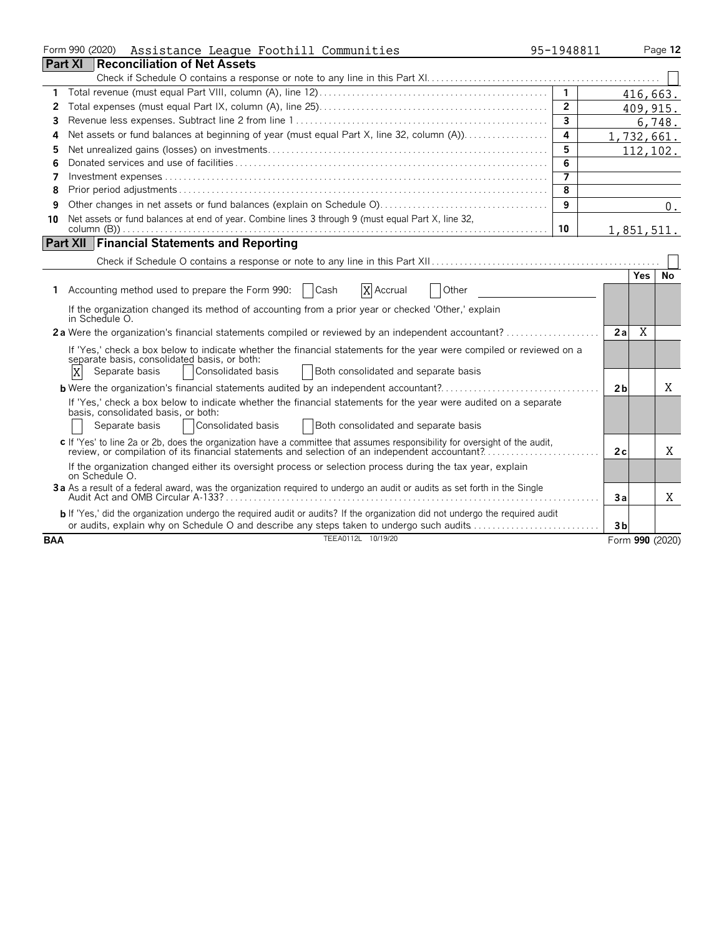|            | Form 990 (2020)<br>Assistance League Foothill Communities                                                                     | 95-1948811              |                |            | Page 12         |
|------------|-------------------------------------------------------------------------------------------------------------------------------|-------------------------|----------------|------------|-----------------|
|            | <b>Part XI</b><br>Reconciliation of Net Assets                                                                                |                         |                |            |                 |
|            |                                                                                                                               |                         |                |            |                 |
| 1          |                                                                                                                               | $\overline{1}$          |                | 416,663.   |                 |
| 2          |                                                                                                                               | $\overline{2}$          |                | 409, 915.  |                 |
| 3          |                                                                                                                               | $\overline{\mathbf{3}}$ |                |            | 6,748.          |
| 4          | Net assets or fund balances at beginning of year (must equal Part X, line 32, column (A))                                     | 4                       |                | 1,732,661. |                 |
| 5          |                                                                                                                               | 5                       |                | 112,102.   |                 |
| 6          |                                                                                                                               | 6                       |                |            |                 |
| 7          |                                                                                                                               | $\overline{7}$          |                |            |                 |
| 8          |                                                                                                                               | 8                       |                |            |                 |
| 9          |                                                                                                                               | 9                       |                |            | $0$ .           |
| 10         | Net assets or fund balances at end of year. Combine lines 3 through 9 (must equal Part X, line 32,                            |                         |                |            |                 |
|            |                                                                                                                               | 10                      |                | 1,851,511. |                 |
|            | <b>Part XII Financial Statements and Reporting</b>                                                                            |                         |                |            |                 |
|            |                                                                                                                               |                         |                |            |                 |
|            |                                                                                                                               |                         |                | <b>Yes</b> | No              |
|            | 1 Accounting method used to prepare the Form 990:   Cash<br>X Accrual<br>  Other                                              |                         |                |            |                 |
|            | If the organization changed its method of accounting from a prior year or checked 'Other,' explain                            |                         |                |            |                 |
|            | in Schedule O.                                                                                                                |                         |                |            |                 |
|            | 2a Were the organization's financial statements compiled or reviewed by an independent accountant?                            |                         | 2a             | X          |                 |
|            | If 'Yes,' check a box below to indicate whether the financial statements for the year were compiled or reviewed on a          |                         |                |            |                 |
|            | separate basis, consolidated basis, or both:                                                                                  |                         |                |            |                 |
|            | X<br>Separate basis<br>Consolidated basis<br>Both consolidated and separate basis                                             |                         |                |            |                 |
|            |                                                                                                                               |                         | 2 <sub>b</sub> |            | X               |
|            | If 'Yes,' check a box below to indicate whether the financial statements for the year were audited on a separate              |                         |                |            |                 |
|            | basis, consolidated basis, or both:                                                                                           |                         |                |            |                 |
|            | Consolidated basis<br>  Both consolidated and separate basis<br>Separate basis                                                |                         |                |            |                 |
|            | c If 'Yes' to line 2a or 2b, does the organization have a committee that assumes responsibility for oversight of the audit,   |                         |                |            |                 |
|            | review, or compilation of its financial statements and selection of an independent accountant?                                |                         | 2c             |            | X               |
|            | If the organization changed either its oversight process or selection process during the tax year, explain<br>on Schedule O.  |                         |                |            |                 |
|            | 3a As a result of a federal award, was the organization required to undergo an audit or audits as set forth in the Single     |                         |                |            |                 |
|            |                                                                                                                               |                         | Зa             |            | X               |
|            | b If 'Yes,' did the organization undergo the required audit or audits? If the organization did not undergo the required audit |                         |                |            |                 |
|            | or audits, explain why on Schedule O and describe any steps taken to undergo such audits                                      |                         | 3 <sub>b</sub> |            |                 |
| <b>BAA</b> | TEEA0112L 10/19/20                                                                                                            |                         |                |            | Form 990 (2020) |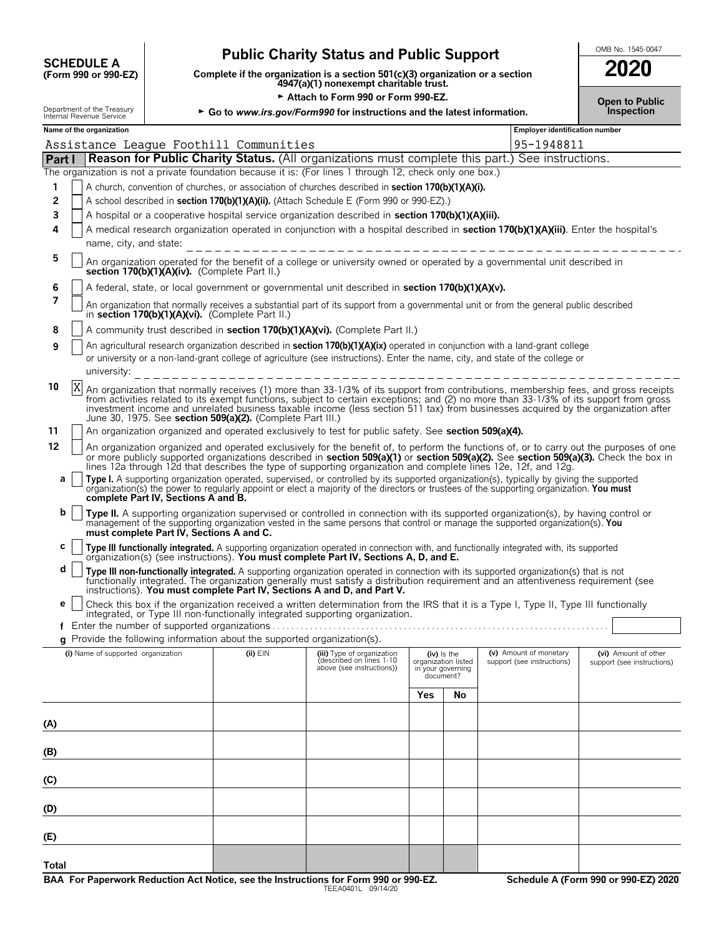| <b>SCHEDULE A</b>         |  |
|---------------------------|--|
| $(T_1, , 000, , 000, T7)$ |  |

## **Public Charity Status and Public Support**  $\begin{bmatrix} \text{OMB No. 1545-0047} \\ \text{OMB No. 1545-0047} \end{bmatrix}$

**COMPOSCHEDULE A**<br>
(Form 990 or 990-EZ) Complete if the organization is a section 501(c)(3) organization or a section<br>
4947(a)(1) nonexempt charitable trust.

Attach to Form 990 or Form 990-EZ. **Depiate to Public** Open to Public

| 2020 |  |  |
|------|--|--|
|      |  |  |

| Department of the Treasury<br>Internal Revenue Service<br>► Go to www.irs.gov/Form990 for instructions and the latest information. |   |                                                                                                                                                                                                                                                                                                                                                                                                                                                                                  |                                                                                                                                                                            |                                                  |  | Inspection                                                                                                                                                                                                                                                                                                                                                                                         |     |                                      |                                                      |            |                                                    |  |  |
|------------------------------------------------------------------------------------------------------------------------------------|---|----------------------------------------------------------------------------------------------------------------------------------------------------------------------------------------------------------------------------------------------------------------------------------------------------------------------------------------------------------------------------------------------------------------------------------------------------------------------------------|----------------------------------------------------------------------------------------------------------------------------------------------------------------------------|--------------------------------------------------|--|----------------------------------------------------------------------------------------------------------------------------------------------------------------------------------------------------------------------------------------------------------------------------------------------------------------------------------------------------------------------------------------------------|-----|--------------------------------------|------------------------------------------------------|------------|----------------------------------------------------|--|--|
|                                                                                                                                    |   | Name of the organization                                                                                                                                                                                                                                                                                                                                                                                                                                                         |                                                                                                                                                                            |                                                  |  |                                                                                                                                                                                                                                                                                                                                                                                                    |     |                                      |                                                      |            | <b>Employer identification number</b>              |  |  |
|                                                                                                                                    |   |                                                                                                                                                                                                                                                                                                                                                                                                                                                                                  |                                                                                                                                                                            | Assistance League Foothill Communities           |  |                                                                                                                                                                                                                                                                                                                                                                                                    |     |                                      |                                                      | 95-1948811 |                                                    |  |  |
| <b>Part I</b>                                                                                                                      |   |                                                                                                                                                                                                                                                                                                                                                                                                                                                                                  |                                                                                                                                                                            |                                                  |  | <b>Reason for Public Charity Status.</b> (All organizations must complete this part.) See instructions.                                                                                                                                                                                                                                                                                            |     |                                      |                                                      |            |                                                    |  |  |
|                                                                                                                                    |   |                                                                                                                                                                                                                                                                                                                                                                                                                                                                                  |                                                                                                                                                                            |                                                  |  | The organization is not a private foundation because it is: (For lines 1 through 12, check only one box.)                                                                                                                                                                                                                                                                                          |     |                                      |                                                      |            |                                                    |  |  |
| 1                                                                                                                                  |   |                                                                                                                                                                                                                                                                                                                                                                                                                                                                                  |                                                                                                                                                                            |                                                  |  | A church, convention of churches, or association of churches described in section 170(b)(1)(A)(i).                                                                                                                                                                                                                                                                                                 |     |                                      |                                                      |            |                                                    |  |  |
| 2                                                                                                                                  |   |                                                                                                                                                                                                                                                                                                                                                                                                                                                                                  |                                                                                                                                                                            |                                                  |  | A school described in section 170(b)(1)(A)(ii). (Attach Schedule E (Form 990 or 990-EZ).)                                                                                                                                                                                                                                                                                                          |     |                                      |                                                      |            |                                                    |  |  |
| 3                                                                                                                                  |   |                                                                                                                                                                                                                                                                                                                                                                                                                                                                                  |                                                                                                                                                                            |                                                  |  | A hospital or a cooperative hospital service organization described in section 170(b)(1)(A)(iii).                                                                                                                                                                                                                                                                                                  |     |                                      |                                                      |            |                                                    |  |  |
| 4                                                                                                                                  |   |                                                                                                                                                                                                                                                                                                                                                                                                                                                                                  |                                                                                                                                                                            |                                                  |  | A medical research organization operated in conjunction with a hospital described in section 170(b)(1)(A)(iii). Enter the hospital's                                                                                                                                                                                                                                                               |     |                                      |                                                      |            |                                                    |  |  |
|                                                                                                                                    |   | name, city, and state:                                                                                                                                                                                                                                                                                                                                                                                                                                                           |                                                                                                                                                                            |                                                  |  | ---------------------------------                                                                                                                                                                                                                                                                                                                                                                  |     |                                      |                                                      |            |                                                    |  |  |
| 5                                                                                                                                  |   |                                                                                                                                                                                                                                                                                                                                                                                                                                                                                  | An organization operated for the benefit of a college or university owned or operated by a governmental unit described in<br>section 170(b)(1)(A)(iv). (Complete Part II.) |                                                  |  |                                                                                                                                                                                                                                                                                                                                                                                                    |     |                                      |                                                      |            |                                                    |  |  |
| 6                                                                                                                                  |   |                                                                                                                                                                                                                                                                                                                                                                                                                                                                                  |                                                                                                                                                                            |                                                  |  | A federal, state, or local government or governmental unit described in section 170(b)(1)(A)(v).                                                                                                                                                                                                                                                                                                   |     |                                      |                                                      |            |                                                    |  |  |
| 7                                                                                                                                  |   |                                                                                                                                                                                                                                                                                                                                                                                                                                                                                  |                                                                                                                                                                            | in section 170(b)(1)(A)(vi). (Complete Part II.) |  | An organization that normally receives a substantial part of its support from a governmental unit or from the general public described                                                                                                                                                                                                                                                             |     |                                      |                                                      |            |                                                    |  |  |
| 8                                                                                                                                  |   |                                                                                                                                                                                                                                                                                                                                                                                                                                                                                  |                                                                                                                                                                            |                                                  |  | A community trust described in section 170(b)(1)(A)(vi). (Complete Part II.)                                                                                                                                                                                                                                                                                                                       |     |                                      |                                                      |            |                                                    |  |  |
| 9                                                                                                                                  |   |                                                                                                                                                                                                                                                                                                                                                                                                                                                                                  |                                                                                                                                                                            |                                                  |  | An agricultural research organization described in <b>section 170(b)(1)(A)(ix)</b> operated in conjunction with a land-grant college                                                                                                                                                                                                                                                               |     |                                      |                                                      |            |                                                    |  |  |
|                                                                                                                                    |   |                                                                                                                                                                                                                                                                                                                                                                                                                                                                                  |                                                                                                                                                                            |                                                  |  | or university or a non-land-grant college of agriculture (see instructions). Enter the name, city, and state of the college or                                                                                                                                                                                                                                                                     |     |                                      |                                                      |            |                                                    |  |  |
|                                                                                                                                    |   |                                                                                                                                                                                                                                                                                                                                                                                                                                                                                  |                                                                                                                                                                            |                                                  |  | university: $- - - - - - - - - - - - - - - - - - - - - - - - -$                                                                                                                                                                                                                                                                                                                                    |     |                                      |                                                      |            |                                                    |  |  |
| 10                                                                                                                                 | X | An organization that normally receives (1) more than 33-1/3% of its support from contributions, membership fees, and gross receipts<br>from activities related to its exempt functions, subject to certain exceptions; and (2) no more than 33-1/3% of its support from gross<br>investment income and unrelated business taxable income (less section 511 tax) from businesses acquired by the organization after<br>June 30, 1975. See section 509(a)(2). (Complete Part III.) |                                                                                                                                                                            |                                                  |  |                                                                                                                                                                                                                                                                                                                                                                                                    |     |                                      |                                                      |            |                                                    |  |  |
| 11                                                                                                                                 |   |                                                                                                                                                                                                                                                                                                                                                                                                                                                                                  |                                                                                                                                                                            |                                                  |  | An organization organized and operated exclusively to test for public safety. See section 509(a)(4).                                                                                                                                                                                                                                                                                               |     |                                      |                                                      |            |                                                    |  |  |
| 12                                                                                                                                 |   |                                                                                                                                                                                                                                                                                                                                                                                                                                                                                  |                                                                                                                                                                            |                                                  |  | An organization organized and operated exclusively for the benefit of, to perform the functions of, or to carry out the purposes of one<br>or more publicly supported organizations described in section 509(a)(1) or section 509(a)(2). See section 509(a)(3). Check the box in<br>lines 12a through 12d that describes the type of supporting organization and complete lines 12e, 12f, and 12g. |     |                                      |                                                      |            |                                                    |  |  |
| a                                                                                                                                  |   |                                                                                                                                                                                                                                                                                                                                                                                                                                                                                  | complete Part IV, Sections A and B.                                                                                                                                        |                                                  |  | Type I. A supporting organization operated, supervised, or controlled by its supported organization(s), typically by giving the supported<br>organization(s) the power to regularly appoint or elect a majority of the directors or trustees of the supporting organization. You must                                                                                                              |     |                                      |                                                      |            |                                                    |  |  |
| b                                                                                                                                  |   |                                                                                                                                                                                                                                                                                                                                                                                                                                                                                  | must complete Part IV, Sections A and C.                                                                                                                                   |                                                  |  | Type II. A supporting organization supervised or controlled in connection with its supported organization(s), by having control or<br>management of the supporting organization vested in the same persons that control or manage the supported organization(s). You                                                                                                                               |     |                                      |                                                      |            |                                                    |  |  |
| с                                                                                                                                  |   |                                                                                                                                                                                                                                                                                                                                                                                                                                                                                  |                                                                                                                                                                            |                                                  |  | Type III functionally integrated. A supporting organization operated in connection with, and functionally integrated with, its supported organization(s) (see instructions). You must complete Part IV, Sections A, D, and E.                                                                                                                                                                      |     |                                      |                                                      |            |                                                    |  |  |
| d                                                                                                                                  |   |                                                                                                                                                                                                                                                                                                                                                                                                                                                                                  |                                                                                                                                                                            |                                                  |  | Type III non-functionally integrated. A supporting organization operated in connection with its supported organization(s) that is not<br>functionally integrated. The organization generally must satisfy a distribution requirement and an attentiveness requirement (see<br>instructions). You must complete Part IV, Sections A and D, and Part V.                                              |     |                                      |                                                      |            |                                                    |  |  |
| е                                                                                                                                  |   |                                                                                                                                                                                                                                                                                                                                                                                                                                                                                  |                                                                                                                                                                            |                                                  |  | Check this box if the organization received a written determination from the IRS that it is a Type I, Type II, Type III functionally                                                                                                                                                                                                                                                               |     |                                      |                                                      |            |                                                    |  |  |
|                                                                                                                                    |   |                                                                                                                                                                                                                                                                                                                                                                                                                                                                                  |                                                                                                                                                                            |                                                  |  | integrated, or Type III non-functionally integrated supporting organization.                                                                                                                                                                                                                                                                                                                       |     |                                      |                                                      |            |                                                    |  |  |
|                                                                                                                                    |   |                                                                                                                                                                                                                                                                                                                                                                                                                                                                                  |                                                                                                                                                                            |                                                  |  | g Provide the following information about the supported organization(s).                                                                                                                                                                                                                                                                                                                           |     |                                      |                                                      |            |                                                    |  |  |
|                                                                                                                                    |   | (i) Name of supported organization                                                                                                                                                                                                                                                                                                                                                                                                                                               |                                                                                                                                                                            | $(ii)$ $EIN$                                     |  | (iii) Type of organization<br>(described on lines 1-10                                                                                                                                                                                                                                                                                                                                             |     | $(iv)$ is the<br>organization listed | (v) Amount of monetary<br>support (see instructions) |            | (vi) Amount of other<br>support (see instructions) |  |  |
|                                                                                                                                    |   |                                                                                                                                                                                                                                                                                                                                                                                                                                                                                  |                                                                                                                                                                            |                                                  |  | above (see instructions))                                                                                                                                                                                                                                                                                                                                                                          |     | in your governing<br>document?       |                                                      |            |                                                    |  |  |
|                                                                                                                                    |   |                                                                                                                                                                                                                                                                                                                                                                                                                                                                                  |                                                                                                                                                                            |                                                  |  |                                                                                                                                                                                                                                                                                                                                                                                                    | Yes | No                                   |                                                      |            |                                                    |  |  |
| (A)                                                                                                                                |   |                                                                                                                                                                                                                                                                                                                                                                                                                                                                                  |                                                                                                                                                                            |                                                  |  |                                                                                                                                                                                                                                                                                                                                                                                                    |     |                                      |                                                      |            |                                                    |  |  |
| (B)                                                                                                                                |   |                                                                                                                                                                                                                                                                                                                                                                                                                                                                                  |                                                                                                                                                                            |                                                  |  |                                                                                                                                                                                                                                                                                                                                                                                                    |     |                                      |                                                      |            |                                                    |  |  |
| (C)                                                                                                                                |   |                                                                                                                                                                                                                                                                                                                                                                                                                                                                                  |                                                                                                                                                                            |                                                  |  |                                                                                                                                                                                                                                                                                                                                                                                                    |     |                                      |                                                      |            |                                                    |  |  |
| (D)                                                                                                                                |   |                                                                                                                                                                                                                                                                                                                                                                                                                                                                                  |                                                                                                                                                                            |                                                  |  |                                                                                                                                                                                                                                                                                                                                                                                                    |     |                                      |                                                      |            |                                                    |  |  |
| (E)                                                                                                                                |   |                                                                                                                                                                                                                                                                                                                                                                                                                                                                                  |                                                                                                                                                                            |                                                  |  |                                                                                                                                                                                                                                                                                                                                                                                                    |     |                                      |                                                      |            |                                                    |  |  |

**Total**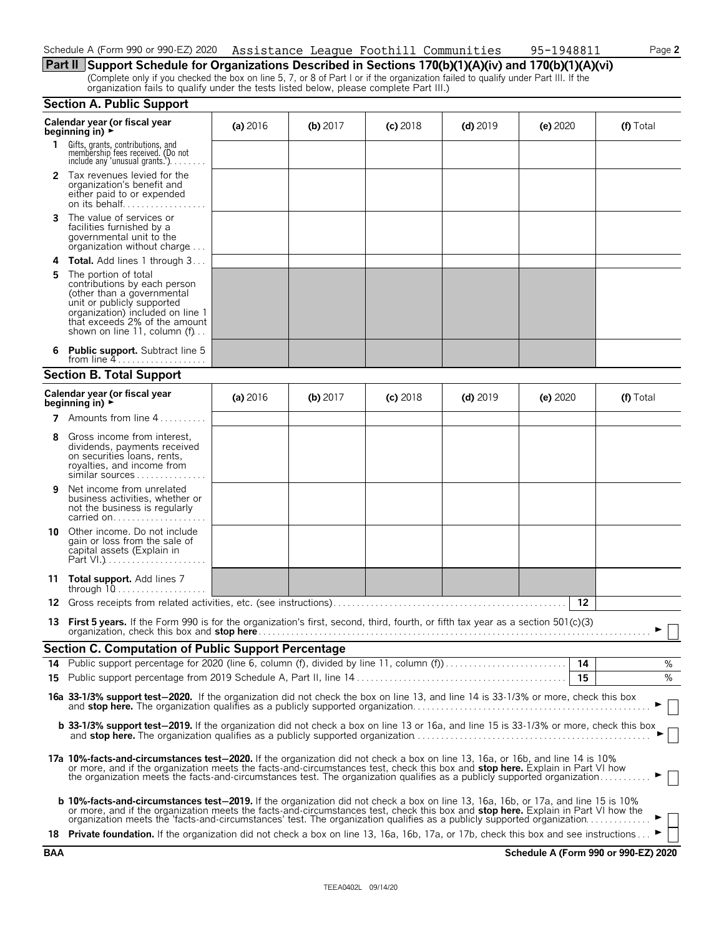| Schedule A (Form 990 or 990-EZ) 2020 Assistance League Foothill Communities |  | 95-1948811 | Page 2 |
|-----------------------------------------------------------------------------|--|------------|--------|
|                                                                             |  |            |        |

**Part II Support Schedule for Organizations Described in Sections 170(b)(1)(A)(iv) and 170(b)(1)(A)(vi)** (Complete only if you checked the box on line 5, 7, or 8 of Part I or if the organization failed to qualify under Part III. If the organization fails to qualify under the tests listed below, please complete Part III.)

|    | <b>Section A. Public Support</b>                                                                                                                                                                                                                                                                                                                                                                 |          |            |            |            |                 |           |
|----|--------------------------------------------------------------------------------------------------------------------------------------------------------------------------------------------------------------------------------------------------------------------------------------------------------------------------------------------------------------------------------------------------|----------|------------|------------|------------|-----------------|-----------|
|    | Calendar year (or fiscal year<br>beginning in) $\rightarrow$                                                                                                                                                                                                                                                                                                                                     | (a) 2016 | $(b)$ 2017 | $(c)$ 2018 | $(d)$ 2019 | (e) 2020        | (f) Total |
| 1. | Gifts, grants, contributions, and<br>membership fees received. (Do not<br>include any 'unusual grants.').                                                                                                                                                                                                                                                                                        |          |            |            |            |                 |           |
| 2  | Tax revenues levied for the<br>organization's benefit and<br>either paid to or expended<br>on its behalf                                                                                                                                                                                                                                                                                         |          |            |            |            |                 |           |
| 3  | The value of services or<br>facilities furnished by a<br>governmental unit to the<br>organization without charge                                                                                                                                                                                                                                                                                 |          |            |            |            |                 |           |
| 4  | Total. Add lines 1 through 3                                                                                                                                                                                                                                                                                                                                                                     |          |            |            |            |                 |           |
| 5  | The portion of total<br>contributions by each person<br>(other than a governmental<br>unit or publicly supported<br>organization) included on line 1<br>that exceeds 2% of the amount<br>shown on line 11, column (f)                                                                                                                                                                            |          |            |            |            |                 |           |
| 6  | <b>Public support.</b> Subtract line 5<br>from line $4$                                                                                                                                                                                                                                                                                                                                          |          |            |            |            |                 |           |
|    | <b>Section B. Total Support</b>                                                                                                                                                                                                                                                                                                                                                                  |          |            |            |            |                 |           |
|    | Calendar year (or fiscal year<br>beginning in) $\rightarrow$                                                                                                                                                                                                                                                                                                                                     | (a) 2016 | $(b)$ 2017 | $(c)$ 2018 | $(d)$ 2019 | (e) 2020        | (f) Total |
|    | <b>7</b> Amounts from line $4$                                                                                                                                                                                                                                                                                                                                                                   |          |            |            |            |                 |           |
| 8  | Gross income from interest.<br>dividends, payments received<br>on securities loans, rents,<br>royalties, and income from<br>similar sources                                                                                                                                                                                                                                                      |          |            |            |            |                 |           |
| 9  | Net income from unrelated<br>business activities, whether or<br>not the business is regularly<br>carried on                                                                                                                                                                                                                                                                                      |          |            |            |            |                 |           |
| 10 | Other income. Do not include<br>gain or loss from the sale of<br>capital assets (Explain in                                                                                                                                                                                                                                                                                                      |          |            |            |            |                 |           |
| 11 | <b>Total support.</b> Add lines 7<br>through 10                                                                                                                                                                                                                                                                                                                                                  |          |            |            |            |                 |           |
| 12 |                                                                                                                                                                                                                                                                                                                                                                                                  |          |            |            |            | 12              |           |
|    | 13 First 5 years. If the Form 990 is for the organization's first, second, third, fourth, or fifth tax year as a section 501(c)(3)<br>organization, check this box and <b>stop here</b> …………………………………………………………………………………………                                                                                                                                                                       |          |            |            |            |                 |           |
|    | Section C. Computation of Public Support Percentage                                                                                                                                                                                                                                                                                                                                              |          |            |            |            |                 |           |
| 14 | Public support percentage for 2020 (line 6, column (f), divided by line 11, column (f)                                                                                                                                                                                                                                                                                                           |          |            |            |            | $\overline{14}$ | %         |
|    |                                                                                                                                                                                                                                                                                                                                                                                                  |          |            |            |            | 15              | %         |
|    | 16a 33-1/3% support test-2020. If the organization did not check the box on line 13, and line 14 is 33-1/3% or more, check this box                                                                                                                                                                                                                                                              |          |            |            |            |                 |           |
|    | <b>b 33-1/3% support test-2019.</b> If the organization did not check a box on line 13 or 16a, and line 15 is 33-1/3% or more, check this box                                                                                                                                                                                                                                                    |          |            |            |            |                 |           |
|    | 17a 10%-facts-and-circumstances test-2020. If the organization did not check a box on line 13, 16a, or 16b, and line 14 is 10%<br>or more, and if the organization meets the facts-and-circumstances test, check this box and stop here. Explain in Part VI how<br>the organization meets the facts-and-circumstances test. The organization qualifies as a publicly supported organization      |          |            |            |            |                 |           |
|    | b 10%-facts-and-circumstances test-2019. If the organization did not check a box on line 13, 16a, 16b, or 17a, and line 15 is 10%<br>or more, and if the organization meets the facts-and-circumstances test, check this box and stop here. Explain in Part VI how the<br>organization meets the 'facts-and-circumstances' test. The organization qualifies as a publicly supported organization |          |            |            |            |                 |           |
|    | 18 Private foundation. If the organization did not check a box on line 13, 16a, 16b, 17a, or 17b, check this box and see instructions                                                                                                                                                                                                                                                            |          |            |            |            |                 |           |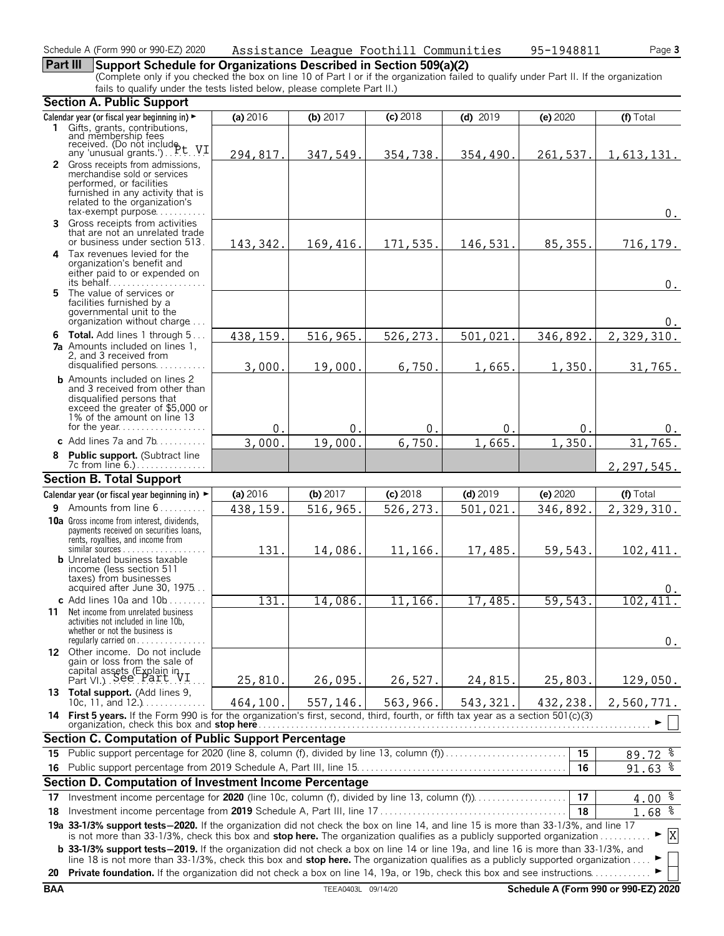### **Part III Support Schedule for Organizations Described in Section 509(a)(2)**

(Complete only if you checked the box on line 10 of Part I or if the organization failed to qualify under Part II. If the organization fails to qualify under the tests listed below, please complete Part II.)

|            | <b>Section A. Public Support</b>                                                                                                                                                                                                                             |           |                    |            |            |          |                                      |
|------------|--------------------------------------------------------------------------------------------------------------------------------------------------------------------------------------------------------------------------------------------------------------|-----------|--------------------|------------|------------|----------|--------------------------------------|
|            | Calendar year (or fiscal year beginning in) ►                                                                                                                                                                                                                | (a) 2016  | (b) $2017$         | (c) 2018   | $(d)$ 2019 | (e) 2020 | (f) Total                            |
|            | 1 Gifts, grants, contributions,                                                                                                                                                                                                                              |           |                    |            |            |          |                                      |
|            | and membership fees<br>received. (Do not include<br>any 'unusual grants.')P.C. V.I.                                                                                                                                                                          |           |                    |            |            |          |                                      |
|            | 2 Gross receipts from admissions,                                                                                                                                                                                                                            | 294,817.  | 347,549.           | 354,738.   | 354,490.   | 261,537. | 1,613,131.                           |
|            | merchandise sold or services                                                                                                                                                                                                                                 |           |                    |            |            |          |                                      |
|            | performed, or facilities<br>furnished in any activity that is                                                                                                                                                                                                |           |                    |            |            |          |                                      |
|            | related to the organization's                                                                                                                                                                                                                                |           |                    |            |            |          |                                      |
|            | $tax\text{-}exempt$ purpose                                                                                                                                                                                                                                  |           |                    |            |            |          | $0$ .                                |
| 3          | Gross receipts from activities<br>that are not an unrelated trade                                                                                                                                                                                            |           |                    |            |            |          |                                      |
|            | or business under section 513.                                                                                                                                                                                                                               | 143, 342. | 169,416.           | 171,535.   | 146,531.   | 85, 355. | 716, 179.                            |
|            | 4 Tax revenues levied for the                                                                                                                                                                                                                                |           |                    |            |            |          |                                      |
|            | organization's benefit and<br>either paid to or expended on                                                                                                                                                                                                  |           |                    |            |            |          |                                      |
|            |                                                                                                                                                                                                                                                              |           |                    |            |            |          | $0$ .                                |
|            | 5 The value of services or<br>facilities furnished by a                                                                                                                                                                                                      |           |                    |            |            |          |                                      |
|            | governmental unit to the                                                                                                                                                                                                                                     |           |                    |            |            |          |                                      |
|            | organization without charge                                                                                                                                                                                                                                  |           |                    |            |            |          | 0.                                   |
|            | 6 Total. Add lines 1 through 5                                                                                                                                                                                                                               | 438,159.  | 516,965.           | 526,273.   | 501,021.   | 346,892. | 2,329,310.                           |
|            | <b>7a</b> Amounts included on lines 1,<br>2, and 3 received from                                                                                                                                                                                             |           |                    |            |            |          |                                      |
|            | disqualified persons                                                                                                                                                                                                                                         | 3,000.    | 19,000.            | 6,750.     | 1,665.     | 1,350.   | 31,765.                              |
|            | <b>b</b> Amounts included on lines 2                                                                                                                                                                                                                         |           |                    |            |            |          |                                      |
|            | and 3 received from other than<br>disqualified persons that                                                                                                                                                                                                  |           |                    |            |            |          |                                      |
|            | exceed the greater of \$5,000 or                                                                                                                                                                                                                             |           |                    |            |            |          |                                      |
|            | 1% of the amount on line 13<br>for the year                                                                                                                                                                                                                  | $0$ .     | 0.                 | 0.         | 0.         | 0.       | 0.                                   |
|            | c Add lines $7a$ and $7b$                                                                                                                                                                                                                                    | 3,000     | 19,000.            | 6,750      | 1,665      | 1,350    | 31,765.                              |
| 8          | Public support. (Subtract line                                                                                                                                                                                                                               |           |                    |            |            |          |                                      |
|            | 7c from line 6.).                                                                                                                                                                                                                                            |           |                    |            |            |          | 2,297,545.                           |
|            | <b>Section B. Total Support</b>                                                                                                                                                                                                                              |           |                    |            |            |          |                                      |
|            | Calendar year (or fiscal year beginning in) ►                                                                                                                                                                                                                | (a) 2016  | (b) 2017           | $(c)$ 2018 | $(d)$ 2019 | (e) 2020 | (f) Total                            |
|            | <b>9</b> Amounts from line $6$                                                                                                                                                                                                                               | 438,159.  | 516,965.           | 526,273.   | 501,021.   | 346,892. | 2,329,310.                           |
|            | <b>10a</b> Gross income from interest, dividends,<br>payments received on securities loans,                                                                                                                                                                  |           |                    |            |            |          |                                      |
|            | rents, royalties, and income from                                                                                                                                                                                                                            |           |                    |            |            |          |                                      |
|            | <b>b</b> Unrelated business taxable                                                                                                                                                                                                                          | 131.      | 14,086.            | 11,166.    | 17,485.    | 59,543.  | 102, 411.                            |
|            | income (less section 511)                                                                                                                                                                                                                                    |           |                    |            |            |          |                                      |
|            | taxes) from businesses<br>acquired after June 30, 1975                                                                                                                                                                                                       |           |                    |            |            |          |                                      |
|            | c Add lines 10a and $10b$                                                                                                                                                                                                                                    | 131       | 14,086.            | 11,166.    | 17,485.    | 59,543.  | 102,411.                             |
| 11         | Net income from unrelated business                                                                                                                                                                                                                           |           |                    |            |            |          |                                      |
|            | activities not included in line 10b,<br>whether or not the business is                                                                                                                                                                                       |           |                    |            |            |          |                                      |
|            | regularly carried on $\dots\dots$                                                                                                                                                                                                                            |           |                    |            |            |          | $0$ .                                |
|            | 12 Other income. Do not include<br>gain or loss from the sale of                                                                                                                                                                                             |           |                    |            |            |          |                                      |
|            |                                                                                                                                                                                                                                                              |           |                    |            |            |          |                                      |
|            | capital assets (Explain in Part VI.) See Part VI.                                                                                                                                                                                                            | 25,810.   | 26,095.            | 26,527.    | 24,815.    | 25,803.  | 129,050.                             |
|            | 13 Total support. (Add lines 9,<br>10c, 11, and $12.$                                                                                                                                                                                                        | 464,100.  | 557,146.           | 563,966.   | 543, 321.  | 432,238. | 2,560,771.                           |
|            | 14 First 5 years. If the Form 990 is for the organization's first, second, third, fourth, or fifth tax year as a section 501(c)(3)                                                                                                                           |           |                    |            |            |          |                                      |
|            | organization, check this box and <b>stop here</b>                                                                                                                                                                                                            |           |                    |            |            |          |                                      |
|            | <b>Section C. Computation of Public Support Percentage</b><br>Public support percentage for 2020 (line 8, column (f), divided by line 13, column (f)                                                                                                         |           |                    |            |            | 15       |                                      |
| 15<br>16.  |                                                                                                                                                                                                                                                              |           |                    |            |            | 16       | $89.72$ $%$<br>$91.63$ $%$           |
|            | Section D. Computation of Investment Income Percentage                                                                                                                                                                                                       |           |                    |            |            |          |                                      |
| 17         | Investment income percentage for 2020 (line 10c, column (f), divided by line 13, column (f))                                                                                                                                                                 |           |                    |            |            | 17       | 4.00 <sup>8</sup>                    |
| 18         |                                                                                                                                                                                                                                                              |           |                    |            |            | 18       | 1.68 <sup>8</sup>                    |
|            | 19a 33-1/3% support tests-2020. If the organization did not check the box on line 14, and line 15 is more than 33-1/3%, and line 17                                                                                                                          |           |                    |            |            |          |                                      |
|            | is not more than 33-1/3%, check this box and stop here. The organization qualifies as a publicly supported organization                                                                                                                                      |           |                    |            |            |          | X                                    |
|            | <b>b</b> 33-1/3% support tests-2019. If the organization did not check a box on line 14 or line 19a, and line 16 is more than 33-1/3%, and                                                                                                                   |           |                    |            |            |          |                                      |
| 20         | line 18 is not more than 33-1/3%, check this box and stop here. The organization qualifies as a publicly supported organization<br>Private foundation. If the organization did not check a box on line 14, 19a, or 19b, check this box and see instructions. |           |                    |            |            |          |                                      |
| <b>BAA</b> |                                                                                                                                                                                                                                                              |           | TEEA0403L 09/14/20 |            |            |          | Schedule A (Form 990 or 990-EZ) 2020 |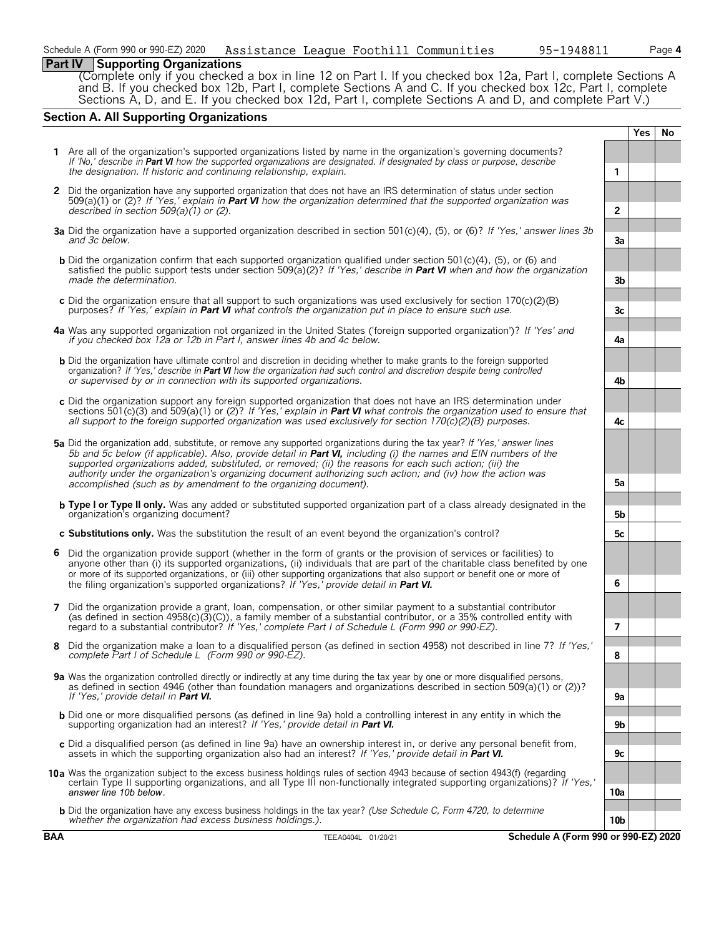#### **Part IV Supporting Organizations**

(Complete only if you checked a box in line 12 on Part I. If you checked box 12a, Part I, complete Sections A and B. If you checked box 12b, Part I, complete Sections A and C. If you checked box 12c, Part I, complete Sections A, D, and E. If you checked box 12d, Part I, complete Sections A and D, and complete Part V.)

#### **Section A. All Supporting Organizations**

|              |                                                                                                                                                                                                                                                                                                                                                                                                                                                                                                                                              |                 | Yes | No |
|--------------|----------------------------------------------------------------------------------------------------------------------------------------------------------------------------------------------------------------------------------------------------------------------------------------------------------------------------------------------------------------------------------------------------------------------------------------------------------------------------------------------------------------------------------------------|-----------------|-----|----|
|              | 1 Are all of the organization's supported organizations listed by name in the organization's governing documents?<br>If 'No,' describe in Part VI how the supported organizations are designated. If designated by class or purpose, describe<br>the designation. If historic and continuing relationship, explain.                                                                                                                                                                                                                          | 1               |     |    |
| $\mathbf{2}$ | Did the organization have any supported organization that does not have an IRS determination of status under section<br>$509(a)(1)$ or (2)? If 'Yes,' explain in Part VI how the organization determined that the supported organization was<br>described in section $509(a)(1)$ or (2).                                                                                                                                                                                                                                                     | $\mathbf{2}$    |     |    |
|              | 3a Did the organization have a supported organization described in section 501(c)(4), (5), or (6)? If 'Yes,' answer lines 3b<br>and 3c below.                                                                                                                                                                                                                                                                                                                                                                                                | За              |     |    |
|              | <b>b</b> Did the organization confirm that each supported organization qualified under section 501(c)(4), (5), or (6) and<br>satisfied the public support tests under section 509(a)(2)? If 'Yes,' describe in <b>Part VI</b> when and how the organization<br>made the determination.                                                                                                                                                                                                                                                       | 3b              |     |    |
|              | c Did the organization ensure that all support to such organizations was used exclusively for section $170(c)(2)(B)$<br>purposes? If 'Yes,' explain in <b>Part VI</b> what controls the organization put in place to ensure such use.                                                                                                                                                                                                                                                                                                        | 3c              |     |    |
|              | 4a Was any supported organization not organized in the United States ('foreign supported organization')? If 'Yes' and<br>if you checked box 12a or 12b in Part I, answer lines 4b and 4c below.                                                                                                                                                                                                                                                                                                                                              | 4a              |     |    |
|              | <b>b</b> Did the organization have ultimate control and discretion in deciding whether to make grants to the foreign supported<br>organization? If 'Yes,' describe in <b>Part VI</b> how the organization had such control and discretion despite being controlled<br>or supervised by or in connection with its supported organizations.                                                                                                                                                                                                    | 4b              |     |    |
|              | c Did the organization support any foreign supported organization that does not have an IRS determination under<br>sections 501(c)(3) and 509(a)(1) or (2)? If 'Yes,' explain in <b>Part VI</b> what controls the organization used to ensure that<br>all support to the foreign supported organization was used exclusively for section $170(c)(2)(B)$ purposes.                                                                                                                                                                            | 4c              |     |    |
|              | 5a Did the organization add, substitute, or remove any supported organizations during the tax year? If 'Yes,' answer lines<br>5b and 5c below (if applicable). Also, provide detail in Part VI, including (i) the names and EIN numbers of the<br>supported organizations added, substituted, or removed; (ii) the reasons for each such action; (iii) the<br>authority under the organization's organizing document authorizing such action; and (iv) how the action was<br>accomplished (such as by amendment to the organizing document). | 5a              |     |    |
|              | <b>b</b> Type I or Type II only. Was any added or substituted supported organization part of a class already designated in the<br>organization's organizing document?                                                                                                                                                                                                                                                                                                                                                                        | 5b              |     |    |
|              | c Substitutions only. Was the substitution the result of an event beyond the organization's control?                                                                                                                                                                                                                                                                                                                                                                                                                                         | 5c              |     |    |
|              | 6 Did the organization provide support (whether in the form of grants or the provision of services or facilities) to<br>anyone other than (i) its supported organizations, (ii) individuals that are part of the charitable class benefited by one<br>or more of its supported organizations, or (iii) other supporting organizations that also support or benefit one or more of<br>the filing organization's supported organizations? If 'Yes,' provide detail in Part VI.                                                                 | 6               |     |    |
|              | 7 Did the organization provide a grant, loan, compensation, or other similar payment to a substantial contributor<br>(as defined in section $4958(c)(3)(c)$ ), a family member of a substantial contributor, or a 35% controlled entity with<br>regard to a substantial contributor? If 'Yes,' complete Part I of Schedule L (Form 990 or 990-EZ).                                                                                                                                                                                           | $\overline{7}$  |     |    |
|              | 8 Did the organization make a loan to a disqualified person (as defined in section 4958) not described in line 7? If 'Yes,'<br>complete Part I of Schedule L (Form 990 or 990-EZ).                                                                                                                                                                                                                                                                                                                                                           | 8               |     |    |
|              | 9a Was the organization controlled directly or indirectly at any time during the tax year by one or more disqualified persons,<br>as defined in section 4946 (other than foundation managers and organizations described in section 509(a)(1) or (2))?<br>If 'Yes,' provide detail in Part VI.                                                                                                                                                                                                                                               | 9а              |     |    |
|              | <b>b</b> Did one or more disqualified persons (as defined in line 9a) hold a controlling interest in any entity in which the<br>supporting organization had an interest? If 'Yes,' provide detail in Part VI.                                                                                                                                                                                                                                                                                                                                | 9b              |     |    |
|              | c Did a disqualified person (as defined in line 9a) have an ownership interest in, or derive any personal benefit from,<br>assets in which the supporting organization also had an interest? If 'Yes,' provide detail in <b>Part VI.</b>                                                                                                                                                                                                                                                                                                     | 9с              |     |    |
|              | 10a Was the organization subject to the excess business holdings rules of section 4943 because of section 4943(f) (regarding<br>certain Type II supporting organizations, and all Type III non-functionally integrated supporting organizations)? If 'Yes,'                                                                                                                                                                                                                                                                                  |                 |     |    |
|              | answer line 10b below.                                                                                                                                                                                                                                                                                                                                                                                                                                                                                                                       | 10a             |     |    |
|              | <b>b</b> Did the organization have any excess business holdings in the tax year? (Use Schedule C, Form 4720, to determine<br>whether the organization had excess business holdings.).                                                                                                                                                                                                                                                                                                                                                        | 10 <sub>b</sub> |     |    |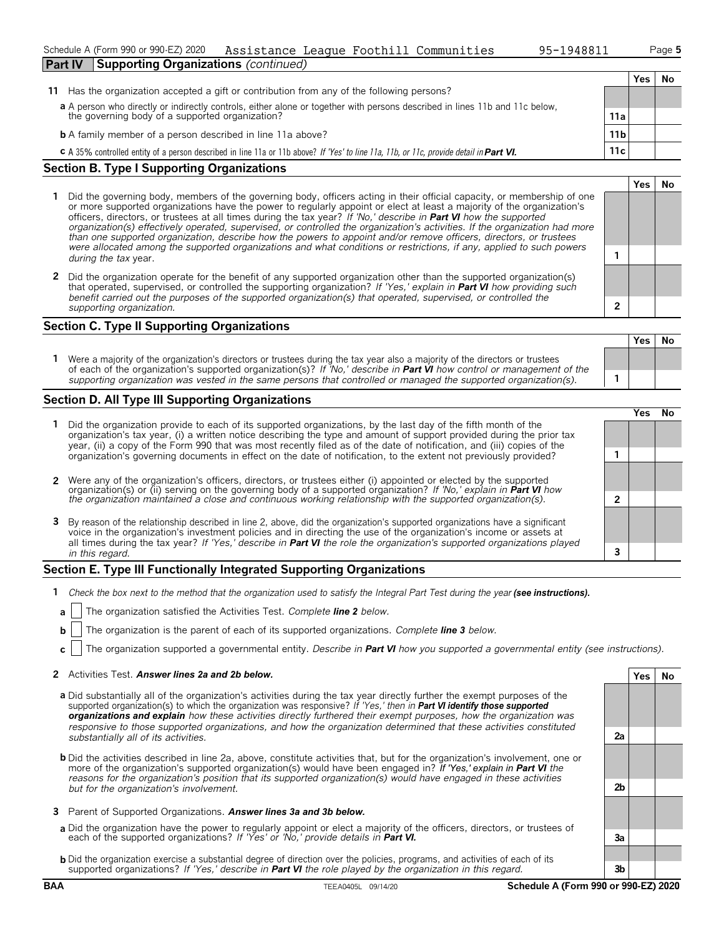| Schedule A (Form 990 or 990-EZ) 2020                          |  | Assistance League Foothill Communities | 95-1948811 | Page 5 |
|---------------------------------------------------------------|--|----------------------------------------|------------|--------|
| <b>Part IV</b><br><b>Supporting Organizations (continued)</b> |  |                                        |            |        |

**Yes No**

| 11 Has the organization accepted a gift or contribution from any of the following persons?                                                                                  |                  |  |  |
|-----------------------------------------------------------------------------------------------------------------------------------------------------------------------------|------------------|--|--|
| a A person who directly or indirectly controls, either alone or together with persons described in lines 11b and 11c below, the governing body of a supported organization? |                  |  |  |
|                                                                                                                                                                             | 11a              |  |  |
| <b>b</b> A family member of a person described in line 11a above?                                                                                                           | 11 <sub>b</sub>  |  |  |
| <b>C</b> A 35% controlled entity of a person described in line 11a or 11b above? If 'Yes' to line 11a, 11b, or 11c, provide detail in <b>Part VI.</b>                       | 11c <sub>1</sub> |  |  |

#### **Section B. Type I Supporting Organizations**

- **1** Did the governing body, members of the governing body, officers acting in their official capacity, or membership of one or more supported organizations have the power to regularly appoint or elect at least a majority of the organization's officers, directors, or trustees at all times during the tax year? *If 'No,' describe in Part VI how the supported organization(s) effectively operated, supervised, or controlled the organization's activities. If the organization had more than one supported organization, describe how the powers to appoint and/or remove officers, directors, or trustees were allocated among the supported organizations and what conditions or restrictions, if any, applied to such powers* **1** *during the tax* year.
- **2** Did the organization operate for the benefit of any supported organization other than the supported organization(s) that operated, supervised, or controlled the supporting organization? *If 'Yes,' explain in Part VI how providing such benefit carried out the purposes of the supported organization(s) that operated, supervised, or controlled the supporting organization.* **2**

#### **Section C. Type II Supporting Organizations**

**Yes No 1** Were a majority of the organization's directors or trustees during the tax year also a majority of the directors or trustees of each of the organization's supported organization(s)? *If 'No,' describe in Part VI how control or management of the supporting organization was vested in the same persons that controlled or managed the supported organization(s).* **1**

#### **Section D. All Type III Supporting Organizations**

|                                                                                                                                                                                                                                                                                                                                                                                       |   | ∕es |  |
|---------------------------------------------------------------------------------------------------------------------------------------------------------------------------------------------------------------------------------------------------------------------------------------------------------------------------------------------------------------------------------------|---|-----|--|
| 1 Did the organization provide to each of its supported organizations, by the last day of the fifth month of the<br>organization's tax year, (i) a written notice describing the type and amount of support provided during the prior tax<br>year, (ii) a copy of the Form 990 that was most recently filed as of the date of notification, and (iii) copies of the                   |   |     |  |
| organization's governing documents in effect on the date of notification, to the extent not previously provided?                                                                                                                                                                                                                                                                      |   |     |  |
| 2 Were any of the organization's officers, directors, or trustees either (i) appointed or elected by the supported organization(s) or (ii) serving on the governing body of a supported organization? If 'No,' explain in <b>Par</b>                                                                                                                                                  |   |     |  |
|                                                                                                                                                                                                                                                                                                                                                                                       |   |     |  |
| 3 By reason of the relationship described in line 2, above, did the organization's supported organizations have a significant<br>voice in the organization's investment policies and in directing the use of the organization's income or assets at<br>all times during the tax year? If 'Yes,' describe in <b>Part VI</b> the role the organization's supported organizations played |   |     |  |
| in this regard.                                                                                                                                                                                                                                                                                                                                                                       | 3 |     |  |
|                                                                                                                                                                                                                                                                                                                                                                                       |   |     |  |

#### **Section E. Type III Functionally Integrated Supporting Organizations**

- **1** *Check the box next to the method that the organization used to satisfy the Integral Part Test during the year (see instructions).* 
	- **a** The organization satisfied the Activities Test. *Complete line 2 below.*
	- **b** The organization is the parent of each of its supported organizations. *Complete line 3 below.*
	- **c** The organization supported a governmental entity. *Describe in Part VI how you supported a governmental entity (see instructions).*

#### **2** Activities Test. *Answer lines 2a and 2b below.* **Yes No**

- **a** Did substantially all of the organization's activities during the tax year directly further the exempt purposes of the supported organization(s) to which the organization was responsive? *If 'Yes,' then in Part VI identify those supported organizations and explain how these activities directly furthered their exempt purposes, how the organization was responsive to those supported organizations, and how the organization determined that these activities constituted substantially all of its activities.* **2a**
- **b** Did the activities described in line 2a, above, constitute activities that, but for the organization's involvement, one or more of the organization's supported organization(s) would have been engaged in? *If 'Yes,' explain in Part VI the reasons for the organization's position that its supported organization(s) would have engaged in these activities but for the organization's involvement.* **2b**
- **3** Parent of Supported Organizations. *Answer lines 3a and 3b below.*
- **a** Did the organization have the power to regularly appoint or elect a majority of the officers, directors, or trustees of each of the supported organizations? *If 'Yes' or 'No,' provide details in Part VI.* **3a**
- **b** Did the organization exercise a substantial degree of direction over the policies, programs, and activities of each of its supported organizations? *If 'Yes,' describe in Part VI the role played by the organization in this regard.* **3b**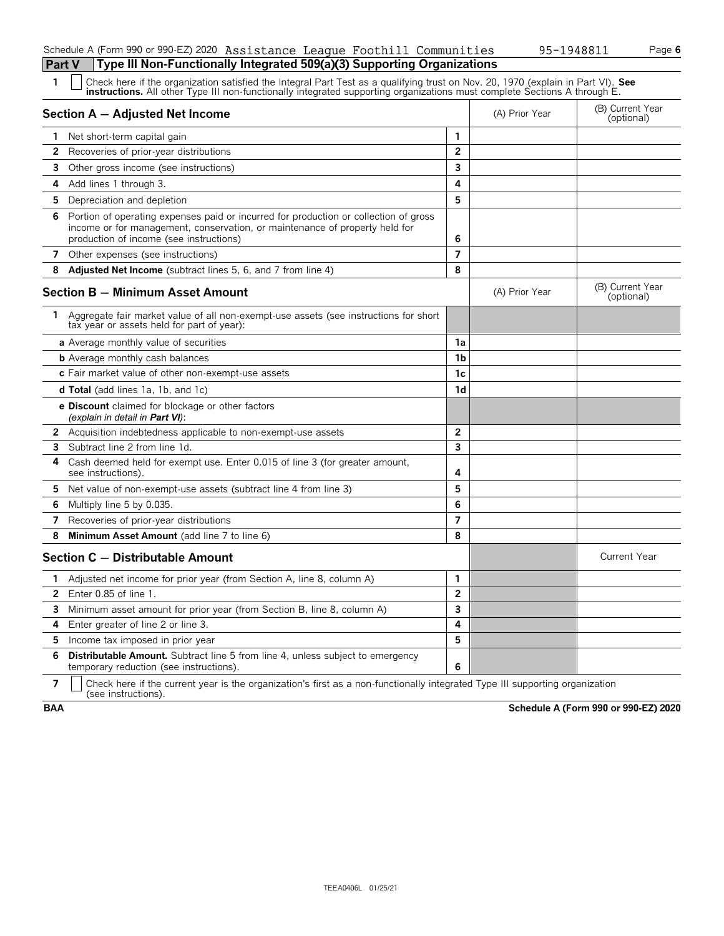#### Schedule A (Form 990 or 990-EZ) 2020 Assistance League Foothill Communities 95-1948811 Page **6 Part V Type III Non-Functionally Integrated 509(a)(3) Supporting Organizations**

| Check here if the organization satisfied the Integral Part Test as a qualifying trust on Nov. 20, 1970 (explain in Part VI). See<br>instructions. All other Type III non-functionally integrated supporting organizations must complete Sections A through E. |  |
|---------------------------------------------------------------------------------------------------------------------------------------------------------------------------------------------------------------------------------------------------------------|--|
|---------------------------------------------------------------------------------------------------------------------------------------------------------------------------------------------------------------------------------------------------------------|--|

|                | Section A - Adjusted Net Income                                                                                                                                                                                |                | (A) Prior Year | (B) Current Year<br>(optional) |
|----------------|----------------------------------------------------------------------------------------------------------------------------------------------------------------------------------------------------------------|----------------|----------------|--------------------------------|
| 1.             | Net short-term capital gain                                                                                                                                                                                    | 1              |                |                                |
| $\mathbf{2}$   | Recoveries of prior-year distributions                                                                                                                                                                         | $\overline{2}$ |                |                                |
| 3              | Other gross income (see instructions)                                                                                                                                                                          | 3              |                |                                |
| 4              | Add lines 1 through 3.                                                                                                                                                                                         | 4              |                |                                |
| 5.             | Depreciation and depletion                                                                                                                                                                                     | 5              |                |                                |
| 6.             | Portion of operating expenses paid or incurred for production or collection of gross<br>income or for management, conservation, or maintenance of property held for<br>production of income (see instructions) | 6              |                |                                |
| 7              | Other expenses (see instructions)                                                                                                                                                                              | $\overline{7}$ |                |                                |
| 8              | <b>Adjusted Net Income</b> (subtract lines 5, 6, and 7 from line 4)                                                                                                                                            | 8              |                |                                |
|                | Section B - Minimum Asset Amount                                                                                                                                                                               |                | (A) Prior Year | (B) Current Year<br>(optional) |
| 1.             | Aggregate fair market value of all non-exempt-use assets (see instructions for short<br>tax year or assets held for part of year):                                                                             |                |                |                                |
|                | a Average monthly value of securities                                                                                                                                                                          | 1a             |                |                                |
|                | <b>b</b> Average monthly cash balances                                                                                                                                                                         | 1b             |                |                                |
|                | c Fair market value of other non-exempt-use assets                                                                                                                                                             | 1c             |                |                                |
|                | <b>d Total</b> (add lines 1a, 1b, and 1c)                                                                                                                                                                      | 1d             |                |                                |
|                | <b>e Discount</b> claimed for blockage or other factors<br>(explain in detail in <b>Part VI</b> ):                                                                                                             |                |                |                                |
|                | 2 Acquisition indebtedness applicable to non-exempt-use assets                                                                                                                                                 | $\overline{2}$ |                |                                |
| 3              | Subtract line 2 from line 1d.                                                                                                                                                                                  | 3              |                |                                |
| 4              | Cash deemed held for exempt use. Enter 0.015 of line 3 (for greater amount,<br>see instructions).                                                                                                              | 4              |                |                                |
|                | 5 Net value of non-exempt-use assets (subtract line 4 from line 3)                                                                                                                                             | 5              |                |                                |
| 6              | Multiply line 5 by 0.035.                                                                                                                                                                                      | 6              |                |                                |
| $\overline{7}$ | Recoveries of prior-year distributions                                                                                                                                                                         | $\overline{7}$ |                |                                |
| 8              | Minimum Asset Amount (add line 7 to line 6)                                                                                                                                                                    | 8              |                |                                |
|                | Section C - Distributable Amount                                                                                                                                                                               |                |                | <b>Current Year</b>            |
| 1              | Adjusted net income for prior year (from Section A, line 8, column A)                                                                                                                                          | $\mathbf{1}$   |                |                                |
| 2              | Enter 0.85 of line 1.                                                                                                                                                                                          | $\overline{2}$ |                |                                |
| 3              | Minimum asset amount for prior year (from Section B, line 8, column A)                                                                                                                                         | 3              |                |                                |
| 4              | Enter greater of line 2 or line 3.                                                                                                                                                                             | 4              |                |                                |
| 5.             | Income tax imposed in prior year                                                                                                                                                                               | 5              |                |                                |
| 6              | <b>Distributable Amount.</b> Subtract line 5 from line 4, unless subject to emergency<br>temporary reduction (see instructions).                                                                               | 6              |                |                                |

**7**  $\Box$  Check here if the current year is the organization's first as a non-functionally integrated Type III supporting organization (see instructions).

**BAA Schedule A (Form 990 or 990-EZ) 2020**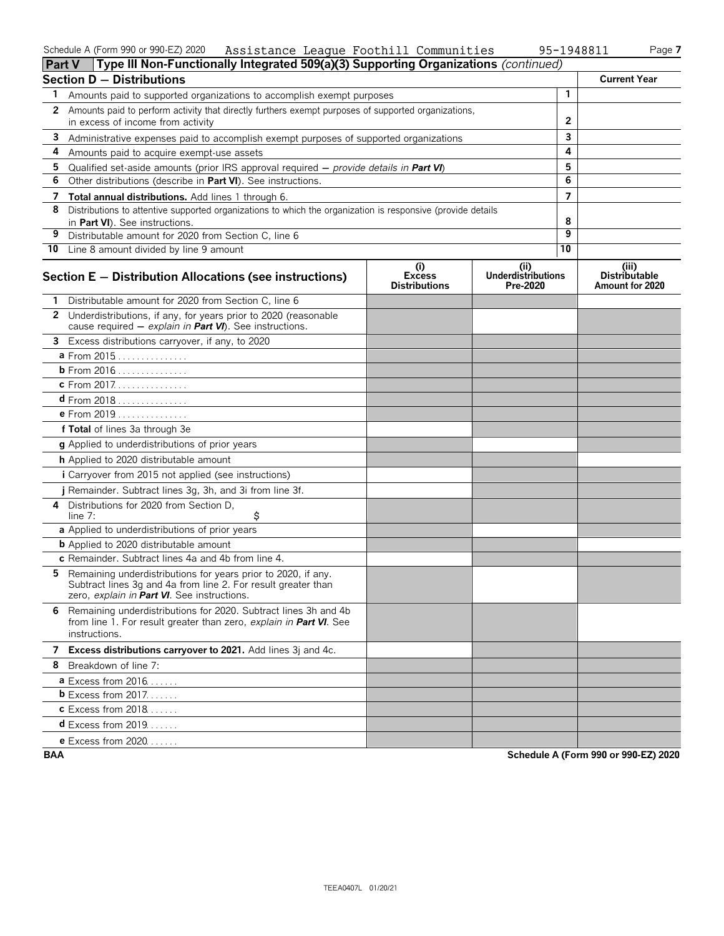#### Schedule A (Form 990 or 990-EZ) 2020 Page **7** Assistance League Foothill Communities 95-1948811

| 148811 | Pag |
|--------|-----|
|--------|-----|

|    | Type III Non-Functionally Integrated 509(a)(3) Supporting Organizations (continued)<br><b>Part V</b>                                                                          |                                              |                                               |              |                                                  |
|----|-------------------------------------------------------------------------------------------------------------------------------------------------------------------------------|----------------------------------------------|-----------------------------------------------|--------------|--------------------------------------------------|
|    | <b>Section D - Distributions</b>                                                                                                                                              |                                              |                                               |              | <b>Current Year</b>                              |
| 1. | Amounts paid to supported organizations to accomplish exempt purposes                                                                                                         |                                              |                                               | $\mathbf{1}$ |                                                  |
| 2  | Amounts paid to perform activity that directly furthers exempt purposes of supported organizations,<br>in excess of income from activity                                      |                                              |                                               | $\mathbf{2}$ |                                                  |
|    | 3 Administrative expenses paid to accomplish exempt purposes of supported organizations                                                                                       |                                              |                                               | 3            |                                                  |
| 4  | Amounts paid to acquire exempt-use assets                                                                                                                                     |                                              |                                               | 4            |                                                  |
| 5  | Qualified set-aside amounts (prior IRS approval required $-$ provide details in Part VI)                                                                                      |                                              |                                               | 5            |                                                  |
| 6  | Other distributions (describe in Part VI). See instructions.                                                                                                                  |                                              |                                               | 6            |                                                  |
| 7  | Total annual distributions. Add lines 1 through 6.                                                                                                                            |                                              |                                               | 7            |                                                  |
| 8  | Distributions to attentive supported organizations to which the organization is responsive (provide details                                                                   |                                              |                                               |              |                                                  |
|    | in Part VI). See instructions.                                                                                                                                                |                                              |                                               | 8            |                                                  |
| 9  | Distributable amount for 2020 from Section C, line 6                                                                                                                          |                                              |                                               | 9            |                                                  |
|    | 10 Line 8 amount divided by line 9 amount                                                                                                                                     |                                              |                                               | 10           |                                                  |
|    | Section E - Distribution Allocations (see instructions)                                                                                                                       | (i)<br><b>Excess</b><br><b>Distributions</b> | (ii)<br><b>Underdistributions</b><br>Pre-2020 |              | (iii)<br><b>Distributable</b><br>Amount for 2020 |
| 1. | Distributable amount for 2020 from Section C, line 6                                                                                                                          |                                              |                                               |              |                                                  |
|    | 2 Underdistributions, if any, for years prior to 2020 (reasonable<br>cause required - explain in Part VI). See instructions.                                                  |                                              |                                               |              |                                                  |
| 3  | Excess distributions carryover, if any, to 2020                                                                                                                               |                                              |                                               |              |                                                  |
|    | a From 2015                                                                                                                                                                   |                                              |                                               |              |                                                  |
|    | <b>b</b> From 2016                                                                                                                                                            |                                              |                                               |              |                                                  |
|    | c From 2017.                                                                                                                                                                  |                                              |                                               |              |                                                  |
|    | d From 2018                                                                                                                                                                   |                                              |                                               |              |                                                  |
|    | <b>e</b> From 2019                                                                                                                                                            |                                              |                                               |              |                                                  |
|    | f Total of lines 3a through 3e                                                                                                                                                |                                              |                                               |              |                                                  |
|    | g Applied to underdistributions of prior years                                                                                                                                |                                              |                                               |              |                                                  |
|    | h Applied to 2020 distributable amount                                                                                                                                        |                                              |                                               |              |                                                  |
|    | i Carryover from 2015 not applied (see instructions)                                                                                                                          |                                              |                                               |              |                                                  |
|    | j Remainder. Subtract lines 3g, 3h, and 3i from line 3f.                                                                                                                      |                                              |                                               |              |                                                  |
| 4  | Distributions for 2020 from Section D,<br>\$<br>line $7:$                                                                                                                     |                                              |                                               |              |                                                  |
|    | a Applied to underdistributions of prior years                                                                                                                                |                                              |                                               |              |                                                  |
|    | <b>b</b> Applied to 2020 distributable amount                                                                                                                                 |                                              |                                               |              |                                                  |
|    | c Remainder. Subtract lines 4a and 4b from line 4.                                                                                                                            |                                              |                                               |              |                                                  |
| 5. | Remaining underdistributions for years prior to 2020, if any.<br>Subtract lines 3g and 4a from line 2. For result greater than<br>zero, explain in Part VI. See instructions. |                                              |                                               |              |                                                  |
| 6. | Remaining underdistributions for 2020. Subtract lines 3h and 4b<br>from line 1. For result greater than zero, explain in Part VI. See<br>instructions.                        |                                              |                                               |              |                                                  |
|    | 7 Excess distributions carryover to 2021. Add lines 3j and 4c.                                                                                                                |                                              |                                               |              |                                                  |
|    | 8 Breakdown of line 7:                                                                                                                                                        |                                              |                                               |              |                                                  |
|    | <b>a</b> Excess from 2016                                                                                                                                                     |                                              |                                               |              |                                                  |
|    | $b$ Excess from 2017.                                                                                                                                                         |                                              |                                               |              |                                                  |
|    | $c$ Excess from 2018                                                                                                                                                          |                                              |                                               |              |                                                  |
|    | $d$ Excess from 2019.                                                                                                                                                         |                                              |                                               |              |                                                  |
|    | <b>e</b> Excess from 2020                                                                                                                                                     |                                              |                                               |              |                                                  |

**BAA Schedule A (Form 990 or 990-EZ) 2020**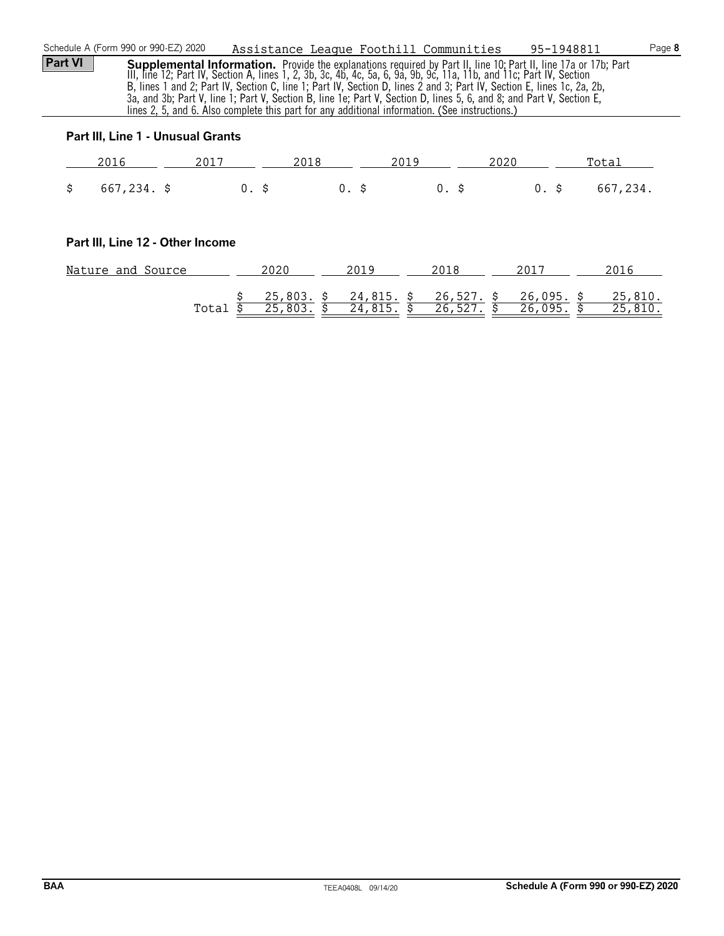| Schedule A (Form 990 or 990-EZ) 2020 |       |                         | Assistance League Foothill Communities                                                                                                                                                                                                                                                                                                                                                                                                                                                                                                                                                             |                         | 95-1948811                   | Page 8             |
|--------------------------------------|-------|-------------------------|----------------------------------------------------------------------------------------------------------------------------------------------------------------------------------------------------------------------------------------------------------------------------------------------------------------------------------------------------------------------------------------------------------------------------------------------------------------------------------------------------------------------------------------------------------------------------------------------------|-------------------------|------------------------------|--------------------|
| <b>Part VI</b>                       |       |                         | <b>Supplemental Information.</b> Provide the explanations required by Part II, line 10; Part II, line 17a or 17b; Part<br>III, line 12; Part IV, Section A, lines 1, 2, 3b, 3c, 4b, 4c, 5a, 6, 9a, 9b, 9c, 11a, 11b, and 11c; Part IV, Section<br>B, lines 1 and 2; Part IV, Section C, line 1; Part IV, Section D, lines 2 and 3; Part IV, Section E, lines 1c, 2a, 2b,<br>3a, and 3b; Part V, line 1; Part V, Section B, line 1e; Part V, Section D, lines 5, 6, and 8; and Part V, Section E,<br>lines 2, 5, and 6. Also complete this part for any additional information. (See instructions.) |                         |                              |                    |
| Part III, Line 1 - Unusual Grants    |       |                         |                                                                                                                                                                                                                                                                                                                                                                                                                                                                                                                                                                                                    |                         |                              |                    |
| 2016                                 | 2017  | 2018                    | 2019                                                                                                                                                                                                                                                                                                                                                                                                                                                                                                                                                                                               | 2020                    |                              | Total              |
| \$<br>$667,234.$ \$                  | 0. \$ |                         | $0.$ \$                                                                                                                                                                                                                                                                                                                                                                                                                                                                                                                                                                                            | $0.$ \$                 | $0.$ \$                      | 667,234.           |
| Part III, Line 12 - Other Income     |       |                         |                                                                                                                                                                                                                                                                                                                                                                                                                                                                                                                                                                                                    |                         |                              |                    |
| Nature and Source                    |       | 2020                    | 2019                                                                                                                                                                                                                                                                                                                                                                                                                                                                                                                                                                                               | 2018                    | 2017                         | 2016               |
|                                      | Total | $25,803.$ \$<br>25,803. | 24,815. \$<br>24,815.                                                                                                                                                                                                                                                                                                                                                                                                                                                                                                                                                                              | $26,527.$ \$<br>26,527. | $26,095.$ \$<br>Ś<br>26,095. | 25,810.<br>25,810. |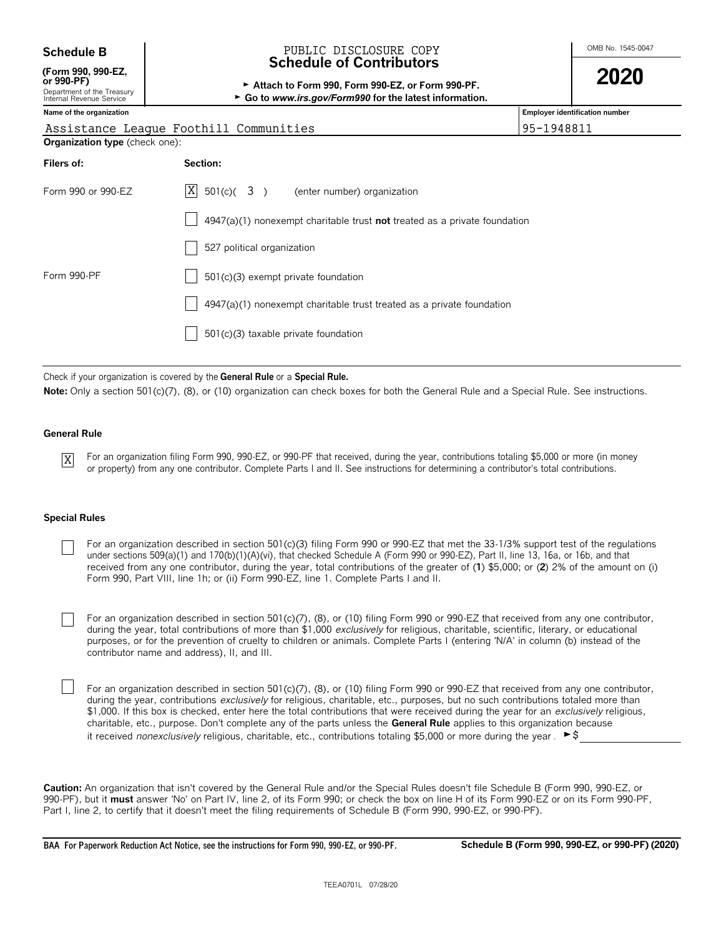| <b>Schedule B</b>                                                                          | PUBLIC DISCLOSURE COPY<br><b>Schedule of Contributors</b>                   | OMB No. 1545-0047 |                                       |  |
|--------------------------------------------------------------------------------------------|-----------------------------------------------------------------------------|-------------------|---------------------------------------|--|
| (Form 990, 990-EZ,<br>or 990-PF)<br>Department of the Treasury<br>Internal Revenue Service |                                                                             | 2020              |                                       |  |
| Name of the organization                                                                   |                                                                             |                   | <b>Employer identification number</b> |  |
|                                                                                            | Assistance League Foothill Communities                                      | 95-1948811        |                                       |  |
| <b>Organization type</b> (check one):                                                      |                                                                             |                   |                                       |  |
| Filers of:                                                                                 | Section:                                                                    |                   |                                       |  |
| Form 990 or 990-EZ                                                                         | X<br>$501(c)$ $(3)$ (enter number) organization                             |                   |                                       |  |
|                                                                                            | $4947(a)(1)$ nonexempt charitable trust not treated as a private foundation |                   |                                       |  |
|                                                                                            | 527 political organization                                                  |                   |                                       |  |
| Form 990-PF                                                                                | $501(c)(3)$ exempt private foundation                                       |                   |                                       |  |
|                                                                                            | 4947(a)(1) nonexempt charitable trust treated as a private foundation       |                   |                                       |  |
|                                                                                            | 501(c)(3) taxable private foundation                                        |                   |                                       |  |
|                                                                                            |                                                                             |                   |                                       |  |

Check if your organization is covered by the **General Rule** or a **Special Rule.**

Note: Only a section 501(c)(7), (8), or (10) organization can check boxes for both the General Rule and a Special Rule. See instructions.

#### **General Rule**

X

For an organization filing Form 990, 990-EZ, or 990-PF that received, during the year, contributions totaling \$5,000 or more (in money or property) from any one contributor. Complete Parts I and II. See instructions for determining a contributor's total contributions.

#### **Special Rules**

For an organization described in section 501(c)(3) filing Form 990 or 990-EZ that met the 33-1/3% support test of the regulations under sections 509(a)(1) and 170(b)(1)(A)(vi), that checked Schedule A (Form 990 or 990-EZ), Part II, line 13, 16a, or 16b, and that received from any one contributor, during the year, total contributions of the greater of (**1**) \$5,000; or (**2**) 2% of the amount on (i) Form 990, Part VIII, line 1h; or (ii) Form 990-EZ, line 1. Complete Parts I and II.

For an organization described in section 501(c)(7), (8), or (10) filing Form 990 or 990-EZ that received from any one contributor, during the year, total contributions of more than \$1,000 *exclusively* for religious, charitable, scientific, literary, or educational purposes, or for the prevention of cruelty to children or animals. Complete Parts I (entering 'N/A' in column (b) instead of the contributor name and address), II, and III.

For an organization described in section 501(c)(7), (8), or (10) filing Form 990 or 990-EZ that received from any one contributor, during the year, contributions *exclusively* for religious, charitable, etc., purposes, but no such contributions totaled more than \$1,000. If this box is checked, enter here the total contributions that were received during the year for an *exclusively* religious, charitable, etc., purpose. Don't complete any of the parts unless the **General Rule** applies to this organization because it received *nonexclusively* religious, charitable, etc., contributions totaling \$5,000 or more during the year . ► \$

**Caution:** An organization that isn't covered by the General Rule and/or the Special Rules doesn't file Schedule B (Form 990, 990-EZ, or 990-PF), but it **must** answer 'No' on Part IV, line 2, of its Form 990; or check the box on line H of its Form 990-EZ or on its Form 990-PF, Part I, line 2, to certify that it doesn't meet the filing requirements of Schedule B (Form 990, 990-EZ, or 990-PF).

**BAA For Paperwork Reduction Act Notice, see the instructions for Form 990, 990-EZ, or 990-PF. Schedule B (Form 990, 990-EZ, or 990-PF) (2020)**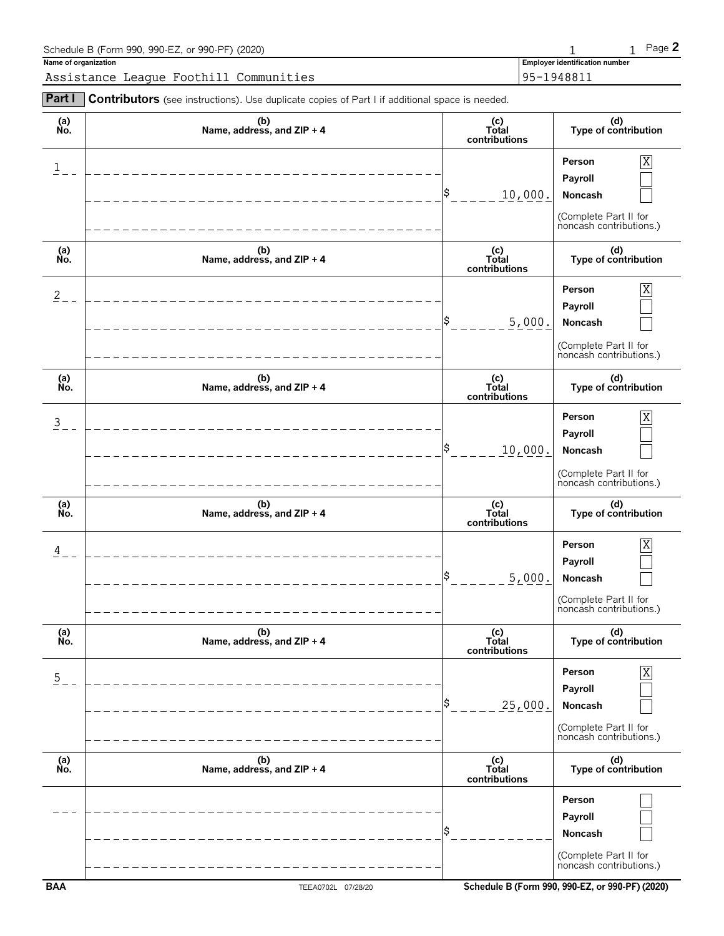| Schedule B (Form 990, 990-EZ, or 990-PF) (2020)                                                              |                                       | Page $2$ |
|--------------------------------------------------------------------------------------------------------------|---------------------------------------|----------|
| Name of organization                                                                                         | <b>Employer identification number</b> |          |
| Assistance League Foothill Communities                                                                       | 195-1948811                           |          |
| <b>Part I</b> Contributors (see instructions). Use duplicate copies of Part I if additional space is needed. |                                       |          |

| (a)<br>No.     | (b)<br>Name, address, and ZIP + 4 | (c)<br>Total<br>contributions   | (d)<br>Type of contribution                                                           |
|----------------|-----------------------------------|---------------------------------|---------------------------------------------------------------------------------------|
| 1              |                                   | S<br>10,000.                    | Person<br>Χ<br>Payroll<br>Noncash<br>(Complete Part II for<br>noncash contributions.) |
| (a)<br>No.     | (b)<br>Name, address, and ZIP + 4 | (c)<br>Total<br>contributions   | (d)<br>Type of contribution                                                           |
| $\overline{2}$ |                                   | 5,000.                          | Person<br>Χ<br>Payroll<br>Noncash<br>(Complete Part II for<br>noncash contributions.) |
| (a)<br>No.     | (b)<br>Name, address, and ZIP + 4 | (c)<br>Total<br>contributions   | (d)<br>Type of contribution                                                           |
| $\mathsf 3$    |                                   | 10,000.                         | Person<br>Χ<br>Payroll<br>Noncash<br>(Complete Part II for<br>noncash contributions.) |
|                |                                   |                                 |                                                                                       |
| (a)<br>No.     | (b)<br>Name, address, and ZIP + 4 | (c)<br>Total<br>contributions   | (d)<br>Type of contribution                                                           |
| 4              |                                   | 5,000.                          | Person<br>Χ<br>Payroll<br>Noncash<br>(Complete Part II for<br>noncash contributions.) |
| (a)<br>Ńo.     | (b)<br>Name, address, and ZIP + 4 | (c)<br>Total<br>contributions   | (d)<br>Type of contribution                                                           |
| $\overline{5}$ |                                   | 25,000.                         | Person<br>X<br>Payroll<br>Noncash<br>(Complete Part II for<br>noncash contributions.) |
| (a)<br>No.     | (b)<br>Name, address, and ZIP + 4 | $(c)$<br>Total<br>contributions | (d)<br>Type of contribution                                                           |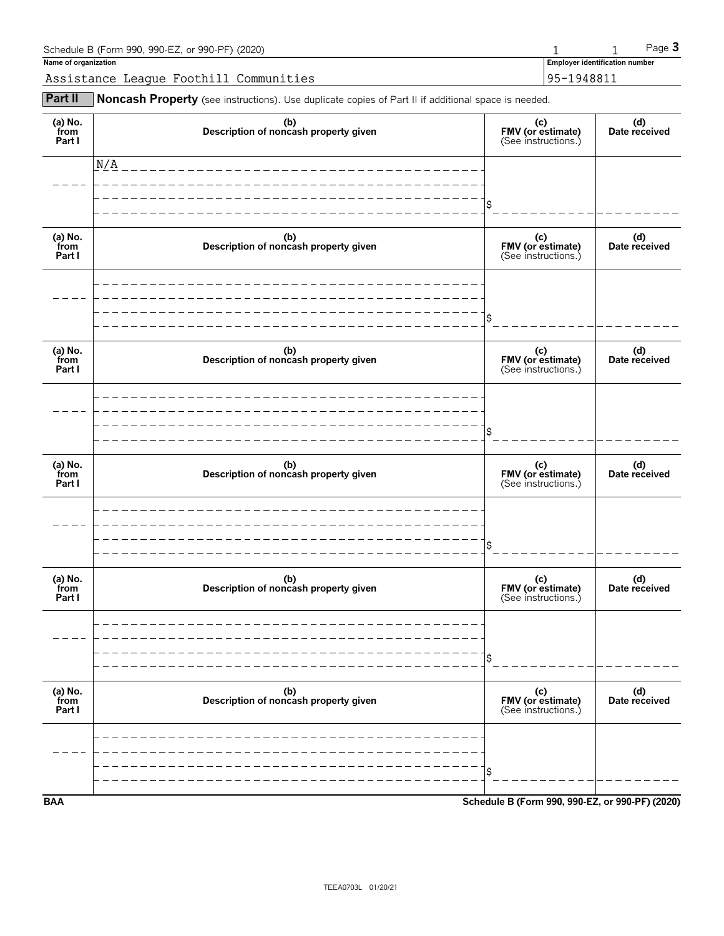| Schedule B (Form 990, 990-EZ, or 990-PF) (2020) |            |                                | Page 3 |  |
|-------------------------------------------------|------------|--------------------------------|--------|--|
| Name of organization                            |            | Employer identification number |        |  |
| Assistance League Foothill Communities          | 95-1948811 |                                |        |  |

**Part II** Noncash Property (see instructions). Use duplicate copies of Part II if additional space is needed.

| (a) No.<br>from<br>Part I | (b)<br>Description of noncash property given | (c)<br>FMV (or estimate)<br>(See instructions.) | (d)<br>Date received |
|---------------------------|----------------------------------------------|-------------------------------------------------|----------------------|
|                           | N/A                                          |                                                 |                      |
|                           |                                              |                                                 |                      |
| (a) No.<br>from<br>Part I | (b)<br>Description of noncash property given | (c)<br>FMV (or estimate)<br>(See instructions.) | (d)<br>Date received |
|                           |                                              |                                                 |                      |
|                           |                                              | \$                                              |                      |
| (a) No.<br>from<br>Part I | (b)<br>Description of noncash property given | (c)<br>FMV (or estimate)<br>(See instructions.) | (d)<br>Date received |
|                           |                                              |                                                 |                      |
|                           |                                              |                                                 |                      |
| (a) No.<br>from<br>Part I | (b)<br>Description of noncash property given | (c)<br>FMV (or estimate)<br>(See instructions.) | (d)<br>Date received |
|                           |                                              |                                                 |                      |
|                           |                                              | Ś                                               |                      |
| (a) No.<br>from<br>Part I | (b)<br>Description of noncash property given | (c)<br>FMV (or estimate)<br>(See instructions.) | (d)<br>Date received |
|                           |                                              |                                                 |                      |
|                           |                                              | \$                                              |                      |
| (a) No.<br>from<br>Part I | (b)<br>Description of noncash property given | (c)<br>FMV (or estimate)<br>(See instructions.) | (d)<br>Date received |
|                           |                                              |                                                 |                      |
|                           |                                              | Ś                                               |                      |
| <b>BAA</b>                |                                              | Schedule B (Form 990, 990-EZ, or 990-PF) (2020) |                      |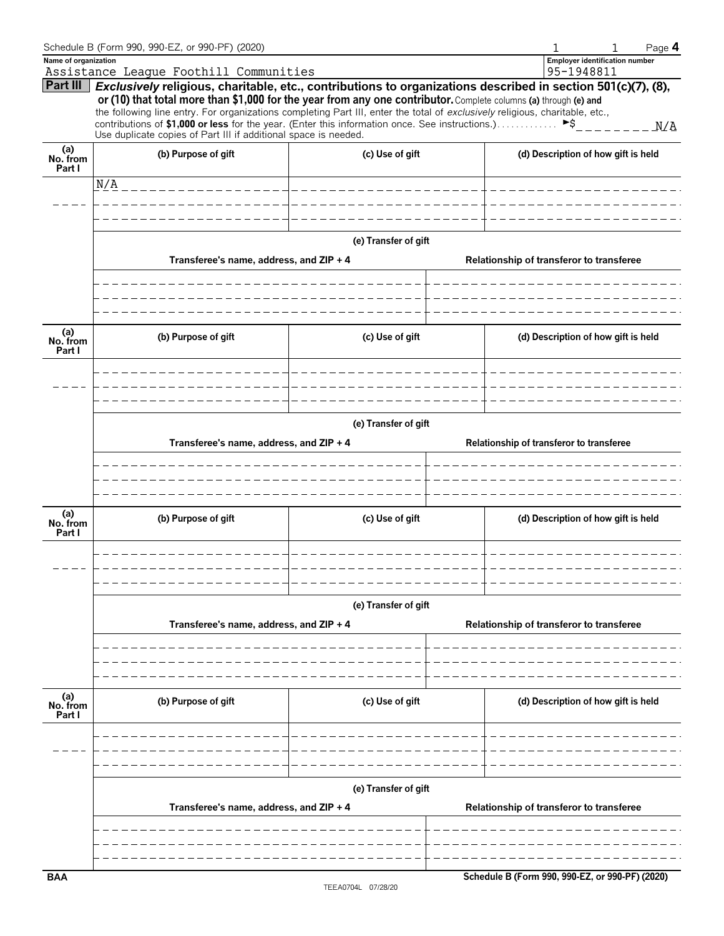|                           | Schedule B (Form 990, 990-EZ, or 990-PF) (2020)                                                                              |                       | Page 4                                                                                                                            |  |  |  |  |  |  |  |
|---------------------------|------------------------------------------------------------------------------------------------------------------------------|-----------------------|-----------------------------------------------------------------------------------------------------------------------------------|--|--|--|--|--|--|--|
| Name of organization      |                                                                                                                              |                       | <b>Employer identification number</b>                                                                                             |  |  |  |  |  |  |  |
| Part III                  | Assistance League Foothill Communities                                                                                       |                       | 95-1948811<br>Exclusively religious, charitable, etc., contributions to organizations described in section 501(c)(7), (8),        |  |  |  |  |  |  |  |
|                           | or (10) that total more than \$1,000 for the year from any one contributor. Complete columns (a) through (e) and             |                       |                                                                                                                                   |  |  |  |  |  |  |  |
|                           | the following line entry. For organizations completing Part III, enter the total of exclusively religious, charitable, etc., |                       |                                                                                                                                   |  |  |  |  |  |  |  |
|                           | Use duplicate copies of Part III if additional space is needed.                                                              |                       | contributions of \$1,000 or less for the year. (Enter this information once. See instructions.) $\triangleright$ \$___________N/A |  |  |  |  |  |  |  |
| (a)<br>No. from<br>Part I | (b) Purpose of gift                                                                                                          | (c) Use of gift       | (d) Description of how gift is held                                                                                               |  |  |  |  |  |  |  |
|                           | N/A<br>_______________                                                                                                       | _____________________ |                                                                                                                                   |  |  |  |  |  |  |  |
|                           |                                                                                                                              |                       |                                                                                                                                   |  |  |  |  |  |  |  |
|                           |                                                                                                                              |                       |                                                                                                                                   |  |  |  |  |  |  |  |
|                           |                                                                                                                              | (e) Transfer of gift  |                                                                                                                                   |  |  |  |  |  |  |  |
|                           | Transferee's name, address, and ZIP + 4                                                                                      |                       | Relationship of transferor to transferee                                                                                          |  |  |  |  |  |  |  |
|                           |                                                                                                                              |                       |                                                                                                                                   |  |  |  |  |  |  |  |
|                           |                                                                                                                              |                       |                                                                                                                                   |  |  |  |  |  |  |  |
| (a)<br>No. from<br>Part I | (b) Purpose of gift                                                                                                          | (c) Use of gift       | (d) Description of how gift is held                                                                                               |  |  |  |  |  |  |  |
|                           |                                                                                                                              |                       |                                                                                                                                   |  |  |  |  |  |  |  |
|                           |                                                                                                                              |                       |                                                                                                                                   |  |  |  |  |  |  |  |
|                           | (e) Transfer of gift                                                                                                         |                       |                                                                                                                                   |  |  |  |  |  |  |  |
|                           | Transferee's name, address, and ZIP + 4                                                                                      |                       | Relationship of transferor to transferee                                                                                          |  |  |  |  |  |  |  |
|                           |                                                                                                                              |                       |                                                                                                                                   |  |  |  |  |  |  |  |
|                           |                                                                                                                              |                       |                                                                                                                                   |  |  |  |  |  |  |  |
| (a)<br>No. from           | (b) Purpose of gift                                                                                                          | (c) Use of gift       | (d) Description of how gift is held                                                                                               |  |  |  |  |  |  |  |
| Part I                    |                                                                                                                              |                       |                                                                                                                                   |  |  |  |  |  |  |  |
|                           |                                                                                                                              |                       |                                                                                                                                   |  |  |  |  |  |  |  |
|                           |                                                                                                                              |                       |                                                                                                                                   |  |  |  |  |  |  |  |
|                           |                                                                                                                              | (e) Transfer of gift  |                                                                                                                                   |  |  |  |  |  |  |  |
|                           | Transferee's name, address, and ZIP + 4                                                                                      |                       | Relationship of transferor to transferee                                                                                          |  |  |  |  |  |  |  |
|                           |                                                                                                                              |                       |                                                                                                                                   |  |  |  |  |  |  |  |
|                           |                                                                                                                              |                       |                                                                                                                                   |  |  |  |  |  |  |  |
| (a)<br>No. from           | (b) Purpose of gift                                                                                                          | (c) Use of gift       | (d) Description of how gift is held                                                                                               |  |  |  |  |  |  |  |
| Part I                    |                                                                                                                              |                       |                                                                                                                                   |  |  |  |  |  |  |  |
|                           |                                                                                                                              |                       |                                                                                                                                   |  |  |  |  |  |  |  |
|                           |                                                                                                                              |                       |                                                                                                                                   |  |  |  |  |  |  |  |
|                           |                                                                                                                              | (e) Transfer of gift  |                                                                                                                                   |  |  |  |  |  |  |  |
|                           | Transferee's name, address, and ZIP + 4                                                                                      |                       | Relationship of transferor to transferee                                                                                          |  |  |  |  |  |  |  |
|                           |                                                                                                                              |                       |                                                                                                                                   |  |  |  |  |  |  |  |
|                           |                                                                                                                              |                       |                                                                                                                                   |  |  |  |  |  |  |  |
| <b>BAA</b>                |                                                                                                                              |                       | Schedule B (Form 990, 990-EZ, or 990-PF) (2020)                                                                                   |  |  |  |  |  |  |  |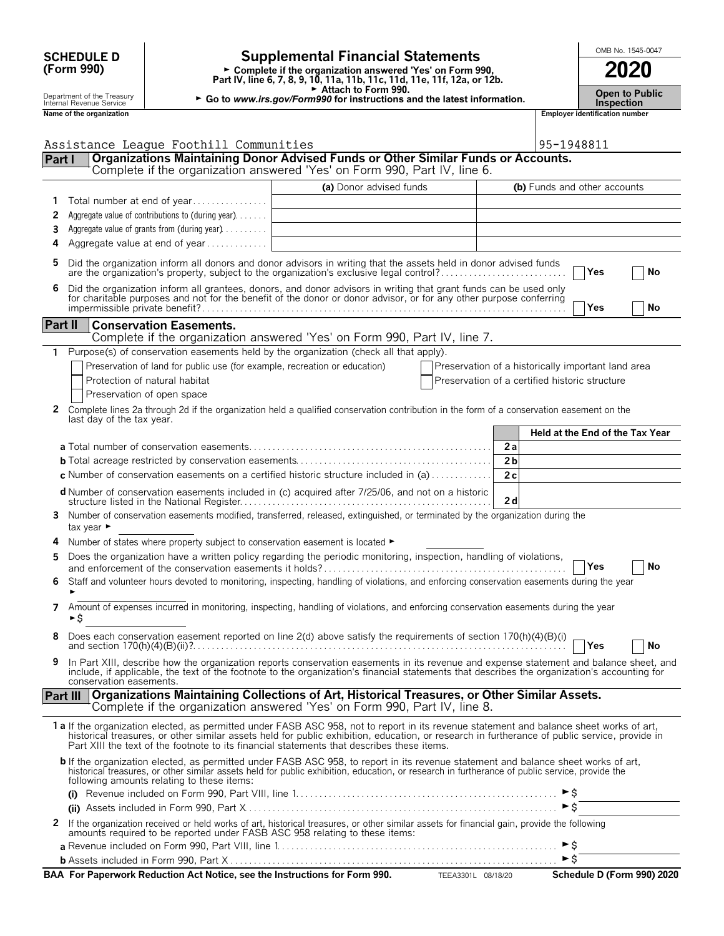|                | <b>SCHEDULE D</b>                                      |                                                                                                   | <b>Supplemental Financial Statements</b>                                                                                                                                                                                                                                                                                                                                                |                                                    |          |                   |                                       | OMB No. 1545-0047 |
|----------------|--------------------------------------------------------|---------------------------------------------------------------------------------------------------|-----------------------------------------------------------------------------------------------------------------------------------------------------------------------------------------------------------------------------------------------------------------------------------------------------------------------------------------------------------------------------------------|----------------------------------------------------|----------|-------------------|---------------------------------------|-------------------|
|                | (Form 990)                                             |                                                                                                   | Complete if the organization answered 'Yes' on Form 990,<br>Part IV, line 6, 7, 8, 9, 10, 11a, 11b, 11c, 11d, 11e, 11f, 12a, or 12b.                                                                                                                                                                                                                                                    |                                                    |          |                   |                                       | 2020              |
|                | Department of the Treasury<br>Internal Revenue Service |                                                                                                   | Attach to Form 990.<br>► Go to www.irs.gov/Form990 for instructions and the latest information.                                                                                                                                                                                                                                                                                         |                                                    |          | <b>Inspection</b> | <b>Open to Public</b>                 |                   |
|                | Name of the organization                               |                                                                                                   |                                                                                                                                                                                                                                                                                                                                                                                         |                                                    |          |                   | <b>Employer identification number</b> |                   |
|                |                                                        | Assistance League Foothill Communities                                                            |                                                                                                                                                                                                                                                                                                                                                                                         |                                                    |          | 95-1948811        |                                       |                   |
| Part I         |                                                        |                                                                                                   | Organizations Maintaining Donor Advised Funds or Other Similar Funds or Accounts.                                                                                                                                                                                                                                                                                                       |                                                    |          |                   |                                       |                   |
|                |                                                        |                                                                                                   | Complete if the organization answered 'Yes' on Form 990, Part IV, line 6.                                                                                                                                                                                                                                                                                                               |                                                    |          |                   |                                       |                   |
| 1              |                                                        | Total number at end of year                                                                       | (a) Donor advised funds                                                                                                                                                                                                                                                                                                                                                                 |                                                    |          |                   | (b) Funds and other accounts          |                   |
| 2              |                                                        | Aggregate value of contributions to (during year)                                                 |                                                                                                                                                                                                                                                                                                                                                                                         |                                                    |          |                   |                                       |                   |
| 3              |                                                        | Aggregate value of grants from (during year)                                                      |                                                                                                                                                                                                                                                                                                                                                                                         |                                                    |          |                   |                                       |                   |
| 4              |                                                        | Aggregate value at end of year                                                                    |                                                                                                                                                                                                                                                                                                                                                                                         |                                                    |          |                   |                                       |                   |
| 5              |                                                        |                                                                                                   | Did the organization inform all donors and donor advisors in writing that the assets held in donor advised funds<br>are the organization's property, subject to the organization's exclusive legal control?                                                                                                                                                                             |                                                    |          |                   | Yes                                   | No                |
| 6              |                                                        |                                                                                                   | Did the organization inform all grantees, donors, and donor advisors in writing that grant funds can be used only<br>for charitable purposes and not for the benefit of the donor or donor advisor, or for any other purpose conferring                                                                                                                                                 |                                                    |          |                   | Yes                                   | No                |
| <b>Part II</b> |                                                        | <b>Conservation Easements.</b>                                                                    | Complete if the organization answered 'Yes' on Form 990, Part IV, line 7.                                                                                                                                                                                                                                                                                                               |                                                    |          |                   |                                       |                   |
| 1              |                                                        |                                                                                                   | Purpose(s) of conservation easements held by the organization (check all that apply).                                                                                                                                                                                                                                                                                                   |                                                    |          |                   |                                       |                   |
|                |                                                        | Preservation of land for public use (for example, recreation or education)                        |                                                                                                                                                                                                                                                                                                                                                                                         | Preservation of a historically important land area |          |                   |                                       |                   |
|                |                                                        | Protection of natural habitat                                                                     |                                                                                                                                                                                                                                                                                                                                                                                         | Preservation of a certified historic structure     |          |                   |                                       |                   |
| $\mathbf{2}$   |                                                        | Preservation of open space                                                                        | Complete lines 2a through 2d if the organization held a qualified conservation contribution in the form of a conservation easement on the                                                                                                                                                                                                                                               |                                                    |          |                   |                                       |                   |
|                | last day of the tax year.                              |                                                                                                   |                                                                                                                                                                                                                                                                                                                                                                                         |                                                    |          |                   |                                       |                   |
|                |                                                        |                                                                                                   |                                                                                                                                                                                                                                                                                                                                                                                         |                                                    |          |                   | Held at the End of the Tax Year       |                   |
|                |                                                        |                                                                                                   |                                                                                                                                                                                                                                                                                                                                                                                         |                                                    | 2a<br>2b |                   |                                       |                   |
|                |                                                        |                                                                                                   | <b>c</b> Number of conservation easements on a certified historic structure included in (a) $\dots \dots \dots$                                                                                                                                                                                                                                                                         |                                                    | 2c       |                   |                                       |                   |
|                |                                                        |                                                                                                   | d Number of conservation easements included in (c) acquired after 7/25/06, and not on a historic                                                                                                                                                                                                                                                                                        |                                                    |          |                   |                                       |                   |
| 3              | tax year $\blacktriangleright$                         |                                                                                                   | Number of conservation easements modified, transferred, released, extinguished, or terminated by the organization during the                                                                                                                                                                                                                                                            |                                                    | 2d       |                   |                                       |                   |
| 4              |                                                        | Number of states where property subject to conservation easement is located $\blacktriangleright$ |                                                                                                                                                                                                                                                                                                                                                                                         |                                                    |          |                   |                                       |                   |
| 5              |                                                        |                                                                                                   | Does the organization have a written policy regarding the periodic monitoring, inspection, handling of violations,                                                                                                                                                                                                                                                                      |                                                    |          |                   |                                       |                   |
|                |                                                        |                                                                                                   | Staff and volunteer hours devoted to monitoring, inspecting, handling of violations, and enforcing conservation easements during the year                                                                                                                                                                                                                                               |                                                    |          |                   | <b>Yes</b>                            | No                |
|                |                                                        |                                                                                                   |                                                                                                                                                                                                                                                                                                                                                                                         |                                                    |          |                   |                                       |                   |
| 7              | ►\$                                                    |                                                                                                   | Amount of expenses incurred in monitoring, inspecting, handling of violations, and enforcing conservation easements during the year                                                                                                                                                                                                                                                     |                                                    |          |                   |                                       |                   |
| 8              |                                                        |                                                                                                   |                                                                                                                                                                                                                                                                                                                                                                                         |                                                    |          |                   | Yes                                   | <b>No</b>         |
| 9              | conservation easements.                                |                                                                                                   | In Part XIII, describe how the organization reports conservation easements in its revenue and expense statement and balance sheet, and<br>include, if applicable, the text of the footnote to the organization's financial statements that describes the organization's accounting for                                                                                                  |                                                    |          |                   |                                       |                   |
| Part III       |                                                        |                                                                                                   | Organizations Maintaining Collections of Art, Historical Treasures, or Other Similar Assets.<br>Complete if the organization answered 'Yes' on Form 990, Part IV, line 8.                                                                                                                                                                                                               |                                                    |          |                   |                                       |                   |
|                |                                                        |                                                                                                   | 1 a If the organization elected, as permitted under FASB ASC 958, not to report in its revenue statement and balance sheet works of art,<br>historical treasures, or other similar assets held for public exhibition, education, or research in furtherance of public service, provide in<br>Part XIII the text of the footnote to its financial statements that describes these items. |                                                    |          |                   |                                       |                   |
|                |                                                        | following amounts relating to these items:                                                        | b If the organization elected, as permitted under FASB ASC 958, to report in its revenue statement and balance sheet works of art,<br>historical treasures, or other similar assets held for public exhibition, education, or research in furtherance of public service, provide the                                                                                                    |                                                    |          |                   |                                       |                   |
|                |                                                        |                                                                                                   |                                                                                                                                                                                                                                                                                                                                                                                         |                                                    |          | ►s                |                                       |                   |
| 2              |                                                        |                                                                                                   | If the organization received or held works of art, historical treasures, or other similar assets for financial gain, provide the following                                                                                                                                                                                                                                              |                                                    |          |                   |                                       |                   |
|                |                                                        |                                                                                                   | amounts required to be reported under FASB ASC 958 relating to these items:                                                                                                                                                                                                                                                                                                             |                                                    |          |                   |                                       |                   |

| BAA For Paperwork Reduction Act Notice, see the Instructions for Form 990. | TEEA3301L 08/18/20 | Schedule D (Form 990) 2020 |
|----------------------------------------------------------------------------|--------------------|----------------------------|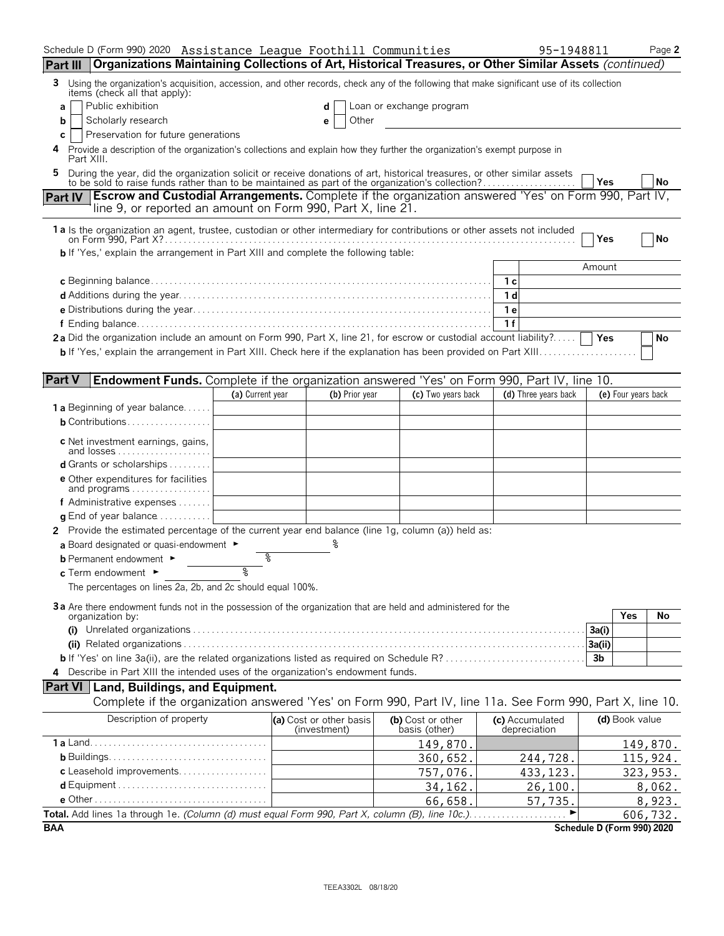|                | Schedule D (Form 990) 2020 Assistance League Foothill Communities                                                                                                                                                         |                  |                                         |                                    | 95-1948811                      |                            | Page 2    |
|----------------|---------------------------------------------------------------------------------------------------------------------------------------------------------------------------------------------------------------------------|------------------|-----------------------------------------|------------------------------------|---------------------------------|----------------------------|-----------|
| Part III       | Organizations Maintaining Collections of Art, Historical Treasures, or Other Similar Assets (continued)                                                                                                                   |                  |                                         |                                    |                                 |                            |           |
| 3              | Using the organization's acquisition, accession, and other records, check any of the following that make significant use of its collection<br>items (check all that apply):                                               |                  |                                         |                                    |                                 |                            |           |
| a              | Public exhibition                                                                                                                                                                                                         |                  |                                         | Loan or exchange program           |                                 |                            |           |
| b              | Scholarly research                                                                                                                                                                                                        |                  | Other<br>е                              |                                    |                                 |                            |           |
| с              | Preservation for future generations                                                                                                                                                                                       |                  |                                         |                                    |                                 |                            |           |
|                | Provide a description of the organization's collections and explain how they further the organization's exempt purpose in<br>Part XIII.                                                                                   |                  |                                         |                                    |                                 |                            |           |
|                | During the year, did the organization solicit or receive donations of art, historical treasures, or other similar assets to be sold to raise funds rather than to be maintained as part of the organization's collection? |                  |                                         |                                    |                                 | Yes                        | <b>No</b> |
| <b>Part IV</b> | <b>Escrow and Custodial Arrangements.</b> Complete if the organization answered 'Yes' on Form 990, Part IV,                                                                                                               |                  |                                         |                                    |                                 |                            |           |
|                | line 9, or reported an amount on Form 990, Part X, line 21.                                                                                                                                                               |                  |                                         |                                    |                                 |                            |           |
|                | 1 a Is the organization an agent, trustee, custodian or other intermediary for contributions or other assets not included                                                                                                 |                  |                                         |                                    |                                 | Yes                        | No        |
|                | <b>b</b> If 'Yes,' explain the arrangement in Part XIII and complete the following table:                                                                                                                                 |                  |                                         |                                    |                                 |                            |           |
|                |                                                                                                                                                                                                                           |                  |                                         |                                    |                                 | Amount                     |           |
|                |                                                                                                                                                                                                                           |                  |                                         |                                    | – 1 c<br>1 d                    |                            |           |
|                |                                                                                                                                                                                                                           |                  |                                         |                                    | <b>1e</b>                       |                            |           |
|                |                                                                                                                                                                                                                           |                  |                                         |                                    | 1f                              |                            |           |
|                | 2a Did the organization include an amount on Form 990, Part X, line 21, for escrow or custodial account liability?                                                                                                        |                  |                                         |                                    |                                 |                            | No        |
|                |                                                                                                                                                                                                                           |                  |                                         |                                    |                                 |                            |           |
|                |                                                                                                                                                                                                                           |                  |                                         |                                    |                                 |                            |           |
| <b>Part V</b>  | <b>Endowment Funds.</b> Complete if the organization answered 'Yes' on Form 990, Part IV, line 10.                                                                                                                        |                  |                                         |                                    |                                 |                            |           |
|                |                                                                                                                                                                                                                           | (a) Current year | (b) Prior year                          | (c) Two years back                 | (d) Three years back            | (e) Four years back        |           |
|                | <b>1a</b> Beginning of year balance                                                                                                                                                                                       |                  |                                         |                                    |                                 |                            |           |
|                | <b>b</b> Contributions                                                                                                                                                                                                    |                  |                                         |                                    |                                 |                            |           |
|                | c Net investment earnings, gains,                                                                                                                                                                                         |                  |                                         |                                    |                                 |                            |           |
|                | and losses                                                                                                                                                                                                                |                  |                                         |                                    |                                 |                            |           |
|                | <b>d</b> Grants or scholarships $\ldots \ldots$                                                                                                                                                                           |                  |                                         |                                    |                                 |                            |           |
|                | <b>e</b> Other expenditures for facilities<br>and programs                                                                                                                                                                |                  |                                         |                                    |                                 |                            |           |
|                | f Administrative expenses                                                                                                                                                                                                 |                  |                                         |                                    |                                 |                            |           |
|                | $\alpha$ End of year balance $\ldots \ldots \ldots$                                                                                                                                                                       |                  |                                         |                                    |                                 |                            |           |
|                | 2 Provide the estimated percentage of the current year end balance (line 1g, column (a)) held as:                                                                                                                         |                  |                                         |                                    |                                 |                            |           |
|                | a Board designated or quasi-endowment $\blacktriangleright$                                                                                                                                                               |                  |                                         |                                    |                                 |                            |           |
|                | <b>b</b> Permanent endowment $\blacktriangleright$                                                                                                                                                                        | ଽ                |                                         |                                    |                                 |                            |           |
|                | $c$ Term endowment $\blacktriangleright$                                                                                                                                                                                  | ž                |                                         |                                    |                                 |                            |           |
|                | The percentages on lines 2a, 2b, and 2c should equal 100%.                                                                                                                                                                |                  |                                         |                                    |                                 |                            |           |
|                |                                                                                                                                                                                                                           |                  |                                         |                                    |                                 |                            |           |
|                | 3a Are there endowment funds not in the possession of the organization that are held and administered for the<br>organization by:                                                                                         |                  |                                         |                                    |                                 | Yes                        | No        |
|                |                                                                                                                                                                                                                           |                  |                                         |                                    |                                 | 3a(i)                      |           |
|                |                                                                                                                                                                                                                           |                  |                                         |                                    |                                 | 3a(ii)                     |           |
|                |                                                                                                                                                                                                                           |                  |                                         |                                    |                                 | 3b                         |           |
|                | 4 Describe in Part XIII the intended uses of the organization's endowment funds.                                                                                                                                          |                  |                                         |                                    |                                 |                            |           |
|                | <b>Part VI</b> Land, Buildings, and Equipment.                                                                                                                                                                            |                  |                                         |                                    |                                 |                            |           |
|                | Complete if the organization answered 'Yes' on Form 990, Part IV, line 11a. See Form 990, Part X, line 10.                                                                                                                |                  |                                         |                                    |                                 |                            |           |
|                | Description of property                                                                                                                                                                                                   |                  | (a) Cost or other basis<br>(investment) | (b) Cost or other<br>basis (other) | (c) Accumulated<br>depreciation | (d) Book value             |           |
|                |                                                                                                                                                                                                                           |                  |                                         | 149,870.                           |                                 |                            | 149,870.  |
|                |                                                                                                                                                                                                                           |                  |                                         | 360,652.                           | 244,728.                        |                            | 115,924.  |
|                | c Leasehold improvements                                                                                                                                                                                                  |                  |                                         | 757,076.                           | 433, 123.                       |                            | 323, 953. |
|                |                                                                                                                                                                                                                           |                  |                                         | 34, 162.                           | 26, 100.                        |                            | 8,062.    |
|                |                                                                                                                                                                                                                           |                  |                                         | 66,658.                            | 57,735.                         |                            | 8,923.    |
|                | Total. Add lines 1a through 1e. (Column (d) must equal Form 990, Part X, column (B), line 10c.)                                                                                                                           |                  |                                         |                                    |                                 |                            | 606,732.  |
| <b>BAA</b>     |                                                                                                                                                                                                                           |                  |                                         |                                    |                                 | Schedule D (Form 990) 2020 |           |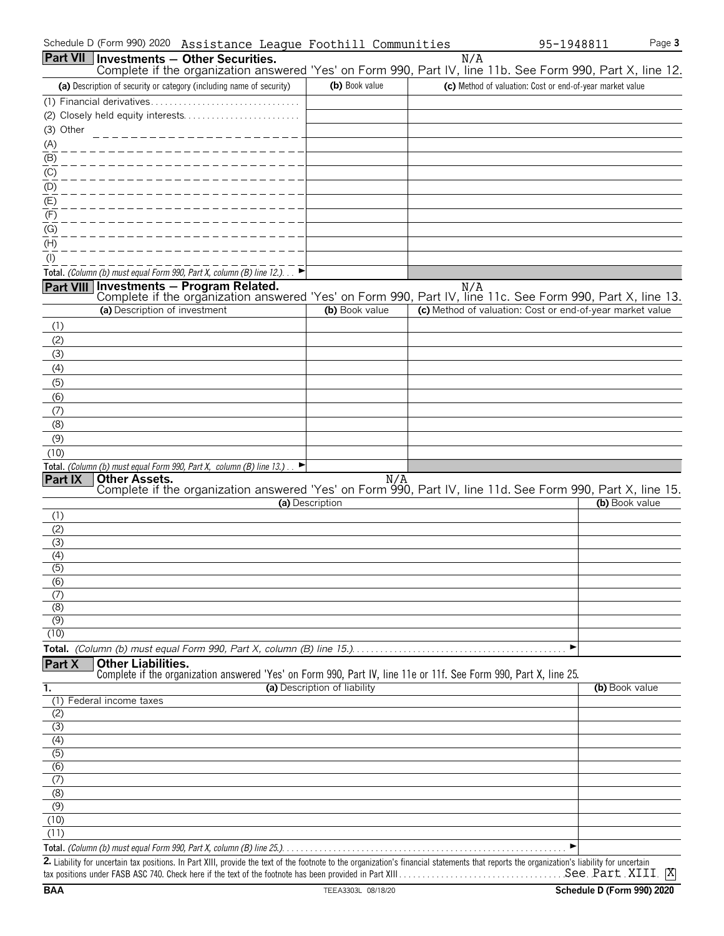| Schedule D (Form 990) 2020 Assistance League Foothill Communities                                                                                                                                                         |                              |     | 95-1948811                                                | Page 3         |
|---------------------------------------------------------------------------------------------------------------------------------------------------------------------------------------------------------------------------|------------------------------|-----|-----------------------------------------------------------|----------------|
| Part VII   Investments - Other Securities.                                                                                                                                                                                |                              | N/A |                                                           |                |
| Complete if the organization answered 'Yes' on Form 990, Part IV, line 11b. See Form 990, Part X, line 12.                                                                                                                |                              |     |                                                           |                |
| (a) Description of security or category (including name of security)                                                                                                                                                      | (b) Book value               |     | (c) Method of valuation: Cost or end-of-year market value |                |
|                                                                                                                                                                                                                           |                              |     |                                                           |                |
|                                                                                                                                                                                                                           |                              |     |                                                           |                |
| (3) Other<br>______________________                                                                                                                                                                                       |                              |     |                                                           |                |
| (A)                                                                                                                                                                                                                       |                              |     |                                                           |                |
| (B)                                                                                                                                                                                                                       |                              |     |                                                           |                |
| $\overline{(\mathsf{C})}$                                                                                                                                                                                                 |                              |     |                                                           |                |
| (D)                                                                                                                                                                                                                       |                              |     |                                                           |                |
| (E)                                                                                                                                                                                                                       |                              |     |                                                           |                |
| (F)<br>(G)                                                                                                                                                                                                                |                              |     |                                                           |                |
| (H)                                                                                                                                                                                                                       |                              |     |                                                           |                |
| (1)                                                                                                                                                                                                                       |                              |     |                                                           |                |
| Total. (Column (b) must equal Form 990, Part X, column (B) line 12.). $\blacktriangleright$                                                                                                                               |                              |     |                                                           |                |
|                                                                                                                                                                                                                           |                              |     |                                                           |                |
| N/A Nill <b>Investments – Program Related.</b> N/A N/A Nill <b>Part VIII</b> Investments – Program Related.<br>Complete if the organization answered 'Yes' on Form 990, Part IV, line 11c. See Form 990, Part X, line 13. |                              |     |                                                           |                |
| (a) Description of investment                                                                                                                                                                                             | (b) Book value               |     | (c) Method of valuation: Cost or end-of-year market value |                |
| (1)                                                                                                                                                                                                                       |                              |     |                                                           |                |
| (2)                                                                                                                                                                                                                       |                              |     |                                                           |                |
| (3)                                                                                                                                                                                                                       |                              |     |                                                           |                |
| (4)                                                                                                                                                                                                                       |                              |     |                                                           |                |
| (5)                                                                                                                                                                                                                       |                              |     |                                                           |                |
| (6)                                                                                                                                                                                                                       |                              |     |                                                           |                |
| (7)                                                                                                                                                                                                                       |                              |     |                                                           |                |
| (8)                                                                                                                                                                                                                       |                              |     |                                                           |                |
| (9)                                                                                                                                                                                                                       |                              |     |                                                           |                |
| (10)<br>Total. (Column (b) must equal Form 990, Part X, column (B) line 13.).                                                                                                                                             |                              |     |                                                           |                |
| <b>Other Assets.</b><br>Part IX                                                                                                                                                                                           | N/A                          |     |                                                           |                |
| Complete if the organization answered 'Yes' on Form 990, Part IV, line 11d. See Form 990, Part X, line 15.                                                                                                                |                              |     |                                                           |                |
|                                                                                                                                                                                                                           | (a) Description              |     |                                                           | (b) Book value |
| (1)                                                                                                                                                                                                                       |                              |     |                                                           |                |
| (2)<br>(3)                                                                                                                                                                                                                |                              |     |                                                           |                |
| (4)                                                                                                                                                                                                                       |                              |     |                                                           |                |
| (၁)                                                                                                                                                                                                                       |                              |     |                                                           |                |
| (6)                                                                                                                                                                                                                       |                              |     |                                                           |                |
| (7)                                                                                                                                                                                                                       |                              |     |                                                           |                |
| (8)                                                                                                                                                                                                                       |                              |     |                                                           |                |
| (9)<br>(10)                                                                                                                                                                                                               |                              |     |                                                           |                |
|                                                                                                                                                                                                                           |                              |     | ▶                                                         |                |
| <b>Other Liabilities.</b>                                                                                                                                                                                                 |                              |     |                                                           |                |
| Part X<br>Complete if the organization answered 'Yes' on Form 990, Part IV, line 11e or 11f. See Form 990, Part X, line 25.                                                                                               |                              |     |                                                           |                |
| 1.                                                                                                                                                                                                                        | (a) Description of liability |     | (b) Book value                                            |                |
| (1) Federal income taxes                                                                                                                                                                                                  |                              |     |                                                           |                |
| (2)                                                                                                                                                                                                                       |                              |     |                                                           |                |
| $\overline{3}$                                                                                                                                                                                                            |                              |     |                                                           |                |
| (4)                                                                                                                                                                                                                       |                              |     |                                                           |                |
| $\overline{(5)}$<br>(6)                                                                                                                                                                                                   |                              |     |                                                           |                |
| (7)                                                                                                                                                                                                                       |                              |     |                                                           |                |
| (8)                                                                                                                                                                                                                       |                              |     |                                                           |                |
| $\overline{(\overline{9})}$                                                                                                                                                                                               |                              |     |                                                           |                |
| (10)                                                                                                                                                                                                                      |                              |     |                                                           |                |
| (11)                                                                                                                                                                                                                      |                              |     |                                                           |                |
|                                                                                                                                                                                                                           |                              |     |                                                           |                |
| 2. Liability for uncertain tax positions. In Part XIII, provide the text of the footnote to the organization's financial statements that reports the organization's liability for uncertain                               |                              |     |                                                           |                |

| <b>2.</b> Liability for uncertain tax positions. In Part XIII, provide the text of the footnote to the organization's financial statements that reports the organization's liability for uncertain |  |  |
|----------------------------------------------------------------------------------------------------------------------------------------------------------------------------------------------------|--|--|
| See Part XIII  X<br>tax positions under FASB ASC 740. Check here if the text of the footnote has been provided in Part XIII                                                                        |  |  |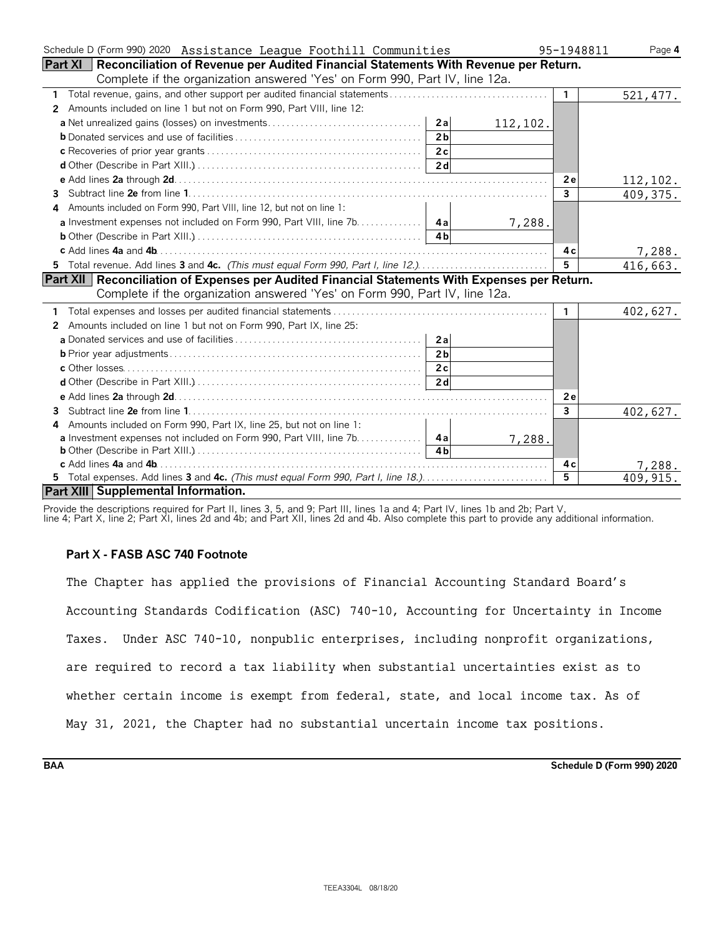| Schedule D (Form 990) 2020 Assistance League Foothill Communities                                     | 95-1948811   | Page 4    |
|-------------------------------------------------------------------------------------------------------|--------------|-----------|
| <b>Part XI</b> Reconciliation of Revenue per Audited Financial Statements With Revenue per Return.    |              |           |
| Complete if the organization answered 'Yes' on Form 990, Part IV, line 12a.                           |              |           |
| 1                                                                                                     | $\mathbf{1}$ | 521,477.  |
| Amounts included on line 1 but not on Form 990, Part VIII, line 12:<br>2                              |              |           |
| 2a<br>112, 102.                                                                                       |              |           |
| 2 <sub>b</sub>                                                                                        |              |           |
| 2c                                                                                                    |              |           |
| 2d                                                                                                    |              |           |
|                                                                                                       | 2e           | 112,102.  |
| 3                                                                                                     | $\mathbf{3}$ | 409,375.  |
| Amounts included on Form 990, Part VIII, line 12, but not on line 1:<br>4                             |              |           |
| <b>a</b> Investment expenses not included on Form 990, Part VIII, line 7b.   4a<br>7,288.             |              |           |
|                                                                                                       |              |           |
|                                                                                                       | 4 c          | 7,288.    |
| 5 Total revenue. Add lines 3 and 4c. (This must equal Form 990, Part I, line 12.)                     | $5^{\circ}$  | 416,663.  |
| <b>Part XII</b> Reconciliation of Expenses per Audited Financial Statements With Expenses per Return. |              |           |
| Complete if the organization answered 'Yes' on Form 990, Part IV, line 12a.                           |              |           |
|                                                                                                       | $\mathbf{1}$ | 402,627.  |
| Amounts included on line 1 but not on Form 990, Part IX, line 25:<br>2                                |              |           |
| 2a                                                                                                    |              |           |
| 2 <sub>b</sub>                                                                                        |              |           |
| 2c                                                                                                    |              |           |
| 2d                                                                                                    |              |           |
|                                                                                                       | <b>2e</b>    |           |
| 3                                                                                                     | 3            | 402,627.  |
| Amounts included on Form 990, Part IX, line 25, but not on line 1:<br>4                               |              |           |
| 7,288.                                                                                                |              |           |
| 4h                                                                                                    |              |           |
|                                                                                                       | 4 c          | 7,288.    |
| 5 Total expenses. Add lines 3 and 4c. (This must equal Form 990, Part I, line 18.)                    | 5            | 409, 915. |
| Part XIII Supplemental Information.                                                                   |              |           |

Provide the descriptions required for Part II, lines 3, 5, and 9; Part III, lines 1a and 4; Part IV, lines 1b and 2b; Part V,

line 4; Part X, line 2; Part XI, lines 2d and 4b; and Part XII, lines 2d and 4b. Also complete this part to provide any additional information.

### **Part X - FASB ASC 740 Footnote**

The Chapter has applied the provisions of Financial Accounting Standard Board's Accounting Standards Codification (ASC) 740-10, Accounting for Uncertainty in Income Taxes. Under ASC 740-10, nonpublic enterprises, including nonprofit organizations, are required to record a tax liability when substantial uncertainties exist as to whether certain income is exempt from federal, state, and local income tax. As of May 31, 2021, the Chapter had no substantial uncertain income tax positions.

**BAA Schedule D (Form 990) 2020**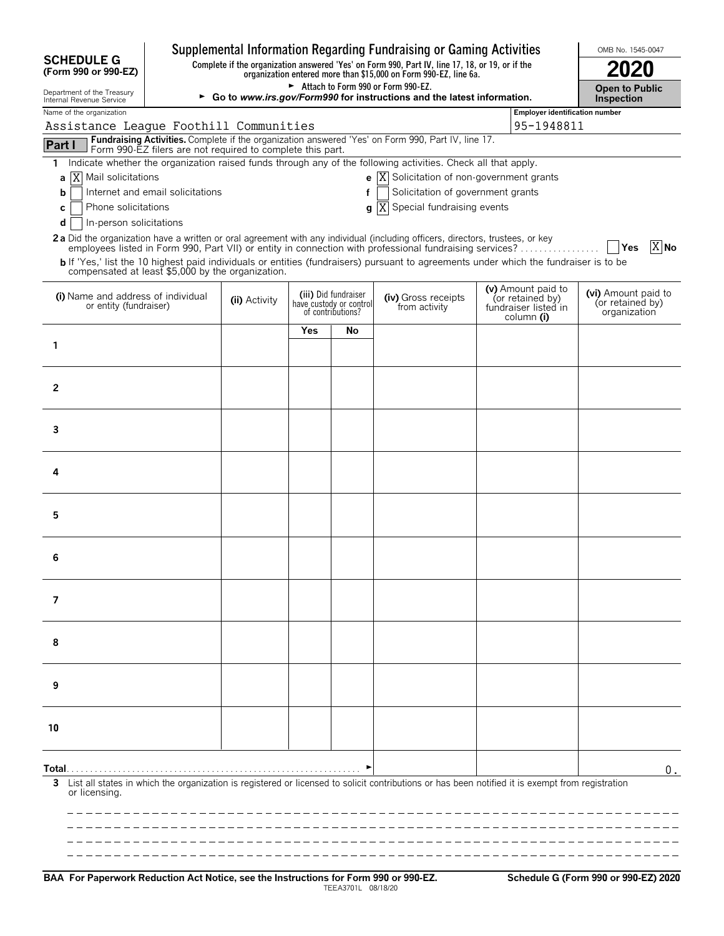|                                                                    |                                                            |               |     |                                                                      | Supplemental Information Regarding Fundraising or Gaming Activities                                                                                                                                                                              |                                                                              | OMB No. 1545-0047                                       |        |
|--------------------------------------------------------------------|------------------------------------------------------------|---------------|-----|----------------------------------------------------------------------|--------------------------------------------------------------------------------------------------------------------------------------------------------------------------------------------------------------------------------------------------|------------------------------------------------------------------------------|---------------------------------------------------------|--------|
| <b>SCHEDULE G</b><br>(Form 990 or 990-EZ)                          |                                                            |               |     |                                                                      | Complete if the organization answered 'Yes' on Form 990, Part IV, line 17, 18, or 19, or if the<br>organization entered more than \$15,000 on Form 990-EZ, line 6a.                                                                              |                                                                              |                                                         |        |
| Department of the Treasury<br>Internal Revenue Service             |                                                            |               |     |                                                                      | Attach to Form 990 or Form 990-EZ.<br>Go to www.irs.gov/Form990 for instructions and the latest information.                                                                                                                                     |                                                                              | <b>Open to Public</b><br><b>Inspection</b>              |        |
| Name of the organization<br>Assistance League Foothill Communities |                                                            |               |     |                                                                      |                                                                                                                                                                                                                                                  | <b>Employer identification number</b><br>95-1948811                          |                                                         |        |
| Part I                                                             | Form 990-EZ filers are not required to complete this part. |               |     |                                                                      | Fundraising Activities. Complete if the organization answered 'Yes' on Form 990, Part IV, line 17.                                                                                                                                               |                                                                              |                                                         |        |
| 1                                                                  |                                                            |               |     |                                                                      | Indicate whether the organization raised funds through any of the following activities. Check all that apply.                                                                                                                                    |                                                                              |                                                         |        |
| a   X   Mail solicitations                                         |                                                            |               |     |                                                                      | <b>e</b> $\overline{X}$ Solicitation of non-government grants                                                                                                                                                                                    |                                                                              |                                                         |        |
| b                                                                  | Internet and email solicitations                           |               |     | f                                                                    | Solicitation of government grants                                                                                                                                                                                                                |                                                                              |                                                         |        |
| Phone solicitations<br>с<br>In-person solicitations<br>d           |                                                            |               |     | q                                                                    | ΙX<br>Special fundraising events                                                                                                                                                                                                                 |                                                                              |                                                         |        |
|                                                                    |                                                            |               |     |                                                                      | 2a Did the organization have a written or oral agreement with any individual (including officers, directors, trustees, or key                                                                                                                    |                                                                              |                                                         |        |
| compensated at least \$5,000 by the organization.                  |                                                            |               |     |                                                                      | employees listed in Form 990, Part VII) or entity in connection with professional fundraising services?<br>b If 'Yes,' list the 10 highest paid individuals or entities (fundraisers) pursuant to agreements under which the fundraiser is to be |                                                                              | │  Yes                                                  | $X$ No |
| (i) Name and address of individual<br>or entity (fundraiser)       |                                                            | (ii) Activity |     | (iii) Did fundraiser<br>have custody or control<br>of contributions? | (iv) Gross receipts<br>from activity                                                                                                                                                                                                             | (v) Amount paid to<br>(or retained by)<br>fundraiser listed in<br>column (i) | (vi) Amount paid to<br>(or retained by)<br>organization |        |
|                                                                    |                                                            |               | Yes | No                                                                   |                                                                                                                                                                                                                                                  |                                                                              |                                                         |        |
| 1                                                                  |                                                            |               |     |                                                                      |                                                                                                                                                                                                                                                  |                                                                              |                                                         |        |
|                                                                    |                                                            |               |     |                                                                      |                                                                                                                                                                                                                                                  |                                                                              |                                                         |        |
| 2                                                                  |                                                            |               |     |                                                                      |                                                                                                                                                                                                                                                  |                                                                              |                                                         |        |
|                                                                    |                                                            |               |     |                                                                      |                                                                                                                                                                                                                                                  |                                                                              |                                                         |        |
| 3                                                                  |                                                            |               |     |                                                                      |                                                                                                                                                                                                                                                  |                                                                              |                                                         |        |
| 4                                                                  |                                                            |               |     |                                                                      |                                                                                                                                                                                                                                                  |                                                                              |                                                         |        |
| 5                                                                  |                                                            |               |     |                                                                      |                                                                                                                                                                                                                                                  |                                                                              |                                                         |        |
|                                                                    |                                                            |               |     |                                                                      |                                                                                                                                                                                                                                                  |                                                                              |                                                         |        |
| 6                                                                  |                                                            |               |     |                                                                      |                                                                                                                                                                                                                                                  |                                                                              |                                                         |        |
| 7                                                                  |                                                            |               |     |                                                                      |                                                                                                                                                                                                                                                  |                                                                              |                                                         |        |
|                                                                    |                                                            |               |     |                                                                      |                                                                                                                                                                                                                                                  |                                                                              |                                                         |        |
| 8                                                                  |                                                            |               |     |                                                                      |                                                                                                                                                                                                                                                  |                                                                              |                                                         |        |
| 9                                                                  |                                                            |               |     |                                                                      |                                                                                                                                                                                                                                                  |                                                                              |                                                         |        |
|                                                                    |                                                            |               |     |                                                                      |                                                                                                                                                                                                                                                  |                                                                              |                                                         |        |
| 10                                                                 |                                                            |               |     |                                                                      |                                                                                                                                                                                                                                                  |                                                                              |                                                         |        |
|                                                                    |                                                            |               |     |                                                                      |                                                                                                                                                                                                                                                  |                                                                              |                                                         | 0.     |
| 3<br>or licensing.                                                 |                                                            |               |     |                                                                      | List all states in which the organization is registered or licensed to solicit contributions or has been notified it is exempt from registration                                                                                                 |                                                                              |                                                         |        |
|                                                                    |                                                            |               |     |                                                                      |                                                                                                                                                                                                                                                  |                                                                              |                                                         |        |
|                                                                    |                                                            |               |     |                                                                      |                                                                                                                                                                                                                                                  |                                                                              |                                                         |        |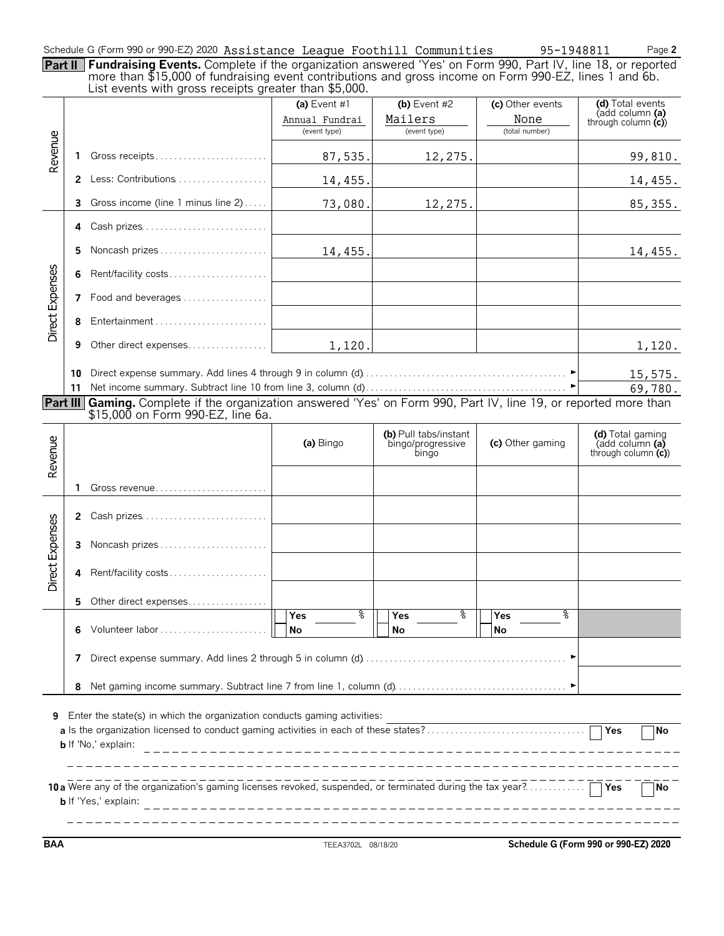| Schedule G (Form 990 or 990-EZ) 2020 Assistance League Foothill Communities |  | 95-1948811 | Page 2 |
|-----------------------------------------------------------------------------|--|------------|--------|
|-----------------------------------------------------------------------------|--|------------|--------|

**Part II Fundraising Events.** Complete if the organization answered 'Yes' on Form 990, Part IV, line 18, or reported more than \$15,000 of fundraising event contributions and gross income on Form 990-EZ, lines 1 and 6b.

|  |  | . |                                                       |  |  |
|--|--|---|-------------------------------------------------------|--|--|
|  |  |   | List events with gross receipts greater than \$5,000. |  |  |
|  |  |   |                                                       |  |  |
|  |  |   |                                                       |  |  |
|  |  |   |                                                       |  |  |

|                 |    | LIST EVENTS WITH GrOSS RECEIDIS GREATER THAIT \$5,000.                                                                   |                                                  |                                                     |                                            |                                                               |
|-----------------|----|--------------------------------------------------------------------------------------------------------------------------|--------------------------------------------------|-----------------------------------------------------|--------------------------------------------|---------------------------------------------------------------|
|                 |    |                                                                                                                          | (a) Event $#1$<br>Annual Fundrai<br>(event type) | (b) Event $#2$<br>Mailers<br>(event type)           | (c) Other events<br>None<br>(total number) | (d) Total events<br>(add column (a)<br>through column $(c)$   |
|                 |    |                                                                                                                          |                                                  |                                                     |                                            |                                                               |
| Revenue         | 1. | Gross receipts                                                                                                           | 87,535.                                          | 12,275.                                             |                                            | 99,810.                                                       |
|                 |    | 2 Less: Contributions                                                                                                    | 14,455.                                          |                                                     |                                            | 14,455.                                                       |
|                 | 3  | Gross income (line 1 minus line 2)                                                                                       | 73,080.                                          | 12,275.                                             |                                            | 85, 355.                                                      |
|                 | 4  | Cash prizes                                                                                                              |                                                  |                                                     |                                            |                                                               |
|                 | 5  | Noncash prizes                                                                                                           | 14,455.                                          |                                                     |                                            | 14,455.                                                       |
|                 | 6  | Rent/facility costs                                                                                                      |                                                  |                                                     |                                            |                                                               |
| Direct Expenses | 7  | Food and beverages                                                                                                       |                                                  |                                                     |                                            |                                                               |
|                 | 8  | Entertainment                                                                                                            |                                                  |                                                     |                                            |                                                               |
|                 | 9  | Other direct expenses                                                                                                    | 1,120.                                           |                                                     |                                            | 1,120.                                                        |
|                 | 10 |                                                                                                                          |                                                  |                                                     |                                            | 15,575.                                                       |
|                 | 11 |                                                                                                                          |                                                  |                                                     |                                            | 69,780.                                                       |
|                 |    | <b>Part III</b> Gaming. Complete if the organization answered 'Yes' on Form 990, Part IV, line 19, or reported more than |                                                  |                                                     |                                            |                                                               |
|                 |    | \$15,000 on Form 990-EZ, line 6a.                                                                                        |                                                  |                                                     |                                            |                                                               |
| Revenue         |    |                                                                                                                          | (a) Bingo                                        | (b) Pull tabs/instant<br>bingo/progressive<br>bingo | (c) Other gaming                           | (d) Total gaming<br>(add column (a)<br>through column $(c)$ ) |
|                 | 1. |                                                                                                                          |                                                  |                                                     |                                            |                                                               |
|                 |    | 2 Cash prizes                                                                                                            |                                                  |                                                     |                                            |                                                               |
|                 |    | 3 Noncash prizes                                                                                                         |                                                  |                                                     |                                            |                                                               |
| Direct Expenses | 4  | Rent/facility costs                                                                                                      |                                                  |                                                     |                                            |                                                               |
|                 | 5  | Other direct expenses                                                                                                    |                                                  |                                                     |                                            |                                                               |
|                 | 6  |                                                                                                                          | %<br>Yes<br>No                                   | oه<br>Yes<br><b>No</b>                              | %<br>Yes<br>No                             |                                                               |
|                 | 7  |                                                                                                                          |                                                  |                                                     |                                            |                                                               |
|                 | 8  |                                                                                                                          |                                                  |                                                     |                                            |                                                               |
|                 |    |                                                                                                                          |                                                  |                                                     |                                            |                                                               |
| 9               |    | Enter the state(s) in which the organization conducts gaming activities:<br><b>b</b> If 'No,' explain:                   |                                                  |                                                     |                                            | No                                                            |
|                 |    | <b>b</b> If 'Yes,' explain:                                                                                              |                                                  |                                                     |                                            | 1No                                                           |

**BAA** TEEA3702L 08/18/20 **Schedule G (Form 990 or 990-EZ) 2020**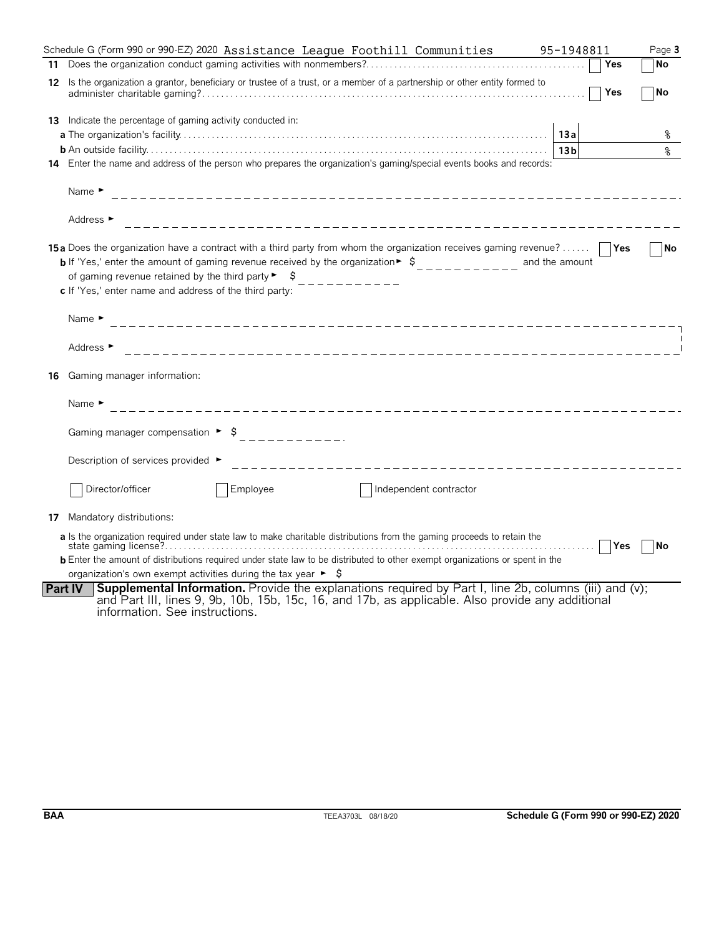|     | Schedule G (Form 990 or 990-EZ) 2020 Assistance League Foothill Communities                                                                                                                                                                                                                                                                                                                      | 95-1948811      | Page 3    |
|-----|--------------------------------------------------------------------------------------------------------------------------------------------------------------------------------------------------------------------------------------------------------------------------------------------------------------------------------------------------------------------------------------------------|-----------------|-----------|
| 11  |                                                                                                                                                                                                                                                                                                                                                                                                  | Yes             | No        |
| 12  | Is the organization a grantor, beneficiary or trustee of a trust, or a member of a partnership or other entity formed to                                                                                                                                                                                                                                                                         | <b>Yes</b>      | No        |
| 13. | Indicate the percentage of gaming activity conducted in:                                                                                                                                                                                                                                                                                                                                         | 13a             | ႜ         |
|     |                                                                                                                                                                                                                                                                                                                                                                                                  | 13 <sub>b</sub> | ⊱         |
|     | 14 Enter the name and address of the person who prepares the organization's gaming/special events books and records:                                                                                                                                                                                                                                                                             |                 |           |
|     | Name $\blacktriangleright$                                                                                                                                                                                                                                                                                                                                                                       |                 |           |
|     | Address $\blacktriangleright$                                                                                                                                                                                                                                                                                                                                                                    |                 |           |
|     | <b>15a</b> Does the organization have a contract with a third party from whom the organization receives gaming revenue?<br><b>b</b> If 'Yes,' enter the amount of gaming revenue received by the organization $\frac{1}{2}$<br>of gaming revenue retained by the third party $\blacktriangleright$ $\blacktriangleright$<br>__________<br>c If 'Yes,' enter name and address of the third party: | and the amount  | No        |
|     | Name $\blacktriangleright$                                                                                                                                                                                                                                                                                                                                                                       |                 |           |
|     | Address $\blacktriangleright$                                                                                                                                                                                                                                                                                                                                                                    |                 |           |
| 16  | Gaming manager information:                                                                                                                                                                                                                                                                                                                                                                      |                 |           |
|     | Name $\blacktriangleright$                                                                                                                                                                                                                                                                                                                                                                       |                 |           |
|     |                                                                                                                                                                                                                                                                                                                                                                                                  |                 |           |
|     | Description of services provided ►                                                                                                                                                                                                                                                                                                                                                               |                 |           |
|     | Employee<br>Director/officer<br>Independent contractor                                                                                                                                                                                                                                                                                                                                           |                 |           |
| 17  | Mandatory distributions:                                                                                                                                                                                                                                                                                                                                                                         |                 |           |
|     | a Is the organization required under state law to make charitable distributions from the gaming proceeds to retain the                                                                                                                                                                                                                                                                           | .   Yes         | <b>No</b> |
|     | <b>b</b> Enter the amount of distributions required under state law to be distributed to other exempt organizations or spent in the                                                                                                                                                                                                                                                              |                 |           |
|     | organization's own exempt activities during the tax year $\blacktriangleright$ $\blacklozenge$<br><b>Supplemental Information.</b> Provide the explanations required by Part I, line 2b, columns (iii) and (v);<br><b>Part IV</b>                                                                                                                                                                |                 |           |
|     | and Part III, lines 9, 9b, 10b, 15b, 15c, 16, and 17b, as applicable. Also provide any additional<br>information. See instructions.                                                                                                                                                                                                                                                              |                 |           |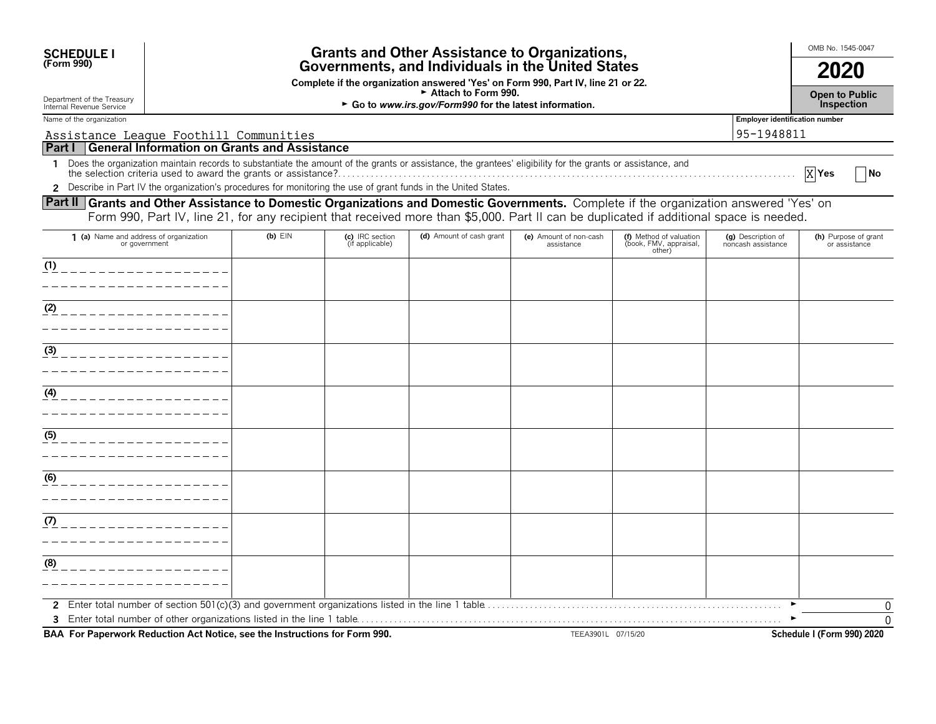| <b>SCHEDULE I</b><br>(Form 990)                                                                                                        | <b>Grants and Other Assistance to Organizations,</b><br>Governments, and Individuals in the United States |                                                                                                                                                                      |                                    |                                                                                                                                                              |                                      |                                                             |                                          | OMB No. 1545-0047                     |  |  |  |
|----------------------------------------------------------------------------------------------------------------------------------------|-----------------------------------------------------------------------------------------------------------|----------------------------------------------------------------------------------------------------------------------------------------------------------------------|------------------------------------|--------------------------------------------------------------------------------------------------------------------------------------------------------------|--------------------------------------|-------------------------------------------------------------|------------------------------------------|---------------------------------------|--|--|--|
|                                                                                                                                        |                                                                                                           |                                                                                                                                                                      |                                    | 2020                                                                                                                                                         |                                      |                                                             |                                          |                                       |  |  |  |
| Department of the Treasury<br>Internal Revenue Service                                                                                 |                                                                                                           | Complete if the organization answered 'Yes' on Form 990, Part IV, line 21 or 22.<br>► Attach to Form 990.<br>► Go to www.irs.gov/Form990 for the latest information. |                                    |                                                                                                                                                              |                                      |                                                             |                                          |                                       |  |  |  |
| Name of the organization                                                                                                               |                                                                                                           |                                                                                                                                                                      |                                    |                                                                                                                                                              |                                      |                                                             | <b>Employer identification number</b>    |                                       |  |  |  |
| Assistance League Foothill Communities                                                                                                 |                                                                                                           |                                                                                                                                                                      |                                    |                                                                                                                                                              |                                      |                                                             | 95-1948811                               |                                       |  |  |  |
| Part I General Information on Grants and Assistance                                                                                    |                                                                                                           |                                                                                                                                                                      |                                    |                                                                                                                                                              |                                      |                                                             |                                          |                                       |  |  |  |
|                                                                                                                                        |                                                                                                           |                                                                                                                                                                      |                                    | 1 Does the organization maintain records to substantiate the amount of the grants or assistance, the grantees' eligibility for the grants or assistance, and |                                      |                                                             |                                          | $X$ Yes<br><b>No</b>                  |  |  |  |
|                                                                                                                                        |                                                                                                           |                                                                                                                                                                      |                                    | 2 Describe in Part IV the organization's procedures for monitoring the use of grant funds in the United States.                                              |                                      |                                                             |                                          |                                       |  |  |  |
| Part II Grants and Other Assistance to Domestic Organizations and Domestic Governments. Complete if the organization answered 'Yes' on |                                                                                                           |                                                                                                                                                                      |                                    | Form 990, Part IV, line 21, for any recipient that received more than \$5,000. Part II can be duplicated if additional space is needed.                      |                                      |                                                             |                                          |                                       |  |  |  |
| 1 (a) Name and address of organization<br>or government                                                                                |                                                                                                           | $(b)$ EIN                                                                                                                                                            | (c) IRC section<br>(if applicable) | (d) Amount of cash grant                                                                                                                                     | (e) Amount of non-cash<br>assistance | (f) Method of valuation<br>(book, FMV, appraisal,<br>other) | (g) Description of<br>noncash assistance | (h) Purpose of grant<br>or assistance |  |  |  |
| (1)                                                                                                                                    |                                                                                                           |                                                                                                                                                                      |                                    |                                                                                                                                                              |                                      |                                                             |                                          |                                       |  |  |  |
|                                                                                                                                        |                                                                                                           |                                                                                                                                                                      |                                    |                                                                                                                                                              |                                      |                                                             |                                          |                                       |  |  |  |
| (2)<br>_________________                                                                                                               |                                                                                                           |                                                                                                                                                                      |                                    |                                                                                                                                                              |                                      |                                                             |                                          |                                       |  |  |  |
|                                                                                                                                        |                                                                                                           |                                                                                                                                                                      |                                    |                                                                                                                                                              |                                      |                                                             |                                          |                                       |  |  |  |
|                                                                                                                                        |                                                                                                           |                                                                                                                                                                      |                                    |                                                                                                                                                              |                                      |                                                             |                                          |                                       |  |  |  |
| (3)                                                                                                                                    |                                                                                                           |                                                                                                                                                                      |                                    |                                                                                                                                                              |                                      |                                                             |                                          |                                       |  |  |  |
|                                                                                                                                        |                                                                                                           |                                                                                                                                                                      |                                    |                                                                                                                                                              |                                      |                                                             |                                          |                                       |  |  |  |
| (4)                                                                                                                                    |                                                                                                           |                                                                                                                                                                      |                                    |                                                                                                                                                              |                                      |                                                             |                                          |                                       |  |  |  |
|                                                                                                                                        |                                                                                                           |                                                                                                                                                                      |                                    |                                                                                                                                                              |                                      |                                                             |                                          |                                       |  |  |  |
| (5)<br>________________                                                                                                                |                                                                                                           |                                                                                                                                                                      |                                    |                                                                                                                                                              |                                      |                                                             |                                          |                                       |  |  |  |
|                                                                                                                                        |                                                                                                           |                                                                                                                                                                      |                                    |                                                                                                                                                              |                                      |                                                             |                                          |                                       |  |  |  |
|                                                                                                                                        |                                                                                                           |                                                                                                                                                                      |                                    |                                                                                                                                                              |                                      |                                                             |                                          |                                       |  |  |  |
| $\underline{(6)}$                                                                                                                      |                                                                                                           |                                                                                                                                                                      |                                    |                                                                                                                                                              |                                      |                                                             |                                          |                                       |  |  |  |
|                                                                                                                                        |                                                                                                           |                                                                                                                                                                      |                                    |                                                                                                                                                              |                                      |                                                             |                                          |                                       |  |  |  |
| (7)                                                                                                                                    |                                                                                                           |                                                                                                                                                                      |                                    |                                                                                                                                                              |                                      |                                                             |                                          |                                       |  |  |  |
|                                                                                                                                        |                                                                                                           |                                                                                                                                                                      |                                    |                                                                                                                                                              |                                      |                                                             |                                          |                                       |  |  |  |
| (8)                                                                                                                                    |                                                                                                           |                                                                                                                                                                      |                                    |                                                                                                                                                              |                                      |                                                             |                                          |                                       |  |  |  |
|                                                                                                                                        |                                                                                                           |                                                                                                                                                                      |                                    |                                                                                                                                                              |                                      |                                                             |                                          |                                       |  |  |  |
|                                                                                                                                        |                                                                                                           |                                                                                                                                                                      |                                    |                                                                                                                                                              |                                      |                                                             |                                          | 0                                     |  |  |  |
|                                                                                                                                        |                                                                                                           |                                                                                                                                                                      |                                    |                                                                                                                                                              |                                      |                                                             |                                          | $\overline{0}$                        |  |  |  |

**BAA For Paperwork Reduction Act Notice, see the Instructions for Form 990.** TEEA3901L 07/15/20 **Schedule I** (Form 990) 2020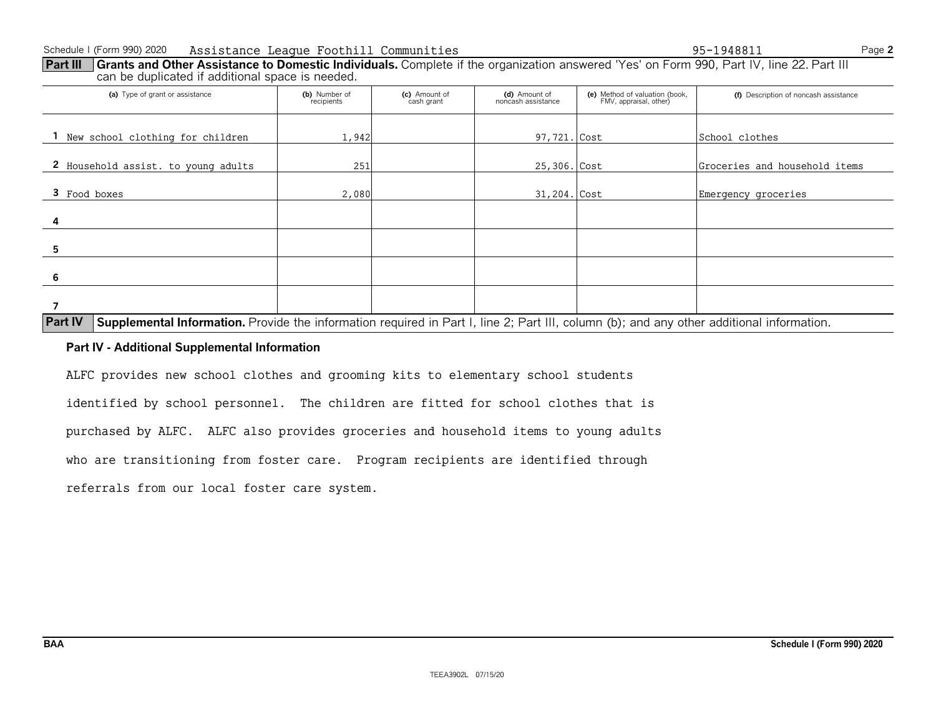| Part III   Grants and Other Assistance to Domestic Individuals. Complete if the organization answered 'Yes' on Form 990, Part IV, line 22. Part III |  |
|-----------------------------------------------------------------------------------------------------------------------------------------------------|--|
| can be duplicated if additional space is needed.                                                                                                    |  |

| (a) Type of grant or assistance                                                                                                                  | (b) Number of<br>recipients | (c) Amount of<br>cash grant | (d) Amount of<br>noncash assistance | (e) Method of valuation (book,<br>FMV, appraisal, other) | (f) Description of noncash assistance |
|--------------------------------------------------------------------------------------------------------------------------------------------------|-----------------------------|-----------------------------|-------------------------------------|----------------------------------------------------------|---------------------------------------|
| New school clothing for children                                                                                                                 | 1,942                       |                             | 97,721. Cost                        |                                                          | School clothes                        |
| 2 Household assist. to young adults                                                                                                              | 251                         |                             | 25,306. Cost                        |                                                          | Groceries and household items         |
| 3 Food boxes                                                                                                                                     | 2,080                       |                             | 31,204. Cost                        |                                                          | Emergency groceries                   |
| 4                                                                                                                                                |                             |                             |                                     |                                                          |                                       |
| h                                                                                                                                                |                             |                             |                                     |                                                          |                                       |
| 6                                                                                                                                                |                             |                             |                                     |                                                          |                                       |
| Day BL Complemental Information, Durida the information resulted in Dayl. Line O. Dayl. III. salvage (b), and any atlant additional information. |                             |                             |                                     |                                                          |                                       |

### **Part IV** Supplemental Information. Provide the information required in Part I, line 2; Part III, column (b); and any other additional information.

#### **Part IV - Additional Supplemental Information**

ALFC provides new school clothes and grooming kits to elementary school students

identified by school personnel. The children are fitted for school clothes that is

purchased by ALFC. ALFC also provides groceries and household items to young adults

who are transitioning from foster care. Program recipients are identified through

referrals from our local foster care system.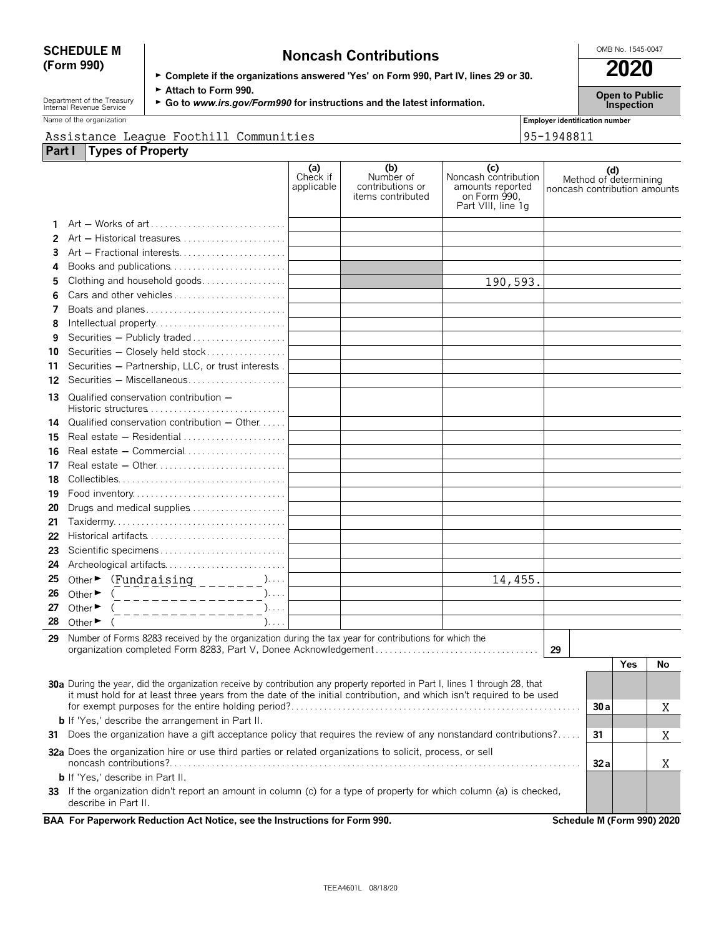# **SCHEDULE M Noncash Contributions Contributions CONDING.** 1545-0047<br> **Complete if the examinations answered "Yes' on Form 990, Bart IV, lines 29 or 30. <b>2020**

| 1191199911 991111199119119                                                           | 2020 |
|--------------------------------------------------------------------------------------|------|
| ► Complete if the organizations answered 'Yes' on Form 990, Part IV, lines 29 or 30. |      |

Department of the Treasury **► Attach to Form 990.**<br>Internal Revenue Service ► Go to *www.irs.gov/Form990* for instructions and the latest information. Inspection

Name of the organization **Employer identification number Employer identification number** 

#### Assistance League Foothill Communities 95-1948811

| Linpioyer identification i |  |        |  |
|----------------------------|--|--------|--|
|                            |  | ------ |  |

| <b>Part I</b> | <b>Types of Property</b>                                                                                                                     |                               |                                                           |                                                                                       |                              |     |                       |    |
|---------------|----------------------------------------------------------------------------------------------------------------------------------------------|-------------------------------|-----------------------------------------------------------|---------------------------------------------------------------------------------------|------------------------------|-----|-----------------------|----|
|               |                                                                                                                                              | (a)<br>Check if<br>applicable | (b)<br>Number of<br>contributions or<br>items contributed | (c)<br>Noncash contribution<br>amounts reported<br>on Form 990,<br>Part VIII, line 1q | noncash contribution amounts | (d) | Method of determining |    |
|               |                                                                                                                                              |                               |                                                           |                                                                                       |                              |     |                       |    |
| 2             | Art - Historical treasures                                                                                                                   |                               |                                                           |                                                                                       |                              |     |                       |    |
| 3             | Art - Fractional interests                                                                                                                   |                               |                                                           |                                                                                       |                              |     |                       |    |
| 4             | Books and publications                                                                                                                       |                               |                                                           |                                                                                       |                              |     |                       |    |
| 5             | Clothing and household goods                                                                                                                 |                               |                                                           | 190,593.                                                                              |                              |     |                       |    |
| 6             | Cars and other vehicles                                                                                                                      |                               |                                                           |                                                                                       |                              |     |                       |    |
| 7             | Boats and planes                                                                                                                             |                               |                                                           |                                                                                       |                              |     |                       |    |
| 8             |                                                                                                                                              |                               |                                                           |                                                                                       |                              |     |                       |    |
| 9             | Securities - Publicly traded                                                                                                                 |                               |                                                           |                                                                                       |                              |     |                       |    |
| 10            | Securities - Closely held stock                                                                                                              |                               |                                                           |                                                                                       |                              |     |                       |    |
| 11            | Securities - Partnership, LLC, or trust interests.                                                                                           |                               |                                                           |                                                                                       |                              |     |                       |    |
| 12            | Securities - Miscellaneous                                                                                                                   |                               |                                                           |                                                                                       |                              |     |                       |    |
| 13            | Qualified conservation contribution -                                                                                                        |                               |                                                           |                                                                                       |                              |     |                       |    |
| 14            | Qualified conservation contribution - Other                                                                                                  |                               |                                                           |                                                                                       |                              |     |                       |    |
| 15            | Real estate $-$ Residential $\ldots$ , $\ldots$ , $\ldots$ , $\ldots$ , $\ldots$                                                             |                               |                                                           |                                                                                       |                              |     |                       |    |
| 16            | Real estate - Commercial                                                                                                                     |                               |                                                           |                                                                                       |                              |     |                       |    |
| 17            | Real estate - Other                                                                                                                          |                               |                                                           |                                                                                       |                              |     |                       |    |
| 18            |                                                                                                                                              |                               |                                                           |                                                                                       |                              |     |                       |    |
| 19            |                                                                                                                                              |                               |                                                           |                                                                                       |                              |     |                       |    |
| 20            | Drugs and medical supplies                                                                                                                   |                               |                                                           |                                                                                       |                              |     |                       |    |
| 21            |                                                                                                                                              |                               |                                                           |                                                                                       |                              |     |                       |    |
| 22            |                                                                                                                                              |                               |                                                           |                                                                                       |                              |     |                       |    |
| 23            | Scientific specimens                                                                                                                         |                               |                                                           |                                                                                       |                              |     |                       |    |
| 24            | Archeological artifacts                                                                                                                      |                               |                                                           |                                                                                       |                              |     |                       |    |
| 25            | Other $\triangleright$ (Fundraising _______)                                                                                                 |                               |                                                           | 14,455.                                                                               |                              |     |                       |    |
| 26            | Other $\blacktriangleright$<br>(________________)                                                                                            |                               |                                                           |                                                                                       |                              |     |                       |    |
| 27            | Other $\blacktriangleright$<br>(________________                                                                                             |                               |                                                           |                                                                                       |                              |     |                       |    |
| 28            | Other $\blacktriangleright$                                                                                                                  |                               |                                                           |                                                                                       |                              |     |                       |    |
| 29            | Number of Forms 8283 received by the organization during the tax year for contributions for which the                                        |                               |                                                           |                                                                                       |                              |     |                       |    |
|               |                                                                                                                                              |                               |                                                           |                                                                                       | 29                           |     |                       |    |
|               |                                                                                                                                              |                               |                                                           |                                                                                       |                              |     | Yes                   | No |
|               | 30a During the year, did the organization receive by contribution any property reported in Part I, lines 1 through 28, that                  |                               |                                                           |                                                                                       |                              |     |                       |    |
|               | it must hold for at least three years from the date of the initial contribution, and which isn't required to be used                         |                               |                                                           |                                                                                       |                              |     |                       | Χ  |
|               | <b>b</b> If 'Yes,' describe the arrangement in Part II.                                                                                      |                               |                                                           |                                                                                       |                              |     |                       |    |
| 31            | Does the organization have a gift acceptance policy that requires the review of any nonstandard contributions?                               |                               |                                                           |                                                                                       |                              | 31  |                       | Χ  |
|               | 32a Does the organization hire or use third parties or related organizations to solicit, process, or sell                                    |                               |                                                           |                                                                                       |                              | 32a |                       | Χ  |
|               | <b>b</b> If 'Yes,' describe in Part II.                                                                                                      |                               |                                                           |                                                                                       |                              |     |                       |    |
|               | 33 If the organization didn't report an amount in column (c) for a type of property for which column (a) is checked,<br>describe in Part II. |                               |                                                           |                                                                                       |                              |     |                       |    |

**BAA For Paperwork Reduction Act Notice, see the Instructions for Form 990. Schedule M (Form 990) 2020**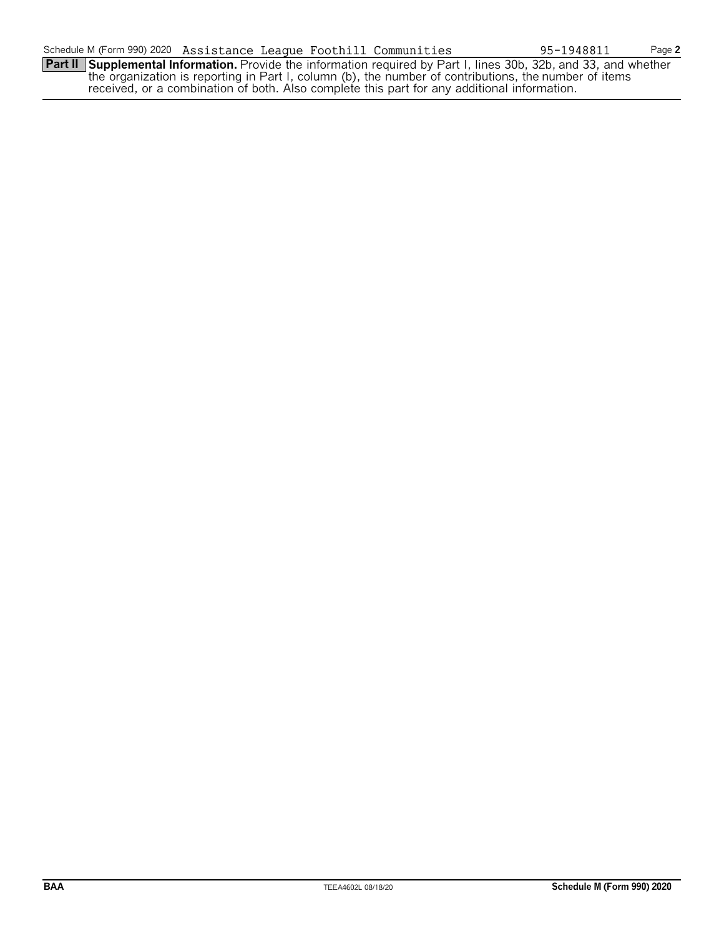**Part II Supplemental Information.** Provide the information required by Part I, lines 30b, 32b, and 33, and whether the organization is reporting in Part I, column (b), the number of contributions, the number of items received, or a combination of both. Also complete this part for any additional information.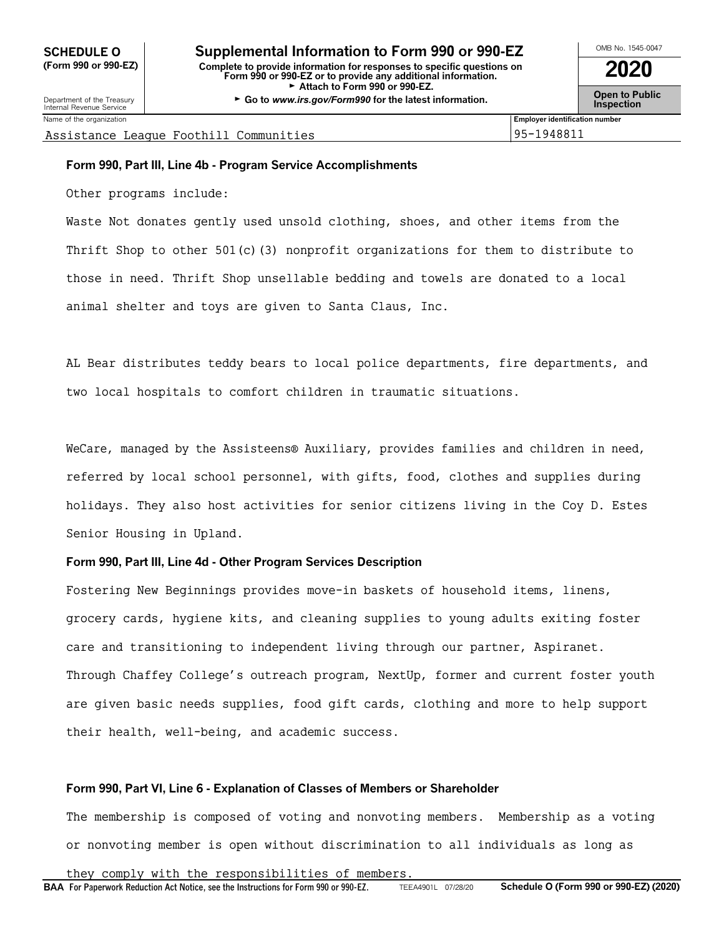Name of the organization **Employer identification number Employer identification number** 

Assistance League Foothill Communities 95-1948811

#### **Form 990, Part III, Line 4b - Program Service Accomplishments**

Other programs include:

Waste Not donates gently used unsold clothing, shoes, and other items from the Thrift Shop to other  $501(c)$  (3) nonprofit organizations for them to distribute to those in need. Thrift Shop unsellable bedding and towels are donated to a local animal shelter and toys are given to Santa Claus, Inc.

AL Bear distributes teddy bears to local police departments, fire departments, and two local hospitals to comfort children in traumatic situations.

WeCare, managed by the Assisteens® Auxiliary, provides families and children in need, referred by local school personnel, with gifts, food, clothes and supplies during holidays. They also host activities for senior citizens living in the Coy D. Estes Senior Housing in Upland.

#### **Form 990, Part III, Line 4d - Other Program Services Description**

Fostering New Beginnings provides move-in baskets of household items, linens, grocery cards, hygiene kits, and cleaning supplies to young adults exiting foster care and transitioning to independent living through our partner, Aspiranet. Through Chaffey College's outreach program, NextUp, former and current foster youth are given basic needs supplies, food gift cards, clothing and more to help support their health, well-being, and academic success.

#### **Form 990, Part VI, Line 6 - Explanation of Classes of Members or Shareholder**

The membership is composed of voting and nonvoting members. Membership as a voting or nonvoting member is open without discrimination to all individuals as long as

they comply with the responsibilities of members.